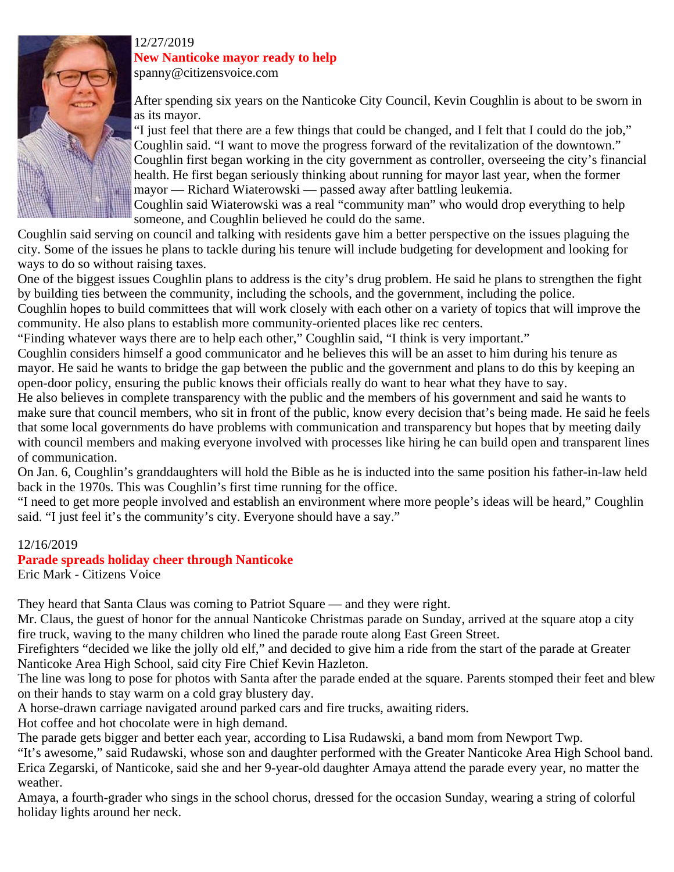

#### 12/27/2019 **New Nanticoke mayor ready to help**

spanny@citizensvoice.com

After spending six years on the Nanticoke City Council, Kevin Coughlin is about to be sworn in as its mayor.

"I just feel that there are a few things that could be changed, and I felt that I could do the job," Coughlin said. "I want to move the progress forward of the revitalization of the downtown." Coughlin first began working in the city government as controller, overseeing the city's financial health. He first began seriously thinking about running for mayor last year, when the former mayor — Richard Wiaterowski — passed away after battling leukemia.

Coughlin said Wiaterowski was a real "community man" who would drop everything to help someone, and Coughlin believed he could do the same.

Coughlin said serving on council and talking with residents gave him a better perspective on the issues plaguing the city. Some of the issues he plans to tackle during his tenure will include budgeting for development and looking for ways to do so without raising taxes.

One of the biggest issues Coughlin plans to address is the city's drug problem. He said he plans to strengthen the fight by building ties between the community, including the schools, and the government, including the police.

Coughlin hopes to build committees that will work closely with each other on a variety of topics that will improve the community. He also plans to establish more community-oriented places like rec centers.

"Finding whatever ways there are to help each other," Coughlin said, "I think is very important."

Coughlin considers himself a good communicator and he believes this will be an asset to him during his tenure as mayor. He said he wants to bridge the gap between the public and the government and plans to do this by keeping an open-door policy, ensuring the public knows their officials really do want to hear what they have to say.

He also believes in complete transparency with the public and the members of his government and said he wants to make sure that council members, who sit in front of the public, know every decision that's being made. He said he feels that some local governments do have problems with communication and transparency but hopes that by meeting daily with council members and making everyone involved with processes like hiring he can build open and transparent lines of communication.

On Jan. 6, Coughlin's granddaughters will hold the Bible as he is inducted into the same position his father-in-law held back in the 1970s. This was Coughlin's first time running for the office.

"I need to get more people involved and establish an environment where more people's ideas will be heard," Coughlin said. "I just feel it's the community's city. Everyone should have a say."

### 12/16/2019

### **Parade spreads holiday cheer through Nanticoke**

Eric Mark - Citizens Voice

They heard that Santa Claus was coming to Patriot Square — and they were right.

Mr. Claus, the guest of honor for the annual Nanticoke Christmas parade on Sunday, arrived at the square atop a city fire truck, waving to the many children who lined the parade route along East Green Street.

Firefighters "decided we like the jolly old elf," and decided to give him a ride from the start of the parade at Greater Nanticoke Area High School, said city Fire Chief Kevin Hazleton.

The line was long to pose for photos with Santa after the parade ended at the square. Parents stomped their feet and blew on their hands to stay warm on a cold gray blustery day.

A horse-drawn carriage navigated around parked cars and fire trucks, awaiting riders.

Hot coffee and hot chocolate were in high demand.

The parade gets bigger and better each year, according to Lisa Rudawski, a band mom from Newport Twp.

"It's awesome," said Rudawski, whose son and daughter performed with the Greater Nanticoke Area High School band. Erica Zegarski, of Nanticoke, said she and her 9-year-old daughter Amaya attend the parade every year, no matter the weather.

Amaya, a fourth-grader who sings in the school chorus, dressed for the occasion Sunday, wearing a string of colorful holiday lights around her neck.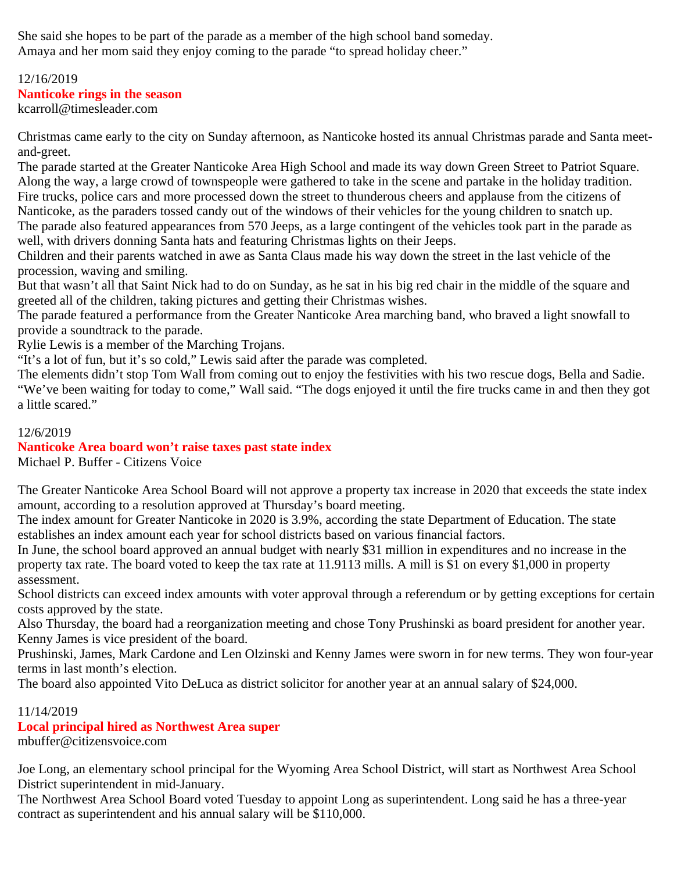She said she hopes to be part of the parade as a member of the high school band someday. Amaya and her mom said they enjoy coming to the parade "to spread holiday cheer."

### 12/16/2019 **Nanticoke rings in the season**

kcarroll@timesleader.com

Christmas came early to the city on Sunday afternoon, as Nanticoke hosted its annual Christmas parade and Santa meetand-greet.

The parade started at the Greater Nanticoke Area High School and made its way down Green Street to Patriot Square. Along the way, a large crowd of townspeople were gathered to take in the scene and partake in the holiday tradition. Fire trucks, police cars and more processed down the street to thunderous cheers and applause from the citizens of Nanticoke, as the paraders tossed candy out of the windows of their vehicles for the young children to snatch up. The parade also featured appearances from 570 Jeeps, as a large contingent of the vehicles took part in the parade as

well, with drivers donning Santa hats and featuring Christmas lights on their Jeeps.

Children and their parents watched in awe as Santa Claus made his way down the street in the last vehicle of the procession, waving and smiling.

But that wasn't all that Saint Nick had to do on Sunday, as he sat in his big red chair in the middle of the square and greeted all of the children, taking pictures and getting their Christmas wishes.

The parade featured a performance from the Greater Nanticoke Area marching band, who braved a light snowfall to provide a soundtrack to the parade.

Rylie Lewis is a member of the Marching Trojans.

"It's a lot of fun, but it's so cold," Lewis said after the parade was completed.

The elements didn't stop Tom Wall from coming out to enjoy the festivities with his two rescue dogs, Bella and Sadie. "We've been waiting for today to come," Wall said. "The dogs enjoyed it until the fire trucks came in and then they got a little scared."

### 12/6/2019

### **Nanticoke Area board won't raise taxes past state index**

Michael P. Buffer - Citizens Voice

The Greater Nanticoke Area School Board will not approve a property tax increase in 2020 that exceeds the state index amount, according to a resolution approved at Thursday's board meeting.

The index amount for Greater Nanticoke in 2020 is 3.9%, according the state Department of Education. The state establishes an index amount each year for school districts based on various financial factors.

In June, the school board approved an annual budget with nearly \$31 million in expenditures and no increase in the property tax rate. The board voted to keep the tax rate at 11.9113 mills. A mill is \$1 on every \$1,000 in property assessment.

School districts can exceed index amounts with voter approval through a referendum or by getting exceptions for certain costs approved by the state.

Also Thursday, the board had a reorganization meeting and chose Tony Prushinski as board president for another year. Kenny James is vice president of the board.

Prushinski, James, Mark Cardone and Len Olzinski and Kenny James were sworn in for new terms. They won four-year terms in last month's election.

The board also appointed Vito DeLuca as district solicitor for another year at an annual salary of \$24,000.

### 11/14/2019

### **Local principal hired as Northwest Area super**

mbuffer@citizensvoice.com

Joe Long, an elementary school principal for the Wyoming Area School District, will start as Northwest Area School District superintendent in mid-January.

The Northwest Area School Board voted Tuesday to appoint Long as superintendent. Long said he has a three-year contract as superintendent and his annual salary will be \$110,000.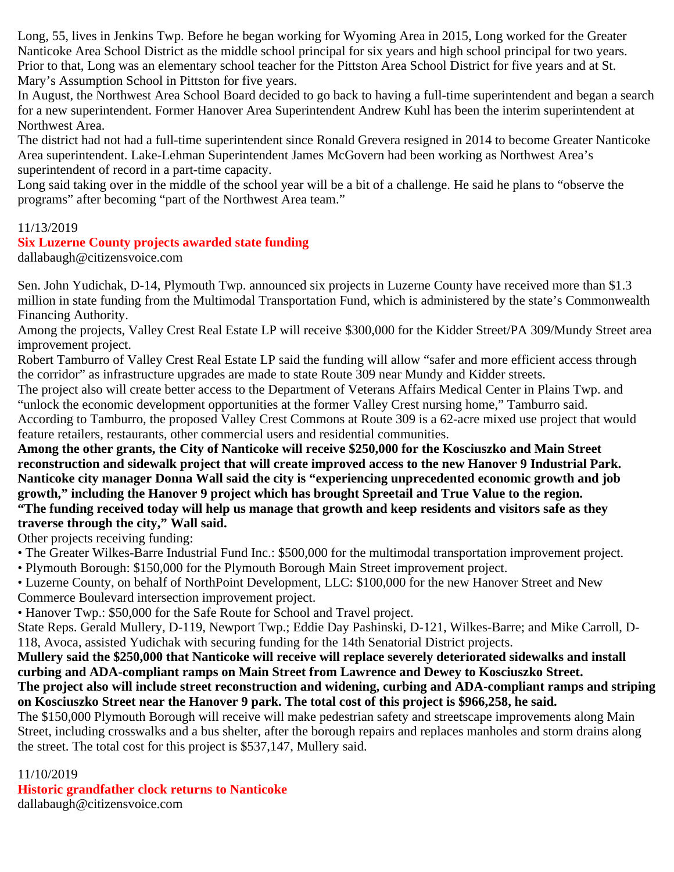Long, 55, lives in Jenkins Twp. Before he began working for Wyoming Area in 2015, Long worked for the Greater Nanticoke Area School District as the middle school principal for six years and high school principal for two years. Prior to that, Long was an elementary school teacher for the Pittston Area School District for five years and at St. Mary's Assumption School in Pittston for five years.

In August, the Northwest Area School Board decided to go back to having a full-time superintendent and began a search for a new superintendent. Former Hanover Area Superintendent Andrew Kuhl has been the interim superintendent at Northwest Area.

The district had not had a full-time superintendent since Ronald Grevera resigned in 2014 to become Greater Nanticoke Area superintendent. Lake-Lehman Superintendent James McGovern had been working as Northwest Area's superintendent of record in a part-time capacity.

Long said taking over in the middle of the school year will be a bit of a challenge. He said he plans to "observe the programs" after becoming "part of the Northwest Area team."

### 11/13/2019

### **Six Luzerne County projects awarded state funding**

dallabaugh@citizensvoice.com

Sen. John Yudichak, D-14, Plymouth Twp. announced six projects in Luzerne County have received more than \$1.3 million in state funding from the Multimodal Transportation Fund, which is administered by the state's Commonwealth Financing Authority.

Among the projects, Valley Crest Real Estate LP will receive \$300,000 for the Kidder Street/PA 309/Mundy Street area improvement project.

Robert Tamburro of Valley Crest Real Estate LP said the funding will allow "safer and more efficient access through the corridor" as infrastructure upgrades are made to state Route 309 near Mundy and Kidder streets.

The project also will create better access to the Department of Veterans Affairs Medical Center in Plains Twp. and "unlock the economic development opportunities at the former Valley Crest nursing home," Tamburro said. According to Tamburro, the proposed Valley Crest Commons at Route 309 is a 62-acre mixed use project that would

feature retailers, restaurants, other commercial users and residential communities. **Among the other grants, the City of Nanticoke will receive \$250,000 for the Kosciuszko and Main Street reconstruction and sidewalk project that will create improved access to the new Hanover 9 Industrial Park. Nanticoke city manager Donna Wall said the city is "experiencing unprecedented economic growth and job growth," including the Hanover 9 project which has brought Spreetail and True Value to the region. "The funding received today will help us manage that growth and keep residents and visitors safe as they traverse through the city," Wall said.**

Other projects receiving funding:

• The Greater Wilkes-Barre Industrial Fund Inc.: \$500,000 for the multimodal transportation improvement project.

• Plymouth Borough: \$150,000 for the Plymouth Borough Main Street improvement project.

• Luzerne County, on behalf of NorthPoint Development, LLC: \$100,000 for the new Hanover Street and New

Commerce Boulevard intersection improvement project.

• Hanover Twp.: \$50,000 for the Safe Route for School and Travel project.

State Reps. Gerald Mullery, D-119, Newport Twp.; Eddie Day Pashinski, D-121, Wilkes-Barre; and Mike Carroll, D-118, Avoca, assisted Yudichak with securing funding for the 14th Senatorial District projects.

**Mullery said the \$250,000 that Nanticoke will receive will replace severely deteriorated sidewalks and install curbing and ADA-compliant ramps on Main Street from Lawrence and Dewey to Kosciuszko Street. The project also will include street reconstruction and widening, curbing and ADA-compliant ramps and striping**

**on Kosciuszko Street near the Hanover 9 park. The total cost of this project is \$966,258, he said.**

The \$150,000 Plymouth Borough will receive will make pedestrian safety and streetscape improvements along Main Street, including crosswalks and a bus shelter, after the borough repairs and replaces manholes and storm drains along the street. The total cost for this project is \$537,147, Mullery said.

### 11/10/2019

**Historic grandfather clock returns to Nanticoke**

dallabaugh@citizensvoice.com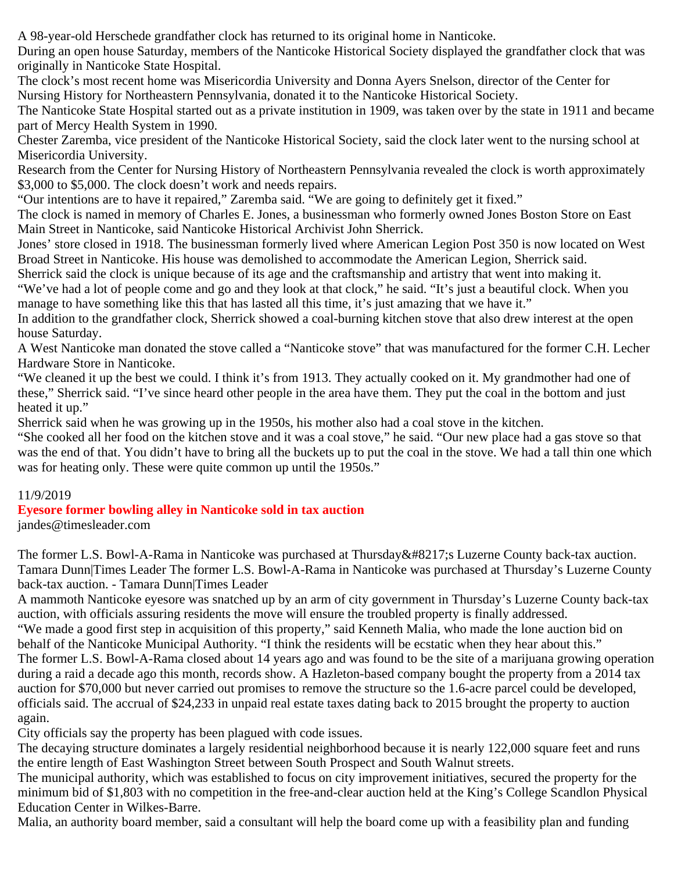A 98-year-old Herschede grandfather clock has returned to its original home in Nanticoke.

During an open house Saturday, members of the Nanticoke Historical Society displayed the grandfather clock that was originally in Nanticoke State Hospital.

The clock's most recent home was Misericordia University and Donna Ayers Snelson, director of the Center for Nursing History for Northeastern Pennsylvania, donated it to the Nanticoke Historical Society.

The Nanticoke State Hospital started out as a private institution in 1909, was taken over by the state in 1911 and became part of Mercy Health System in 1990.

Chester Zaremba, vice president of the Nanticoke Historical Society, said the clock later went to the nursing school at Misericordia University.

Research from the Center for Nursing History of Northeastern Pennsylvania revealed the clock is worth approximately \$3,000 to \$5,000. The clock doesn't work and needs repairs.

"Our intentions are to have it repaired," Zaremba said. "We are going to definitely get it fixed."

The clock is named in memory of Charles E. Jones, a businessman who formerly owned Jones Boston Store on East Main Street in Nanticoke, said Nanticoke Historical Archivist John Sherrick.

Jones' store closed in 1918. The businessman formerly lived where American Legion Post 350 is now located on West Broad Street in Nanticoke. His house was demolished to accommodate the American Legion, Sherrick said.

Sherrick said the clock is unique because of its age and the craftsmanship and artistry that went into making it.

"We've had a lot of people come and go and they look at that clock," he said. "It's just a beautiful clock. When you manage to have something like this that has lasted all this time, it's just amazing that we have it."

In addition to the grandfather clock, Sherrick showed a coal-burning kitchen stove that also drew interest at the open house Saturday.

A West Nanticoke man donated the stove called a "Nanticoke stove" that was manufactured for the former C.H. Lecher Hardware Store in Nanticoke.

"We cleaned it up the best we could. I think it's from 1913. They actually cooked on it. My grandmother had one of these," Sherrick said. "I've since heard other people in the area have them. They put the coal in the bottom and just heated it up."

Sherrick said when he was growing up in the 1950s, his mother also had a coal stove in the kitchen.

"She cooked all her food on the kitchen stove and it was a coal stove," he said. "Our new place had a gas stove so that was the end of that. You didn't have to bring all the buckets up to put the coal in the stove. We had a tall thin one which was for heating only. These were quite common up until the 1950s."

### 11/9/2019

### **Eyesore former bowling alley in Nanticoke sold in tax auction**

jandes@timesleader.com

The former L.S. Bowl-A-Rama in Nanticoke was purchased at Thursday' Luzerne County back-tax auction. Tamara Dunn|Times Leader The former L.S. Bowl-A-Rama in Nanticoke was purchased at Thursday's Luzerne County back-tax auction. - Tamara Dunn|Times Leader

A mammoth Nanticoke eyesore was snatched up by an arm of city government in Thursday's Luzerne County back-tax auction, with officials assuring residents the move will ensure the troubled property is finally addressed. "We made a good first step in acquisition of this property," said Kenneth Malia, who made the lone auction bid on behalf of the Nanticoke Municipal Authority. "I think the residents will be ecstatic when they hear about this." The former L.S. Bowl-A-Rama closed about 14 years ago and was found to be the site of a marijuana growing operation during a raid a decade ago this month, records show. A Hazleton-based company bought the property from a 2014 tax auction for \$70,000 but never carried out promises to remove the structure so the 1.6-acre parcel could be developed, officials said. The accrual of \$24,233 in unpaid real estate taxes dating back to 2015 brought the property to auction again.

City officials say the property has been plagued with code issues.

The decaying structure dominates a largely residential neighborhood because it is nearly 122,000 square feet and runs the entire length of East Washington Street between South Prospect and South Walnut streets.

The municipal authority, which was established to focus on city improvement initiatives, secured the property for the minimum bid of \$1,803 with no competition in the free-and-clear auction held at the King's College Scandlon Physical Education Center in Wilkes-Barre.

Malia, an authority board member, said a consultant will help the board come up with a feasibility plan and funding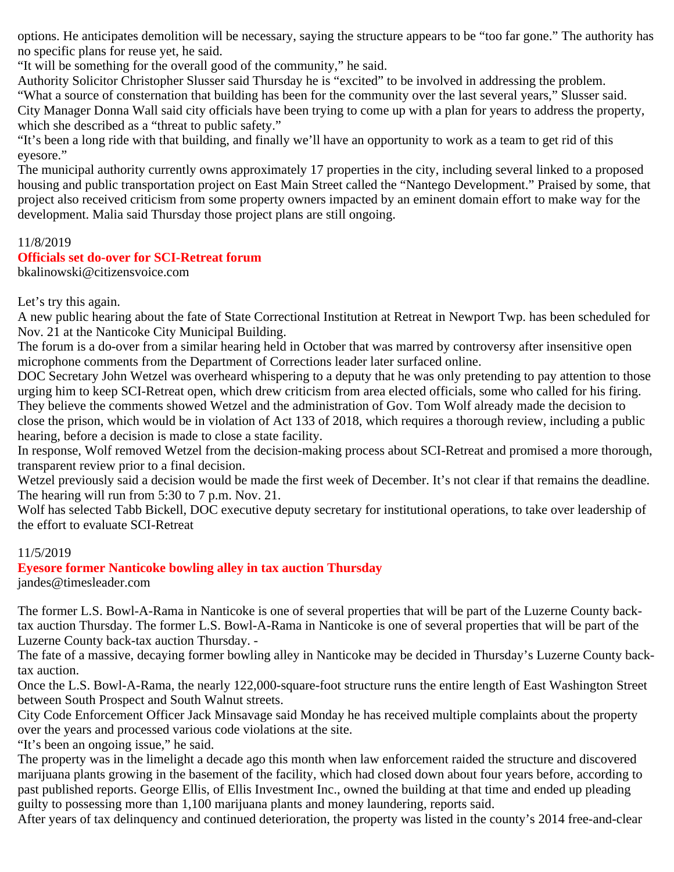options. He anticipates demolition will be necessary, saying the structure appears to be "too far gone." The authority has no specific plans for reuse yet, he said.

"It will be something for the overall good of the community," he said.

Authority Solicitor Christopher Slusser said Thursday he is "excited" to be involved in addressing the problem. "What a source of consternation that building has been for the community over the last several years," Slusser said. City Manager Donna Wall said city officials have been trying to come up with a plan for years to address the property, which she described as a "threat to public safety."

"It's been a long ride with that building, and finally we'll have an opportunity to work as a team to get rid of this eyesore."

The municipal authority currently owns approximately 17 properties in the city, including several linked to a proposed housing and public transportation project on East Main Street called the "Nantego Development." Praised by some, that project also received criticism from some property owners impacted by an eminent domain effort to make way for the development. Malia said Thursday those project plans are still ongoing.

### 11/8/2019

### **Officials set do-over for SCI-Retreat forum**

bkalinowski@citizensvoice.com

Let's try this again.

A new public hearing about the fate of State Correctional Institution at Retreat in Newport Twp. has been scheduled for Nov. 21 at the Nanticoke City Municipal Building.

The forum is a do-over from a similar hearing held in October that was marred by controversy after insensitive open microphone comments from the Department of Corrections leader later surfaced online.

DOC Secretary John Wetzel was overheard whispering to a deputy that he was only pretending to pay attention to those urging him to keep SCI-Retreat open, which drew criticism from area elected officials, some who called for his firing. They believe the comments showed Wetzel and the administration of Gov. Tom Wolf already made the decision to close the prison, which would be in violation of Act 133 of 2018, which requires a thorough review, including a public hearing, before a decision is made to close a state facility.

In response, Wolf removed Wetzel from the decision-making process about SCI-Retreat and promised a more thorough, transparent review prior to a final decision.

Wetzel previously said a decision would be made the first week of December. It's not clear if that remains the deadline. The hearing will run from 5:30 to 7 p.m. Nov. 21.

Wolf has selected Tabb Bickell, DOC executive deputy secretary for institutional operations, to take over leadership of the effort to evaluate SCI-Retreat

### 11/5/2019

# **Eyesore former Nanticoke bowling alley in tax auction Thursday**

jandes@timesleader.com

The former L.S. Bowl-A-Rama in Nanticoke is one of several properties that will be part of the Luzerne County backtax auction Thursday. The former L.S. Bowl-A-Rama in Nanticoke is one of several properties that will be part of the Luzerne County back-tax auction Thursday. -

The fate of a massive, decaying former bowling alley in Nanticoke may be decided in Thursday's Luzerne County backtax auction.

Once the L.S. Bowl-A-Rama, the nearly 122,000-square-foot structure runs the entire length of East Washington Street between South Prospect and South Walnut streets.

City Code Enforcement Officer Jack Minsavage said Monday he has received multiple complaints about the property over the years and processed various code violations at the site.

"It's been an ongoing issue," he said.

The property was in the limelight a decade ago this month when law enforcement raided the structure and discovered marijuana plants growing in the basement of the facility, which had closed down about four years before, according to past published reports. George Ellis, of Ellis Investment Inc., owned the building at that time and ended up pleading guilty to possessing more than 1,100 marijuana plants and money laundering, reports said.

After years of tax delinquency and continued deterioration, the property was listed in the county's 2014 free-and-clear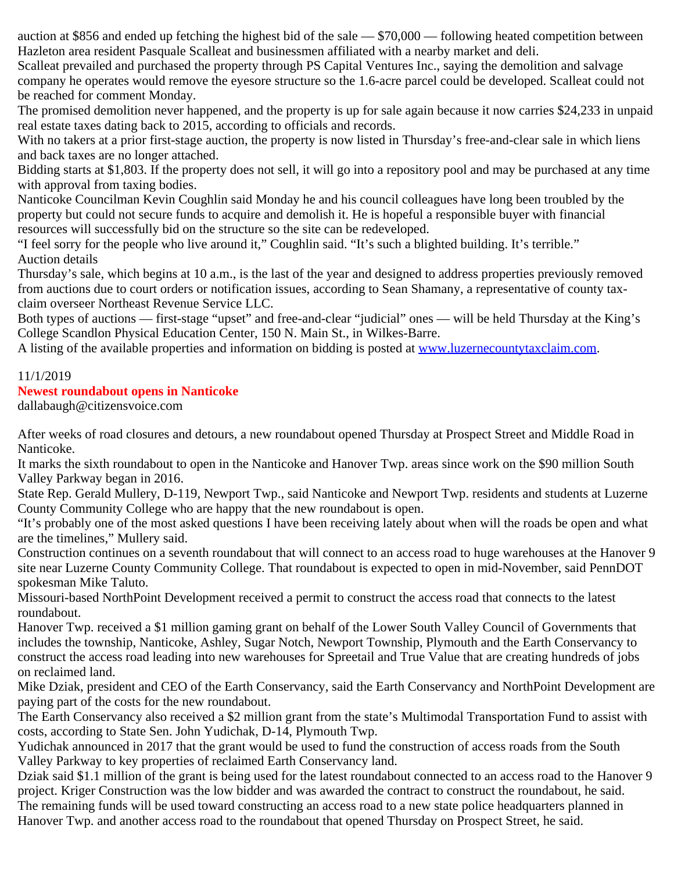auction at \$856 and ended up fetching the highest bid of the sale — \$70,000 — following heated competition between Hazleton area resident Pasquale Scalleat and businessmen affiliated with a nearby market and deli.

Scalleat prevailed and purchased the property through PS Capital Ventures Inc., saying the demolition and salvage company he operates would remove the eyesore structure so the 1.6-acre parcel could be developed. Scalleat could not be reached for comment Monday.

The promised demolition never happened, and the property is up for sale again because it now carries \$24,233 in unpaid real estate taxes dating back to 2015, according to officials and records.

With no takers at a prior first-stage auction, the property is now listed in Thursday's free-and-clear sale in which liens and back taxes are no longer attached.

Bidding starts at \$1,803. If the property does not sell, it will go into a repository pool and may be purchased at any time with approval from taxing bodies.

Nanticoke Councilman Kevin Coughlin said Monday he and his council colleagues have long been troubled by the property but could not secure funds to acquire and demolish it. He is hopeful a responsible buyer with financial resources will successfully bid on the structure so the site can be redeveloped.

"I feel sorry for the people who live around it," Coughlin said. "It's such a blighted building. It's terrible." Auction details

Thursday's sale, which begins at 10 a.m., is the last of the year and designed to address properties previously removed from auctions due to court orders or notification issues, according to Sean Shamany, a representative of county taxclaim overseer Northeast Revenue Service LLC.

Both types of auctions — first-stage "upset" and free-and-clear "judicial" ones — will be held Thursday at the King's College Scandlon Physical Education Center, 150 N. Main St., in Wilkes-Barre.

A listing of the available properties and information on bidding is posted at [www.luzernecountytaxclaim.com](http://www.luzernecountytaxclaim.com/).

### 11/1/2019

### **Newest roundabout opens in Nanticoke**

dallabaugh@citizensvoice.com

After weeks of road closures and detours, a new roundabout opened Thursday at Prospect Street and Middle Road in Nanticoke.

It marks the sixth roundabout to open in the Nanticoke and Hanover Twp. areas since work on the \$90 million South Valley Parkway began in 2016.

State Rep. Gerald Mullery, D-119, Newport Twp., said Nanticoke and Newport Twp. residents and students at Luzerne County Community College who are happy that the new roundabout is open.

"It's probably one of the most asked questions I have been receiving lately about when will the roads be open and what are the timelines," Mullery said.

Construction continues on a seventh roundabout that will connect to an access road to huge warehouses at the Hanover 9 site near Luzerne County Community College. That roundabout is expected to open in mid-November, said PennDOT spokesman Mike Taluto.

Missouri-based NorthPoint Development received a permit to construct the access road that connects to the latest roundabout.

Hanover Twp. received a \$1 million gaming grant on behalf of the Lower South Valley Council of Governments that includes the township, Nanticoke, Ashley, Sugar Notch, Newport Township, Plymouth and the Earth Conservancy to construct the access road leading into new warehouses for Spreetail and True Value that are creating hundreds of jobs on reclaimed land.

Mike Dziak, president and CEO of the Earth Conservancy, said the Earth Conservancy and NorthPoint Development are paying part of the costs for the new roundabout.

The Earth Conservancy also received a \$2 million grant from the state's Multimodal Transportation Fund to assist with costs, according to State Sen. John Yudichak, D-14, Plymouth Twp.

Yudichak announced in 2017 that the grant would be used to fund the construction of access roads from the South Valley Parkway to key properties of reclaimed Earth Conservancy land.

Dziak said \$1.1 million of the grant is being used for the latest roundabout connected to an access road to the Hanover 9 project. Kriger Construction was the low bidder and was awarded the contract to construct the roundabout, he said. The remaining funds will be used toward constructing an access road to a new state police headquarters planned in Hanover Twp. and another access road to the roundabout that opened Thursday on Prospect Street, he said.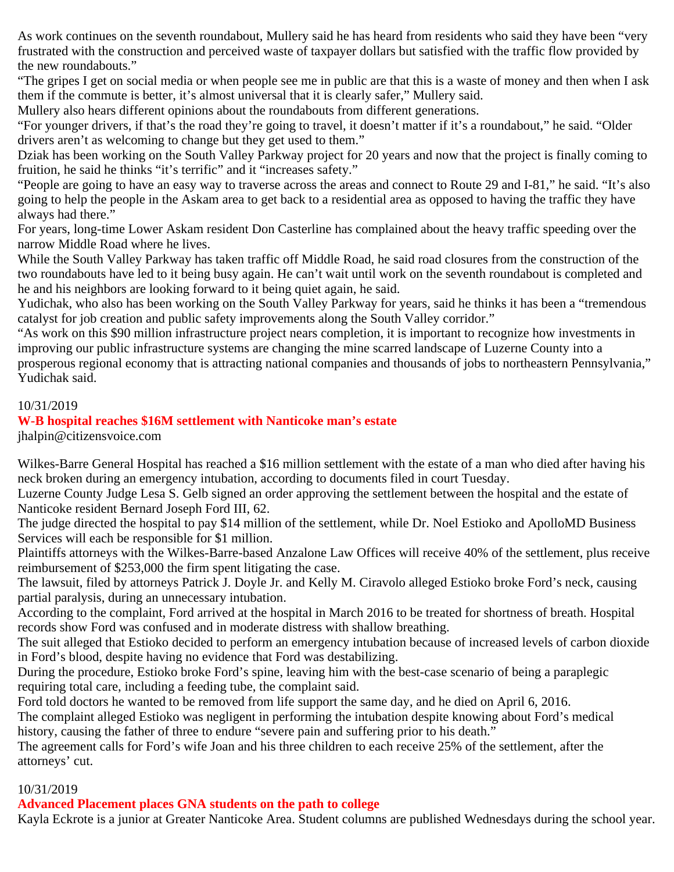As work continues on the seventh roundabout, Mullery said he has heard from residents who said they have been "very frustrated with the construction and perceived waste of taxpayer dollars but satisfied with the traffic flow provided by the new roundabouts."

"The gripes I get on social media or when people see me in public are that this is a waste of money and then when I ask them if the commute is better, it's almost universal that it is clearly safer," Mullery said.

Mullery also hears different opinions about the roundabouts from different generations.

"For younger drivers, if that's the road they're going to travel, it doesn't matter if it's a roundabout," he said. "Older drivers aren't as welcoming to change but they get used to them."

Dziak has been working on the South Valley Parkway project for 20 years and now that the project is finally coming to fruition, he said he thinks "it's terrific" and it "increases safety."

"People are going to have an easy way to traverse across the areas and connect to Route 29 and I-81," he said. "It's also going to help the people in the Askam area to get back to a residential area as opposed to having the traffic they have always had there."

For years, long-time Lower Askam resident Don Casterline has complained about the heavy traffic speeding over the narrow Middle Road where he lives.

While the South Valley Parkway has taken traffic off Middle Road, he said road closures from the construction of the two roundabouts have led to it being busy again. He can't wait until work on the seventh roundabout is completed and he and his neighbors are looking forward to it being quiet again, he said.

Yudichak, who also has been working on the South Valley Parkway for years, said he thinks it has been a "tremendous catalyst for job creation and public safety improvements along the South Valley corridor."

"As work on this \$90 million infrastructure project nears completion, it is important to recognize how investments in improving our public infrastructure systems are changing the mine scarred landscape of Luzerne County into a prosperous regional economy that is attracting national companies and thousands of jobs to northeastern Pennsylvania," Yudichak said.

#### 10/31/2019

### **W-B hospital reaches \$16M settlement with Nanticoke man's estate**

jhalpin@citizensvoice.com

Wilkes-Barre General Hospital has reached a \$16 million settlement with the estate of a man who died after having his neck broken during an emergency intubation, according to documents filed in court Tuesday.

Luzerne County Judge Lesa S. Gelb signed an order approving the settlement between the hospital and the estate of Nanticoke resident Bernard Joseph Ford III, 62.

The judge directed the hospital to pay \$14 million of the settlement, while Dr. Noel Estioko and ApolloMD Business Services will each be responsible for \$1 million.

Plaintiffs attorneys with the Wilkes-Barre-based Anzalone Law Offices will receive 40% of the settlement, plus receive reimbursement of \$253,000 the firm spent litigating the case.

The lawsuit, filed by attorneys Patrick J. Doyle Jr. and Kelly M. Ciravolo alleged Estioko broke Ford's neck, causing partial paralysis, during an unnecessary intubation.

According to the complaint, Ford arrived at the hospital in March 2016 to be treated for shortness of breath. Hospital records show Ford was confused and in moderate distress with shallow breathing.

The suit alleged that Estioko decided to perform an emergency intubation because of increased levels of carbon dioxide in Ford's blood, despite having no evidence that Ford was destabilizing.

During the procedure, Estioko broke Ford's spine, leaving him with the best-case scenario of being a paraplegic requiring total care, including a feeding tube, the complaint said.

Ford told doctors he wanted to be removed from life support the same day, and he died on April 6, 2016.

The complaint alleged Estioko was negligent in performing the intubation despite knowing about Ford's medical history, causing the father of three to endure "severe pain and suffering prior to his death."

The agreement calls for Ford's wife Joan and his three children to each receive 25% of the settlement, after the attorneys' cut.

#### 10/31/2019

### **Advanced Placement places GNA students on the path to college**

Kayla Eckrote is a junior at Greater Nanticoke Area. Student columns are published Wednesdays during the school year.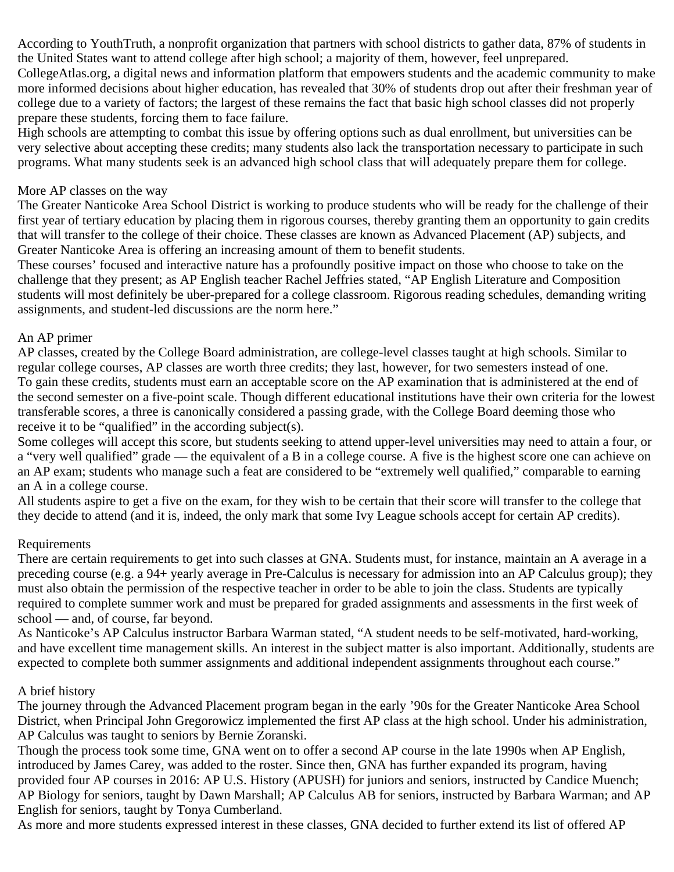According to YouthTruth, a nonprofit organization that partners with school districts to gather data, 87% of students in the United States want to attend college after high school; a majority of them, however, feel unprepared. CollegeAtlas.org, a digital news and information platform that empowers students and the academic community to make more informed decisions about higher education, has revealed that 30% of students drop out after their freshman year of college due to a variety of factors; the largest of these remains the fact that basic high school classes did not properly prepare these students, forcing them to face failure.

High schools are attempting to combat this issue by offering options such as dual enrollment, but universities can be very selective about accepting these credits; many students also lack the transportation necessary to participate in such programs. What many students seek is an advanced high school class that will adequately prepare them for college.

#### More AP classes on the way

The Greater Nanticoke Area School District is working to produce students who will be ready for the challenge of their first year of tertiary education by placing them in rigorous courses, thereby granting them an opportunity to gain credits that will transfer to the college of their choice. These classes are known as Advanced Placement (AP) subjects, and Greater Nanticoke Area is offering an increasing amount of them to benefit students.

These courses' focused and interactive nature has a profoundly positive impact on those who choose to take on the challenge that they present; as AP English teacher Rachel Jeffries stated, "AP English Literature and Composition students will most definitely be uber-prepared for a college classroom. Rigorous reading schedules, demanding writing assignments, and student-led discussions are the norm here."

### An AP primer

AP classes, created by the College Board administration, are college-level classes taught at high schools. Similar to regular college courses, AP classes are worth three credits; they last, however, for two semesters instead of one. To gain these credits, students must earn an acceptable score on the AP examination that is administered at the end of the second semester on a five-point scale. Though different educational institutions have their own criteria for the lowest transferable scores, a three is canonically considered a passing grade, with the College Board deeming those who receive it to be "qualified" in the according subject(s).

Some colleges will accept this score, but students seeking to attend upper-level universities may need to attain a four, or a "very well qualified" grade — the equivalent of a B in a college course. A five is the highest score one can achieve on an AP exam; students who manage such a feat are considered to be "extremely well qualified," comparable to earning an A in a college course.

All students aspire to get a five on the exam, for they wish to be certain that their score will transfer to the college that they decide to attend (and it is, indeed, the only mark that some Ivy League schools accept for certain AP credits).

### Requirements

There are certain requirements to get into such classes at GNA. Students must, for instance, maintain an A average in a preceding course (e.g. a 94+ yearly average in Pre-Calculus is necessary for admission into an AP Calculus group); they must also obtain the permission of the respective teacher in order to be able to join the class. Students are typically required to complete summer work and must be prepared for graded assignments and assessments in the first week of school — and, of course, far beyond.

As Nanticoke's AP Calculus instructor Barbara Warman stated, "A student needs to be self-motivated, hard-working, and have excellent time management skills. An interest in the subject matter is also important. Additionally, students are expected to complete both summer assignments and additional independent assignments throughout each course."

#### A brief history

The journey through the Advanced Placement program began in the early '90s for the Greater Nanticoke Area School District, when Principal John Gregorowicz implemented the first AP class at the high school. Under his administration, AP Calculus was taught to seniors by Bernie Zoranski.

Though the process took some time, GNA went on to offer a second AP course in the late 1990s when AP English, introduced by James Carey, was added to the roster. Since then, GNA has further expanded its program, having provided four AP courses in 2016: AP U.S. History (APUSH) for juniors and seniors, instructed by Candice Muench; AP Biology for seniors, taught by Dawn Marshall; AP Calculus AB for seniors, instructed by Barbara Warman; and AP English for seniors, taught by Tonya Cumberland.

As more and more students expressed interest in these classes, GNA decided to further extend its list of offered AP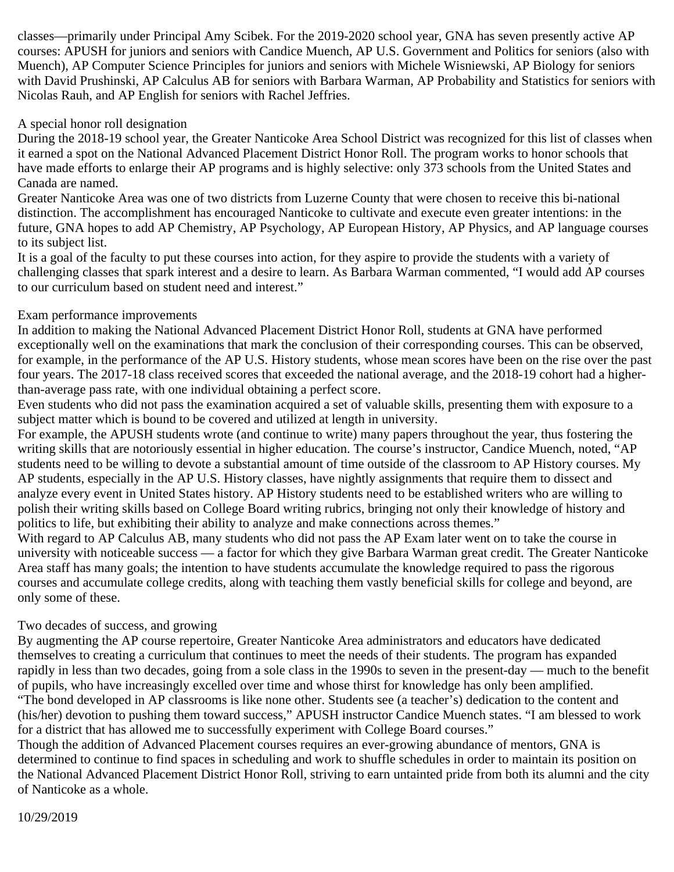classes—primarily under Principal Amy Scibek. For the 2019-2020 school year, GNA has seven presently active AP courses: APUSH for juniors and seniors with Candice Muench, AP U.S. Government and Politics for seniors (also with Muench), AP Computer Science Principles for juniors and seniors with Michele Wisniewski, AP Biology for seniors with David Prushinski, AP Calculus AB for seniors with Barbara Warman, AP Probability and Statistics for seniors with Nicolas Rauh, and AP English for seniors with Rachel Jeffries.

### A special honor roll designation

During the 2018-19 school year, the Greater Nanticoke Area School District was recognized for this list of classes when it earned a spot on the National Advanced Placement District Honor Roll. The program works to honor schools that have made efforts to enlarge their AP programs and is highly selective: only 373 schools from the United States and Canada are named.

Greater Nanticoke Area was one of two districts from Luzerne County that were chosen to receive this bi-national distinction. The accomplishment has encouraged Nanticoke to cultivate and execute even greater intentions: in the future, GNA hopes to add AP Chemistry, AP Psychology, AP European History, AP Physics, and AP language courses to its subject list.

It is a goal of the faculty to put these courses into action, for they aspire to provide the students with a variety of challenging classes that spark interest and a desire to learn. As Barbara Warman commented, "I would add AP courses to our curriculum based on student need and interest."

#### Exam performance improvements

In addition to making the National Advanced Placement District Honor Roll, students at GNA have performed exceptionally well on the examinations that mark the conclusion of their corresponding courses. This can be observed, for example, in the performance of the AP U.S. History students, whose mean scores have been on the rise over the past four years. The 2017-18 class received scores that exceeded the national average, and the 2018-19 cohort had a higherthan-average pass rate, with one individual obtaining a perfect score.

Even students who did not pass the examination acquired a set of valuable skills, presenting them with exposure to a subject matter which is bound to be covered and utilized at length in university.

For example, the APUSH students wrote (and continue to write) many papers throughout the year, thus fostering the writing skills that are notoriously essential in higher education. The course's instructor, Candice Muench, noted, "AP students need to be willing to devote a substantial amount of time outside of the classroom to AP History courses. My AP students, especially in the AP U.S. History classes, have nightly assignments that require them to dissect and analyze every event in United States history. AP History students need to be established writers who are willing to polish their writing skills based on College Board writing rubrics, bringing not only their knowledge of history and politics to life, but exhibiting their ability to analyze and make connections across themes."

With regard to AP Calculus AB, many students who did not pass the AP Exam later went on to take the course in university with noticeable success — a factor for which they give Barbara Warman great credit. The Greater Nanticoke Area staff has many goals; the intention to have students accumulate the knowledge required to pass the rigorous courses and accumulate college credits, along with teaching them vastly beneficial skills for college and beyond, are only some of these.

### Two decades of success, and growing

By augmenting the AP course repertoire, Greater Nanticoke Area administrators and educators have dedicated themselves to creating a curriculum that continues to meet the needs of their students. The program has expanded rapidly in less than two decades, going from a sole class in the 1990s to seven in the present-day — much to the benefit of pupils, who have increasingly excelled over time and whose thirst for knowledge has only been amplified. "The bond developed in AP classrooms is like none other. Students see (a teacher's) dedication to the content and (his/her) devotion to pushing them toward success," APUSH instructor Candice Muench states. "I am blessed to work for a district that has allowed me to successfully experiment with College Board courses."

Though the addition of Advanced Placement courses requires an ever-growing abundance of mentors, GNA is determined to continue to find spaces in scheduling and work to shuffle schedules in order to maintain its position on the National Advanced Placement District Honor Roll, striving to earn untainted pride from both its alumni and the city of Nanticoke as a whole.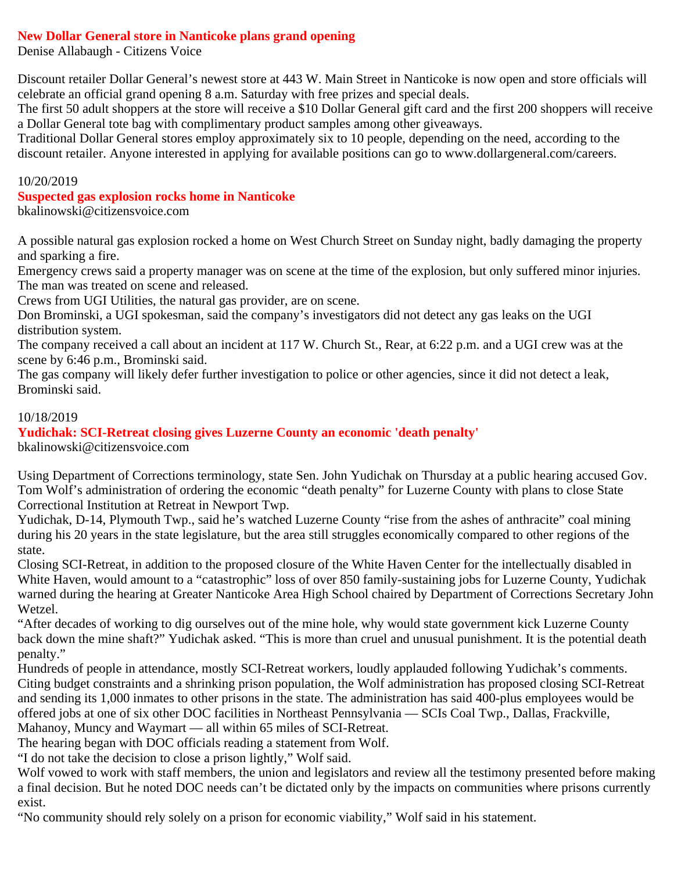### **New Dollar General store in Nanticoke plans grand opening**

Denise Allabaugh - Citizens Voice

Discount retailer Dollar General's newest store at 443 W. Main Street in Nanticoke is now open and store officials will celebrate an official grand opening 8 a.m. Saturday with free prizes and special deals.

The first 50 adult shoppers at the store will receive a \$10 Dollar General gift card and the first 200 shoppers will receive a Dollar General tote bag with complimentary product samples among other giveaways.

Traditional Dollar General stores employ approximately six to 10 people, depending on the need, according to the discount retailer. Anyone interested in applying for available positions can go to www.dollargeneral.com/careers.

#### 10/20/2019

#### **Suspected gas explosion rocks home in Nanticoke**

bkalinowski@citizensvoice.com

A possible natural gas explosion rocked a home on West Church Street on Sunday night, badly damaging the property and sparking a fire.

Emergency crews said a property manager was on scene at the time of the explosion, but only suffered minor injuries. The man was treated on scene and released.

Crews from UGI Utilities, the natural gas provider, are on scene.

Don Brominski, a UGI spokesman, said the company's investigators did not detect any gas leaks on the UGI distribution system.

The company received a call about an incident at 117 W. Church St., Rear, at 6:22 p.m. and a UGI crew was at the scene by 6:46 p.m., Brominski said.

The gas company will likely defer further investigation to police or other agencies, since it did not detect a leak, Brominski said.

### 10/18/2019

### **Yudichak: SCI-Retreat closing gives Luzerne County an economic 'death penalty'**

bkalinowski@citizensvoice.com

Using Department of Corrections terminology, state Sen. John Yudichak on Thursday at a public hearing accused Gov. Tom Wolf's administration of ordering the economic "death penalty" for Luzerne County with plans to close State Correctional Institution at Retreat in Newport Twp.

Yudichak, D-14, Plymouth Twp., said he's watched Luzerne County "rise from the ashes of anthracite" coal mining during his 20 years in the state legislature, but the area still struggles economically compared to other regions of the state.

Closing SCI-Retreat, in addition to the proposed closure of the White Haven Center for the intellectually disabled in White Haven, would amount to a "catastrophic" loss of over 850 family-sustaining jobs for Luzerne County, Yudichak warned during the hearing at Greater Nanticoke Area High School chaired by Department of Corrections Secretary John Wetzel.

"After decades of working to dig ourselves out of the mine hole, why would state government kick Luzerne County back down the mine shaft?" Yudichak asked. "This is more than cruel and unusual punishment. It is the potential death penalty."

Hundreds of people in attendance, mostly SCI-Retreat workers, loudly applauded following Yudichak's comments. Citing budget constraints and a shrinking prison population, the Wolf administration has proposed closing SCI-Retreat and sending its 1,000 inmates to other prisons in the state. The administration has said 400-plus employees would be offered jobs at one of six other DOC facilities in Northeast Pennsylvania — SCIs Coal Twp., Dallas, Frackville, Mahanoy, Muncy and Waymart — all within 65 miles of SCI-Retreat.

The hearing began with DOC officials reading a statement from Wolf.

"I do not take the decision to close a prison lightly," Wolf said.

Wolf vowed to work with staff members, the union and legislators and review all the testimony presented before making a final decision. But he noted DOC needs can't be dictated only by the impacts on communities where prisons currently exist.

"No community should rely solely on a prison for economic viability," Wolf said in his statement.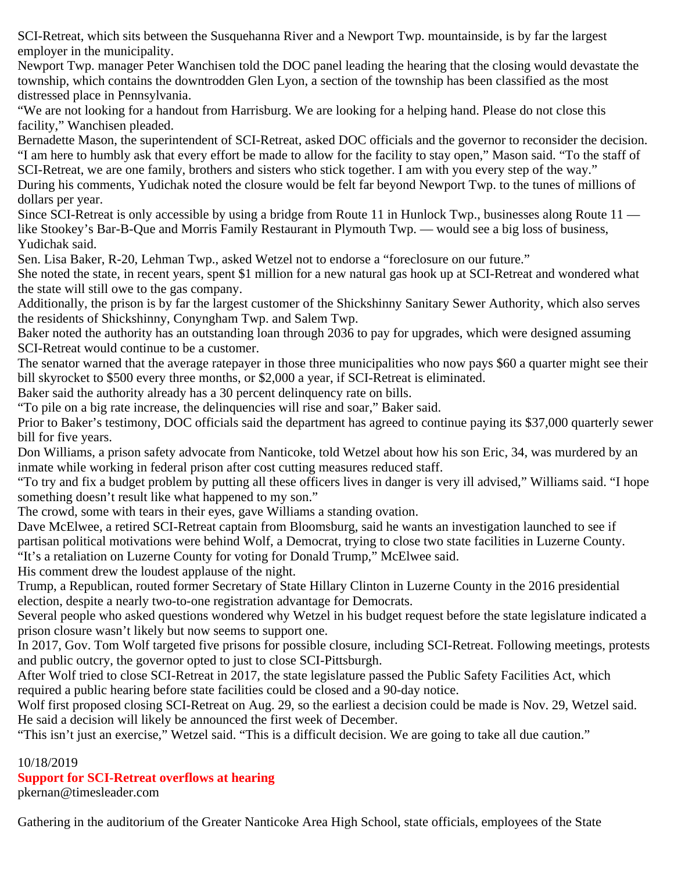SCI-Retreat, which sits between the Susquehanna River and a Newport Twp. mountainside, is by far the largest employer in the municipality.

Newport Twp. manager Peter Wanchisen told the DOC panel leading the hearing that the closing would devastate the township, which contains the downtrodden Glen Lyon, a section of the township has been classified as the most distressed place in Pennsylvania.

"We are not looking for a handout from Harrisburg. We are looking for a helping hand. Please do not close this facility," Wanchisen pleaded.

Bernadette Mason, the superintendent of SCI-Retreat, asked DOC officials and the governor to reconsider the decision. "I am here to humbly ask that every effort be made to allow for the facility to stay open," Mason said. "To the staff of SCI-Retreat, we are one family, brothers and sisters who stick together. I am with you every step of the way." During his comments, Yudichak noted the closure would be felt far beyond Newport Twp. to the tunes of millions of dollars per year.

Since SCI-Retreat is only accessible by using a bridge from Route 11 in Hunlock Twp., businesses along Route 11 like Stookey's Bar-B-Que and Morris Family Restaurant in Plymouth Twp. — would see a big loss of business, Yudichak said.

Sen. Lisa Baker, R-20, Lehman Twp., asked Wetzel not to endorse a "foreclosure on our future."

She noted the state, in recent years, spent \$1 million for a new natural gas hook up at SCI-Retreat and wondered what the state will still owe to the gas company.

Additionally, the prison is by far the largest customer of the Shickshinny Sanitary Sewer Authority, which also serves the residents of Shickshinny, Conyngham Twp. and Salem Twp.

Baker noted the authority has an outstanding loan through 2036 to pay for upgrades, which were designed assuming SCI-Retreat would continue to be a customer.

The senator warned that the average ratepayer in those three municipalities who now pays \$60 a quarter might see their bill skyrocket to \$500 every three months, or \$2,000 a year, if SCI-Retreat is eliminated.

Baker said the authority already has a 30 percent delinquency rate on bills.

"To pile on a big rate increase, the delinquencies will rise and soar," Baker said.

Prior to Baker's testimony, DOC officials said the department has agreed to continue paying its \$37,000 quarterly sewer bill for five years.

Don Williams, a prison safety advocate from Nanticoke, told Wetzel about how his son Eric, 34, was murdered by an inmate while working in federal prison after cost cutting measures reduced staff.

"To try and fix a budget problem by putting all these officers lives in danger is very ill advised," Williams said. "I hope something doesn't result like what happened to my son."

The crowd, some with tears in their eyes, gave Williams a standing ovation.

Dave McElwee, a retired SCI-Retreat captain from Bloomsburg, said he wants an investigation launched to see if partisan political motivations were behind Wolf, a Democrat, trying to close two state facilities in Luzerne County. "It's a retaliation on Luzerne County for voting for Donald Trump," McElwee said.

His comment drew the loudest applause of the night.

Trump, a Republican, routed former Secretary of State Hillary Clinton in Luzerne County in the 2016 presidential election, despite a nearly two-to-one registration advantage for Democrats.

Several people who asked questions wondered why Wetzel in his budget request before the state legislature indicated a prison closure wasn't likely but now seems to support one.

In 2017, Gov. Tom Wolf targeted five prisons for possible closure, including SCI-Retreat. Following meetings, protests and public outcry, the governor opted to just to close SCI-Pittsburgh.

After Wolf tried to close SCI-Retreat in 2017, the state legislature passed the Public Safety Facilities Act, which required a public hearing before state facilities could be closed and a 90-day notice.

Wolf first proposed closing SCI-Retreat on Aug. 29, so the earliest a decision could be made is Nov. 29, Wetzel said. He said a decision will likely be announced the first week of December.

"This isn't just an exercise," Wetzel said. "This is a difficult decision. We are going to take all due caution."

10/18/2019 **Support for SCI-Retreat overflows at hearing**

pkernan@timesleader.com

Gathering in the auditorium of the Greater Nanticoke Area High School, state officials, employees of the State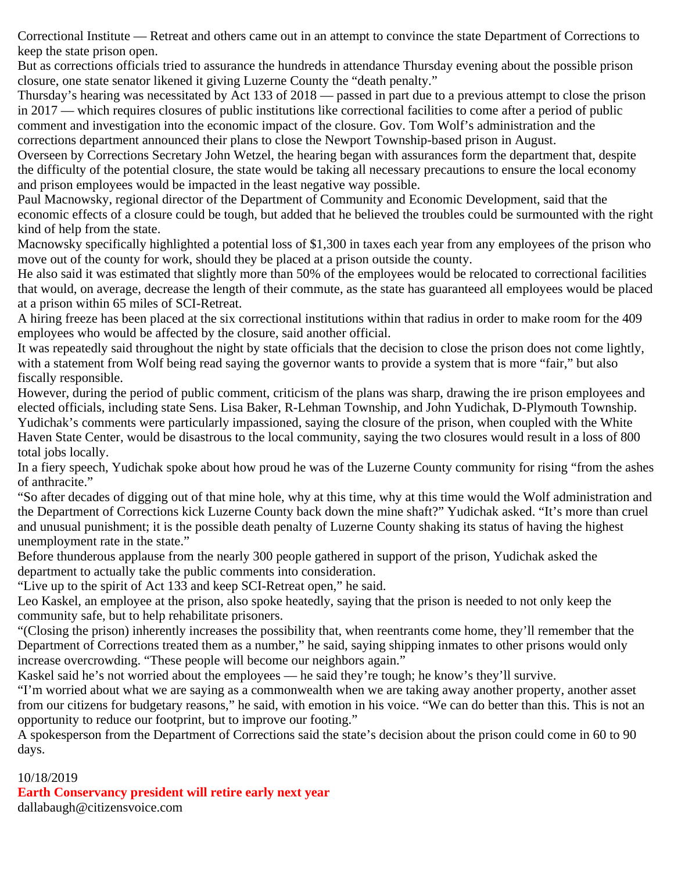Correctional Institute — Retreat and others came out in an attempt to convince the state Department of Corrections to keep the state prison open.

But as corrections officials tried to assurance the hundreds in attendance Thursday evening about the possible prison closure, one state senator likened it giving Luzerne County the "death penalty."

Thursday's hearing was necessitated by Act 133 of 2018 — passed in part due to a previous attempt to close the prison in 2017 — which requires closures of public institutions like correctional facilities to come after a period of public comment and investigation into the economic impact of the closure. Gov. Tom Wolf's administration and the corrections department announced their plans to close the Newport Township-based prison in August.

Overseen by Corrections Secretary John Wetzel, the hearing began with assurances form the department that, despite the difficulty of the potential closure, the state would be taking all necessary precautions to ensure the local economy and prison employees would be impacted in the least negative way possible.

Paul Macnowsky, regional director of the Department of Community and Economic Development, said that the economic effects of a closure could be tough, but added that he believed the troubles could be surmounted with the right kind of help from the state.

Macnowsky specifically highlighted a potential loss of \$1,300 in taxes each year from any employees of the prison who move out of the county for work, should they be placed at a prison outside the county.

He also said it was estimated that slightly more than 50% of the employees would be relocated to correctional facilities that would, on average, decrease the length of their commute, as the state has guaranteed all employees would be placed at a prison within 65 miles of SCI-Retreat.

A hiring freeze has been placed at the six correctional institutions within that radius in order to make room for the 409 employees who would be affected by the closure, said another official.

It was repeatedly said throughout the night by state officials that the decision to close the prison does not come lightly, with a statement from Wolf being read saying the governor wants to provide a system that is more "fair," but also fiscally responsible.

However, during the period of public comment, criticism of the plans was sharp, drawing the ire prison employees and elected officials, including state Sens. Lisa Baker, R-Lehman Township, and John Yudichak, D-Plymouth Township. Yudichak's comments were particularly impassioned, saying the closure of the prison, when coupled with the White Haven State Center, would be disastrous to the local community, saying the two closures would result in a loss of 800 total jobs locally.

In a fiery speech, Yudichak spoke about how proud he was of the Luzerne County community for rising "from the ashes of anthracite."

"So after decades of digging out of that mine hole, why at this time, why at this time would the Wolf administration and the Department of Corrections kick Luzerne County back down the mine shaft?" Yudichak asked. "It's more than cruel and unusual punishment; it is the possible death penalty of Luzerne County shaking its status of having the highest unemployment rate in the state."

Before thunderous applause from the nearly 300 people gathered in support of the prison, Yudichak asked the department to actually take the public comments into consideration.

"Live up to the spirit of Act 133 and keep SCI-Retreat open," he said.

Leo Kaskel, an employee at the prison, also spoke heatedly, saying that the prison is needed to not only keep the community safe, but to help rehabilitate prisoners.

"(Closing the prison) inherently increases the possibility that, when reentrants come home, they'll remember that the Department of Corrections treated them as a number," he said, saying shipping inmates to other prisons would only increase overcrowding. "These people will become our neighbors again."

Kaskel said he's not worried about the employees — he said they're tough; he know's they'll survive.

"I'm worried about what we are saying as a commonwealth when we are taking away another property, another asset from our citizens for budgetary reasons," he said, with emotion in his voice. "We can do better than this. This is not an opportunity to reduce our footprint, but to improve our footing."

A spokesperson from the Department of Corrections said the state's decision about the prison could come in 60 to 90 days.

### 10/18/2019

**Earth Conservancy president will retire early next year**

dallabaugh@citizensvoice.com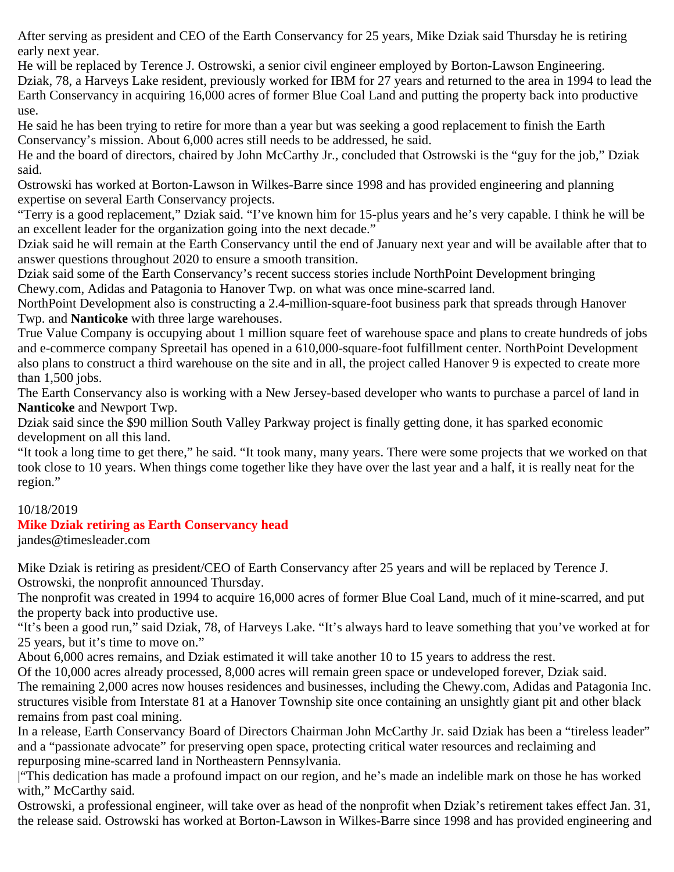After serving as president and CEO of the Earth Conservancy for 25 years, Mike Dziak said Thursday he is retiring early next year.

He will be replaced by Terence J. Ostrowski, a senior civil engineer employed by Borton-Lawson Engineering. Dziak, 78, a Harveys Lake resident, previously worked for IBM for 27 years and returned to the area in 1994 to lead the Earth Conservancy in acquiring 16,000 acres of former Blue Coal Land and putting the property back into productive use.

He said he has been trying to retire for more than a year but was seeking a good replacement to finish the Earth Conservancy's mission. About 6,000 acres still needs to be addressed, he said.

He and the board of directors, chaired by John McCarthy Jr., concluded that Ostrowski is the "guy for the job," Dziak said.

Ostrowski has worked at Borton-Lawson in Wilkes-Barre since 1998 and has provided engineering and planning expertise on several Earth Conservancy projects.

"Terry is a good replacement," Dziak said. "I've known him for 15-plus years and he's very capable. I think he will be an excellent leader for the organization going into the next decade."

Dziak said he will remain at the Earth Conservancy until the end of January next year and will be available after that to answer questions throughout 2020 to ensure a smooth transition.

Dziak said some of the Earth Conservancy's recent success stories include NorthPoint Development bringing Chewy.com, Adidas and Patagonia to Hanover Twp. on what was once mine-scarred land.

NorthPoint Development also is constructing a 2.4-million-square-foot business park that spreads through Hanover Twp. and **Nanticoke** with three large warehouses.

True Value Company is occupying about 1 million square feet of warehouse space and plans to create hundreds of jobs and e-commerce company Spreetail has opened in a 610,000-square-foot fulfillment center. NorthPoint Development also plans to construct a third warehouse on the site and in all, the project called Hanover 9 is expected to create more than 1,500 jobs.

The Earth Conservancy also is working with a New Jersey-based developer who wants to purchase a parcel of land in **Nanticoke** and Newport Twp.

Dziak said since the \$90 million South Valley Parkway project is finally getting done, it has sparked economic development on all this land.

"It took a long time to get there," he said. "It took many, many years. There were some projects that we worked on that took close to 10 years. When things come together like they have over the last year and a half, it is really neat for the region."

### 10/18/2019

### **Mike Dziak retiring as Earth Conservancy head**

jandes@timesleader.com

Mike Dziak is retiring as president/CEO of Earth Conservancy after 25 years and will be replaced by Terence J. Ostrowski, the nonprofit announced Thursday.

The nonprofit was created in 1994 to acquire 16,000 acres of former Blue Coal Land, much of it mine-scarred, and put the property back into productive use.

"It's been a good run," said Dziak, 78, of Harveys Lake. "It's always hard to leave something that you've worked at for 25 years, but it's time to move on."

About 6,000 acres remains, and Dziak estimated it will take another 10 to 15 years to address the rest.

Of the 10,000 acres already processed, 8,000 acres will remain green space or undeveloped forever, Dziak said.

The remaining 2,000 acres now houses residences and businesses, including the Chewy.com, Adidas and Patagonia Inc. structures visible from Interstate 81 at a Hanover Township site once containing an unsightly giant pit and other black remains from past coal mining.

In a release, Earth Conservancy Board of Directors Chairman John McCarthy Jr. said Dziak has been a "tireless leader" and a "passionate advocate" for preserving open space, protecting critical water resources and reclaiming and repurposing mine-scarred land in Northeastern Pennsylvania.

|"This dedication has made a profound impact on our region, and he's made an indelible mark on those he has worked with," McCarthy said.

Ostrowski, a professional engineer, will take over as head of the nonprofit when Dziak's retirement takes effect Jan. 31, the release said. Ostrowski has worked at Borton-Lawson in Wilkes-Barre since 1998 and has provided engineering and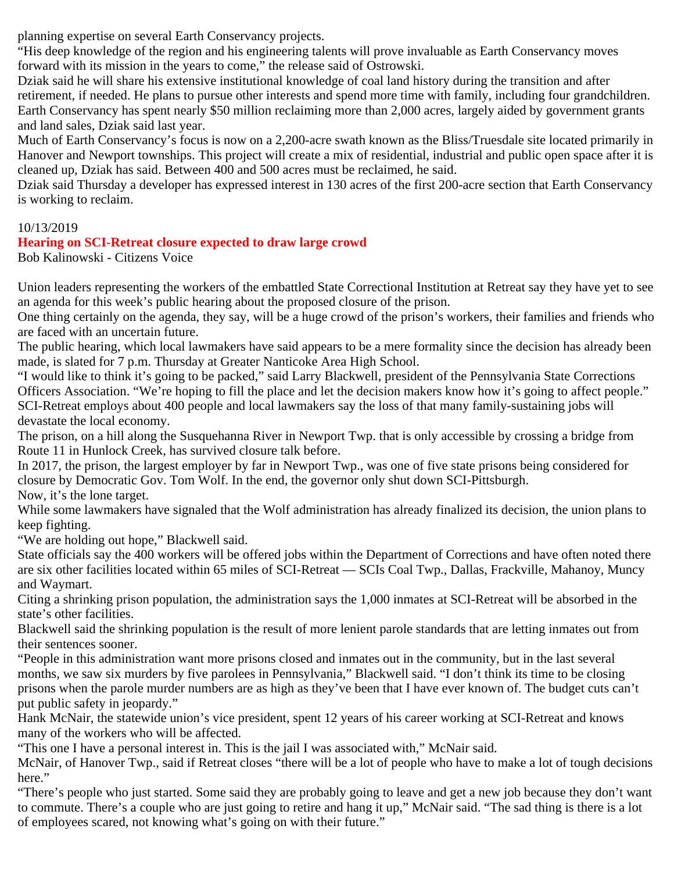planning expertise on several Earth Conservancy projects.

"His deep knowledge of the region and his engineering talents will prove invaluable as Earth Conservancy moves forward with its mission in the years to come," the release said of Ostrowski.

Dziak said he will share his extensive institutional knowledge of coal land history during the transition and after retirement, if needed. He plans to pursue other interests and spend more time with family, including four grandchildren. Earth Conservancy has spent nearly \$50 million reclaiming more than 2,000 acres, largely aided by government grants and land sales, Dziak said last year.

Much of Earth Conservancy's focus is now on a 2,200-acre swath known as the Bliss/Truesdale site located primarily in Hanover and Newport townships. This project will create a mix of residential, industrial and public open space after it is cleaned up, Dziak has said. Between 400 and 500 acres must be reclaimed, he said.

Dziak said Thursday a developer has expressed interest in 130 acres of the first 200-acre section that Earth Conservancy is working to reclaim.

### 10/13/2019

### **Hearing on SCI-Retreat closure expected to draw large crowd**

Bob Kalinowski - Citizens Voice

Union leaders representing the workers of the embattled State Correctional Institution at Retreat say they have yet to see an agenda for this week's public hearing about the proposed closure of the prison.

One thing certainly on the agenda, they say, will be a huge crowd of the prison's workers, their families and friends who are faced with an uncertain future.

The public hearing, which local lawmakers have said appears to be a mere formality since the decision has already been made, is slated for 7 p.m. Thursday at Greater Nanticoke Area High School.

"I would like to think it's going to be packed," said Larry Blackwell, president of the Pennsylvania State Corrections Officers Association. "We're hoping to fill the place and let the decision makers know how it's going to affect people." SCI-Retreat employs about 400 people and local lawmakers say the loss of that many family-sustaining jobs will devastate the local economy.

The prison, on a hill along the Susquehanna River in Newport Twp. that is only accessible by crossing a bridge from Route 11 in Hunlock Creek, has survived closure talk before.

In 2017, the prison, the largest employer by far in Newport Twp., was one of five state prisons being considered for closure by Democratic Gov. Tom Wolf. In the end, the governor only shut down SCI-Pittsburgh. Now, it's the lone target.

While some lawmakers have signaled that the Wolf administration has already finalized its decision, the union plans to keep fighting.

"We are holding out hope," Blackwell said.

State officials say the 400 workers will be offered jobs within the Department of Corrections and have often noted there are six other facilities located within 65 miles of SCI-Retreat — SCIs Coal Twp., Dallas, Frackville, Mahanoy, Muncy and Waymart.

Citing a shrinking prison population, the administration says the 1,000 inmates at SCI-Retreat will be absorbed in the state's other facilities.

Blackwell said the shrinking population is the result of more lenient parole standards that are letting inmates out from their sentences sooner.

"People in this administration want more prisons closed and inmates out in the community, but in the last several months, we saw six murders by five parolees in Pennsylvania," Blackwell said. "I don't think its time to be closing prisons when the parole murder numbers are as high as they've been that I have ever known of. The budget cuts can't put public safety in jeopardy."

Hank McNair, the statewide union's vice president, spent 12 years of his career working at SCI-Retreat and knows many of the workers who will be affected.

"This one I have a personal interest in. This is the jail I was associated with," McNair said.

McNair, of Hanover Twp., said if Retreat closes "there will be a lot of people who have to make a lot of tough decisions here."

"There's people who just started. Some said they are probably going to leave and get a new job because they don't want to commute. There's a couple who are just going to retire and hang it up," McNair said. "The sad thing is there is a lot of employees scared, not knowing what's going on with their future."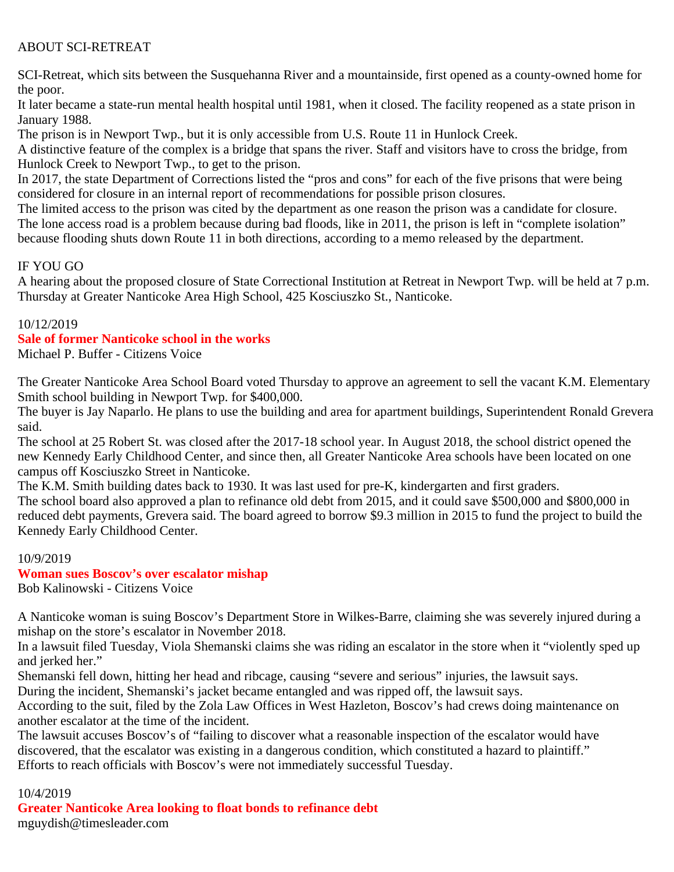### ABOUT SCI-RETREAT

SCI-Retreat, which sits between the Susquehanna River and a mountainside, first opened as a county-owned home for the poor.

It later became a state-run mental health hospital until 1981, when it closed. The facility reopened as a state prison in January 1988.

The prison is in Newport Twp., but it is only accessible from U.S. Route 11 in Hunlock Creek.

A distinctive feature of the complex is a bridge that spans the river. Staff and visitors have to cross the bridge, from Hunlock Creek to Newport Twp., to get to the prison.

In 2017, the state Department of Corrections listed the "pros and cons" for each of the five prisons that were being considered for closure in an internal report of recommendations for possible prison closures.

The limited access to the prison was cited by the department as one reason the prison was a candidate for closure. The lone access road is a problem because during bad floods, like in 2011, the prison is left in "complete isolation" because flooding shuts down Route 11 in both directions, according to a memo released by the department.

### IF YOU GO

A hearing about the proposed closure of State Correctional Institution at Retreat in Newport Twp. will be held at 7 p.m. Thursday at Greater Nanticoke Area High School, 425 Kosciuszko St., Nanticoke.

#### 10/12/2019

#### **Sale of former Nanticoke school in the works**

Michael P. Buffer - Citizens Voice

The Greater Nanticoke Area School Board voted Thursday to approve an agreement to sell the vacant K.M. Elementary Smith school building in Newport Twp. for \$400,000.

The buyer is Jay Naparlo. He plans to use the building and area for apartment buildings, Superintendent Ronald Grevera said.

The school at 25 Robert St. was closed after the 2017-18 school year. In August 2018, the school district opened the new Kennedy Early Childhood Center, and since then, all Greater Nanticoke Area schools have been located on one campus off Kosciuszko Street in Nanticoke.

The K.M. Smith building dates back to 1930. It was last used for pre-K, kindergarten and first graders. The school board also approved a plan to refinance old debt from 2015, and it could save \$500,000 and \$800,000 in reduced debt payments, Grevera said. The board agreed to borrow \$9.3 million in 2015 to fund the project to build the Kennedy Early Childhood Center.

#### 10/9/2019

## **Woman sues Boscov's over escalator mishap**

Bob Kalinowski - Citizens Voice

A Nanticoke woman is suing Boscov's Department Store in Wilkes-Barre, claiming she was severely injured during a mishap on the store's escalator in November 2018.

In a lawsuit filed Tuesday, Viola Shemanski claims she was riding an escalator in the store when it "violently sped up and jerked her."

Shemanski fell down, hitting her head and ribcage, causing "severe and serious" injuries, the lawsuit says.

During the incident, Shemanski's jacket became entangled and was ripped off, the lawsuit says.

According to the suit, filed by the Zola Law Offices in West Hazleton, Boscov's had crews doing maintenance on another escalator at the time of the incident.

The lawsuit accuses Boscov's of "failing to discover what a reasonable inspection of the escalator would have discovered, that the escalator was existing in a dangerous condition, which constituted a hazard to plaintiff." Efforts to reach officials with Boscov's were not immediately successful Tuesday.

#### 10/4/2019

**Greater Nanticoke Area looking to float bonds to refinance debt** mguydish@timesleader.com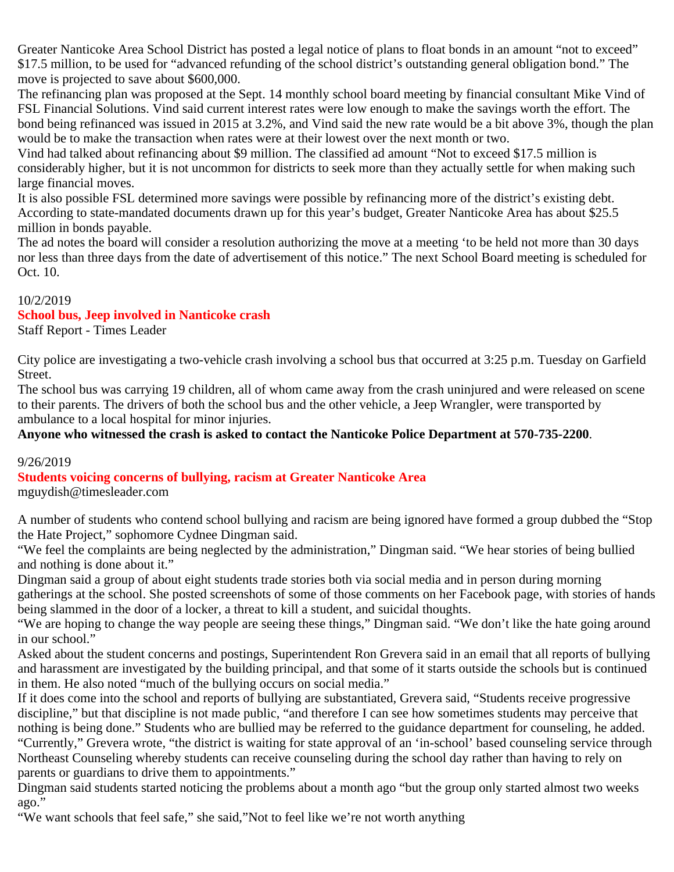Greater Nanticoke Area School District has posted a legal notice of plans to float bonds in an amount "not to exceed" \$17.5 million, to be used for "advanced refunding of the school district's outstanding general obligation bond." The move is projected to save about \$600,000.

The refinancing plan was proposed at the Sept. 14 monthly school board meeting by financial consultant Mike Vind of FSL Financial Solutions. Vind said current interest rates were low enough to make the savings worth the effort. The bond being refinanced was issued in 2015 at 3.2%, and Vind said the new rate would be a bit above 3%, though the plan would be to make the transaction when rates were at their lowest over the next month or two.

Vind had talked about refinancing about \$9 million. The classified ad amount "Not to exceed \$17.5 million is considerably higher, but it is not uncommon for districts to seek more than they actually settle for when making such large financial moves.

It is also possible FSL determined more savings were possible by refinancing more of the district's existing debt. According to state-mandated documents drawn up for this year's budget, Greater Nanticoke Area has about \$25.5 million in bonds payable.

The ad notes the board will consider a resolution authorizing the move at a meeting 'to be held not more than 30 days nor less than three days from the date of advertisement of this notice." The next School Board meeting is scheduled for Oct. 10.

### 10/2/2019

### **School bus, Jeep involved in Nanticoke crash**

Staff Report - Times Leader

City police are investigating a two-vehicle crash involving a school bus that occurred at 3:25 p.m. Tuesday on Garfield Street.

The school bus was carrying 19 children, all of whom came away from the crash uninjured and were released on scene to their parents. The drivers of both the school bus and the other vehicle, a Jeep Wrangler, were transported by ambulance to a local hospital for minor injuries.

**Anyone who witnessed the crash is asked to contact the Nanticoke Police Department at 570-735-2200**.

### 9/26/2019

**Students voicing concerns of bullying, racism at Greater Nanticoke Area**

mguydish@timesleader.com

A number of students who contend school bullying and racism are being ignored have formed a group dubbed the "Stop the Hate Project," sophomore Cydnee Dingman said.

"We feel the complaints are being neglected by the administration," Dingman said. "We hear stories of being bullied and nothing is done about it."

Dingman said a group of about eight students trade stories both via social media and in person during morning gatherings at the school. She posted screenshots of some of those comments on her Facebook page, with stories of hands being slammed in the door of a locker, a threat to kill a student, and suicidal thoughts.

"We are hoping to change the way people are seeing these things," Dingman said. "We don't like the hate going around in our school."

Asked about the student concerns and postings, Superintendent Ron Grevera said in an email that all reports of bullying and harassment are investigated by the building principal, and that some of it starts outside the schools but is continued in them. He also noted "much of the bullying occurs on social media."

If it does come into the school and reports of bullying are substantiated, Grevera said, "Students receive progressive discipline," but that discipline is not made public, "and therefore I can see how sometimes students may perceive that nothing is being done." Students who are bullied may be referred to the guidance department for counseling, he added. "Currently," Grevera wrote, "the district is waiting for state approval of an 'in-school' based counseling service through Northeast Counseling whereby students can receive counseling during the school day rather than having to rely on parents or guardians to drive them to appointments."

Dingman said students started noticing the problems about a month ago "but the group only started almost two weeks ago."

"We want schools that feel safe," she said,"Not to feel like we're not worth anything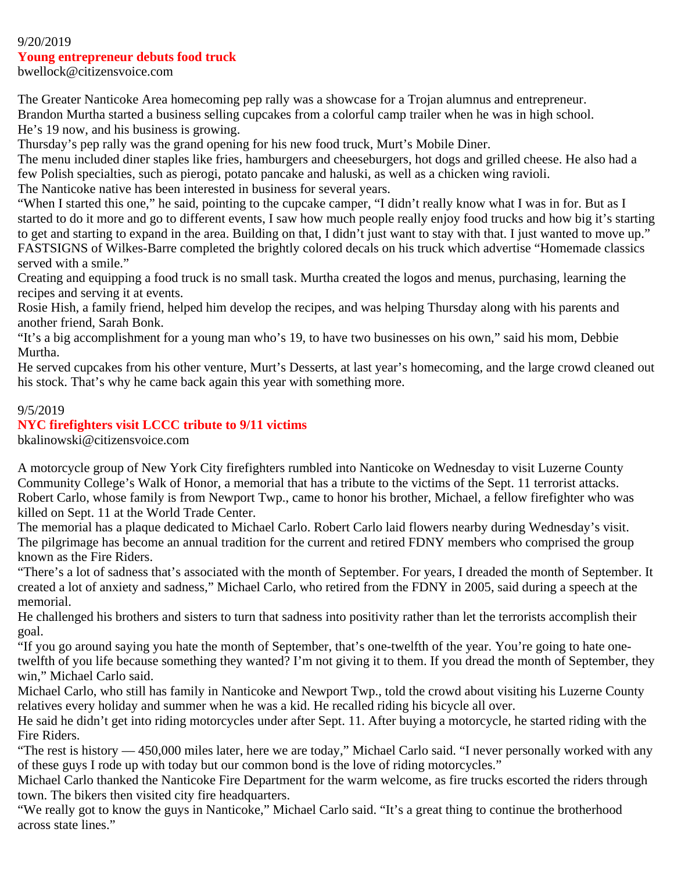#### 9/20/2019

#### **Young entrepreneur debuts food truck**

bwellock@citizensvoice.com

The Greater Nanticoke Area homecoming pep rally was a showcase for a Trojan alumnus and entrepreneur. Brandon Murtha started a business selling cupcakes from a colorful camp trailer when he was in high school. He's 19 now, and his business is growing.

Thursday's pep rally was the grand opening for his new food truck, Murt's Mobile Diner.

The menu included diner staples like fries, hamburgers and cheeseburgers, hot dogs and grilled cheese. He also had a few Polish specialties, such as pierogi, potato pancake and haluski, as well as a chicken wing ravioli.

The Nanticoke native has been interested in business for several years.

"When I started this one," he said, pointing to the cupcake camper, "I didn't really know what I was in for. But as I started to do it more and go to different events, I saw how much people really enjoy food trucks and how big it's starting to get and starting to expand in the area. Building on that, I didn't just want to stay with that. I just wanted to move up." FASTSIGNS of Wilkes-Barre completed the brightly colored decals on his truck which advertise "Homemade classics served with a smile."

Creating and equipping a food truck is no small task. Murtha created the logos and menus, purchasing, learning the recipes and serving it at events.

Rosie Hish, a family friend, helped him develop the recipes, and was helping Thursday along with his parents and another friend, Sarah Bonk.

"It's a big accomplishment for a young man who's 19, to have two businesses on his own," said his mom, Debbie Murtha.

He served cupcakes from his other venture, Murt's Desserts, at last year's homecoming, and the large crowd cleaned out his stock. That's why he came back again this year with something more.

#### 9/5/2019

#### **NYC firefighters visit LCCC tribute to 9/11 victims**

bkalinowski@citizensvoice.com

A motorcycle group of New York City firefighters rumbled into Nanticoke on Wednesday to visit Luzerne County Community College's Walk of Honor, a memorial that has a tribute to the victims of the Sept. 11 terrorist attacks. Robert Carlo, whose family is from Newport Twp., came to honor his brother, Michael, a fellow firefighter who was killed on Sept. 11 at the World Trade Center.

The memorial has a plaque dedicated to Michael Carlo. Robert Carlo laid flowers nearby during Wednesday's visit. The pilgrimage has become an annual tradition for the current and retired FDNY members who comprised the group known as the Fire Riders.

"There's a lot of sadness that's associated with the month of September. For years, I dreaded the month of September. It created a lot of anxiety and sadness," Michael Carlo, who retired from the FDNY in 2005, said during a speech at the memorial.

He challenged his brothers and sisters to turn that sadness into positivity rather than let the terrorists accomplish their goal.

"If you go around saying you hate the month of September, that's one-twelfth of the year. You're going to hate onetwelfth of you life because something they wanted? I'm not giving it to them. If you dread the month of September, they win," Michael Carlo said.

Michael Carlo, who still has family in Nanticoke and Newport Twp., told the crowd about visiting his Luzerne County relatives every holiday and summer when he was a kid. He recalled riding his bicycle all over.

He said he didn't get into riding motorcycles under after Sept. 11. After buying a motorcycle, he started riding with the Fire Riders.

"The rest is history — 450,000 miles later, here we are today," Michael Carlo said. "I never personally worked with any of these guys I rode up with today but our common bond is the love of riding motorcycles."

Michael Carlo thanked the Nanticoke Fire Department for the warm welcome, as fire trucks escorted the riders through town. The bikers then visited city fire headquarters.

"We really got to know the guys in Nanticoke," Michael Carlo said. "It's a great thing to continue the brotherhood across state lines."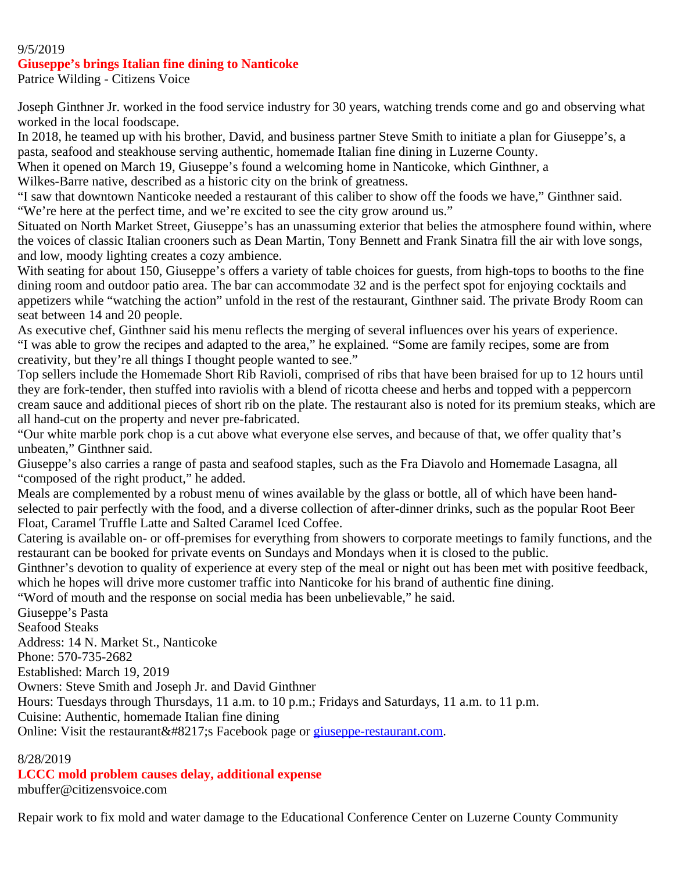#### 9/5/2019

#### **Giuseppe's brings Italian fine dining to Nanticoke**

Patrice Wilding - Citizens Voice

Joseph Ginthner Jr. worked in the food service industry for 30 years, watching trends come and go and observing what worked in the local foodscape.

In 2018, he teamed up with his brother, David, and business partner Steve Smith to initiate a plan for Giuseppe's, a pasta, seafood and steakhouse serving authentic, homemade Italian fine dining in Luzerne County.

When it opened on March 19, Giuseppe's found a welcoming home in Nanticoke, which Ginthner, a

Wilkes-Barre native, described as a historic city on the brink of greatness.

"I saw that downtown Nanticoke needed a restaurant of this caliber to show off the foods we have," Ginthner said. "We're here at the perfect time, and we're excited to see the city grow around us."

Situated on North Market Street, Giuseppe's has an unassuming exterior that belies the atmosphere found within, where the voices of classic Italian crooners such as Dean Martin, Tony Bennett and Frank Sinatra fill the air with love songs, and low, moody lighting creates a cozy ambience.

With seating for about 150, Giuseppe's offers a variety of table choices for guests, from high-tops to booths to the fine dining room and outdoor patio area. The bar can accommodate 32 and is the perfect spot for enjoying cocktails and appetizers while "watching the action" unfold in the rest of the restaurant, Ginthner said. The private Brody Room can seat between 14 and 20 people.

As executive chef, Ginthner said his menu reflects the merging of several influences over his years of experience. "I was able to grow the recipes and adapted to the area," he explained. "Some are family recipes, some are from creativity, but they're all things I thought people wanted to see."

Top sellers include the Homemade Short Rib Ravioli, comprised of ribs that have been braised for up to 12 hours until they are fork-tender, then stuffed into raviolis with a blend of ricotta cheese and herbs and topped with a peppercorn cream sauce and additional pieces of short rib on the plate. The restaurant also is noted for its premium steaks, which are all hand-cut on the property and never pre-fabricated.

"Our white marble pork chop is a cut above what everyone else serves, and because of that, we offer quality that's unbeaten," Ginthner said.

Giuseppe's also carries a range of pasta and seafood staples, such as the Fra Diavolo and Homemade Lasagna, all "composed of the right product," he added.

Meals are complemented by a robust menu of wines available by the glass or bottle, all of which have been handselected to pair perfectly with the food, and a diverse collection of after-dinner drinks, such as the popular Root Beer Float, Caramel Truffle Latte and Salted Caramel Iced Coffee.

Catering is available on- or off-premises for everything from showers to corporate meetings to family functions, and the restaurant can be booked for private events on Sundays and Mondays when it is closed to the public.

Ginthner's devotion to quality of experience at every step of the meal or night out has been met with positive feedback, which he hopes will drive more customer traffic into Nanticoke for his brand of authentic fine dining.

"Word of mouth and the response on social media has been unbelievable," he said.

Giuseppe's Pasta

Seafood Steaks

Address: 14 N. Market St., Nanticoke

Phone: 570-735-2682

Established: March 19, 2019

Owners: Steve Smith and Joseph Jr. and David Ginthner

Hours: Tuesdays through Thursdays, 11 a.m. to 10 p.m.; Fridays and Saturdays, 11 a.m. to 11 p.m.

Cuisine: Authentic, homemade Italian fine dining

Online: Visit the restaurant' Facebook page or [giuseppe-restaurant.com](http://giuseppe-restaurant.com/).

### 8/28/2019

## **LCCC mold problem causes delay, additional expense**

mbuffer@citizensvoice.com

Repair work to fix mold and water damage to the Educational Conference Center on Luzerne County Community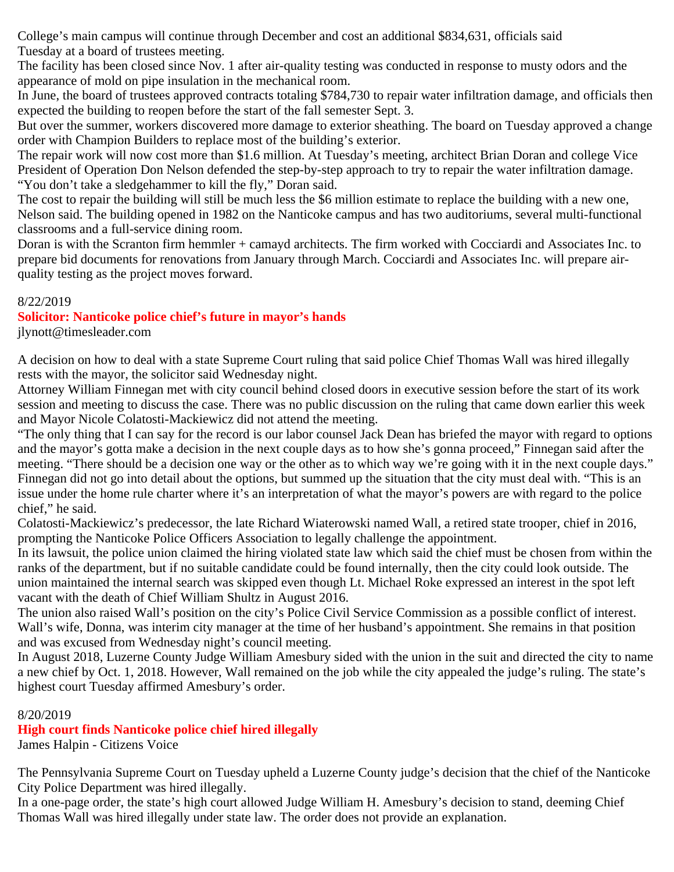College's main campus will continue through December and cost an additional \$834,631, officials said Tuesday at a board of trustees meeting.

The facility has been closed since Nov. 1 after air-quality testing was conducted in response to musty odors and the appearance of mold on pipe insulation in the mechanical room.

In June, the board of trustees approved contracts totaling \$784,730 to repair water infiltration damage, and officials then expected the building to reopen before the start of the fall semester Sept. 3.

But over the summer, workers discovered more damage to exterior sheathing. The board on Tuesday approved a change order with Champion Builders to replace most of the building's exterior.

The repair work will now cost more than \$1.6 million. At Tuesday's meeting, architect Brian Doran and college Vice President of Operation Don Nelson defended the step-by-step approach to try to repair the water infiltration damage. "You don't take a sledgehammer to kill the fly," Doran said.

The cost to repair the building will still be much less the \$6 million estimate to replace the building with a new one, Nelson said. The building opened in 1982 on the Nanticoke campus and has two auditoriums, several multi-functional classrooms and a full-service dining room.

Doran is with the Scranton firm hemmler + camayd architects. The firm worked with Cocciardi and Associates Inc. to prepare bid documents for renovations from January through March. Cocciardi and Associates Inc. will prepare airquality testing as the project moves forward.

### 8/22/2019

### **Solicitor: Nanticoke police chief's future in mayor's hands**

jlynott@timesleader.com

A decision on how to deal with a state Supreme Court ruling that said police Chief Thomas Wall was hired illegally rests with the mayor, the solicitor said Wednesday night.

Attorney William Finnegan met with city council behind closed doors in executive session before the start of its work session and meeting to discuss the case. There was no public discussion on the ruling that came down earlier this week and Mayor Nicole Colatosti-Mackiewicz did not attend the meeting.

"The only thing that I can say for the record is our labor counsel Jack Dean has briefed the mayor with regard to options and the mayor's gotta make a decision in the next couple days as to how she's gonna proceed," Finnegan said after the meeting. "There should be a decision one way or the other as to which way we're going with it in the next couple days." Finnegan did not go into detail about the options, but summed up the situation that the city must deal with. "This is an issue under the home rule charter where it's an interpretation of what the mayor's powers are with regard to the police chief," he said.

Colatosti-Mackiewicz's predecessor, the late Richard Wiaterowski named Wall, a retired state trooper, chief in 2016, prompting the Nanticoke Police Officers Association to legally challenge the appointment.

In its lawsuit, the police union claimed the hiring violated state law which said the chief must be chosen from within the ranks of the department, but if no suitable candidate could be found internally, then the city could look outside. The union maintained the internal search was skipped even though Lt. Michael Roke expressed an interest in the spot left vacant with the death of Chief William Shultz in August 2016.

The union also raised Wall's position on the city's Police Civil Service Commission as a possible conflict of interest. Wall's wife, Donna, was interim city manager at the time of her husband's appointment. She remains in that position and was excused from Wednesday night's council meeting.

In August 2018, Luzerne County Judge William Amesbury sided with the union in the suit and directed the city to name a new chief by Oct. 1, 2018. However, Wall remained on the job while the city appealed the judge's ruling. The state's highest court Tuesday affirmed Amesbury's order.

### 8/20/2019

### **High court finds Nanticoke police chief hired illegally**

James Halpin - Citizens Voice

The Pennsylvania Supreme Court on Tuesday upheld a Luzerne County judge's decision that the chief of the Nanticoke City Police Department was hired illegally.

In a one-page order, the state's high court allowed Judge William H. Amesbury's decision to stand, deeming Chief Thomas Wall was hired illegally under state law. The order does not provide an explanation.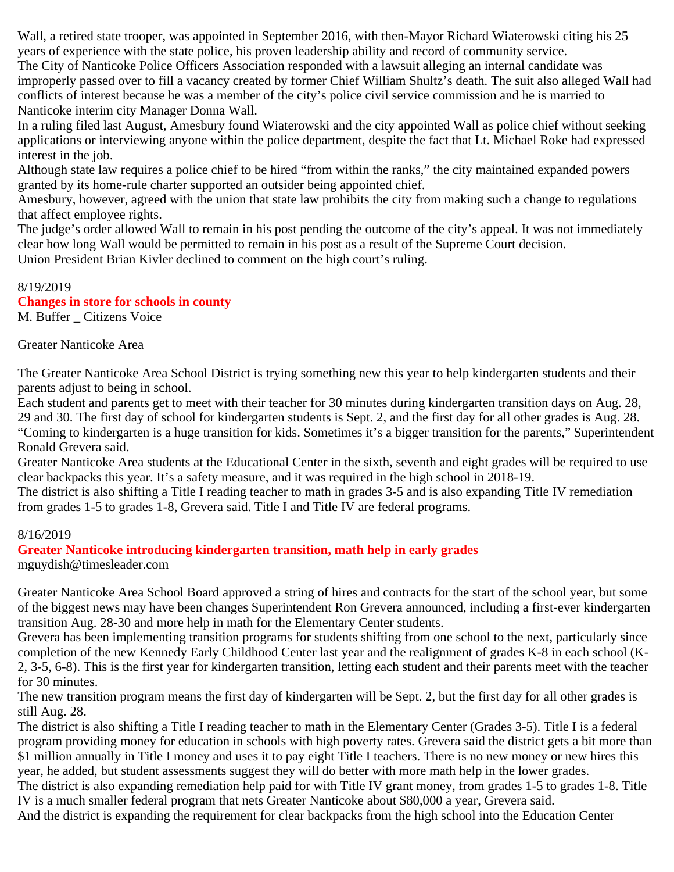Wall, a retired state trooper, was appointed in September 2016, with then-Mayor Richard Wiaterowski citing his 25 years of experience with the state police, his proven leadership ability and record of community service.

The City of Nanticoke Police Officers Association responded with a lawsuit alleging an internal candidate was improperly passed over to fill a vacancy created by former Chief William Shultz's death. The suit also alleged Wall had conflicts of interest because he was a member of the city's police civil service commission and he is married to Nanticoke interim city Manager Donna Wall.

In a ruling filed last August, Amesbury found Wiaterowski and the city appointed Wall as police chief without seeking applications or interviewing anyone within the police department, despite the fact that Lt. Michael Roke had expressed interest in the job.

Although state law requires a police chief to be hired "from within the ranks," the city maintained expanded powers granted by its home-rule charter supported an outsider being appointed chief.

Amesbury, however, agreed with the union that state law prohibits the city from making such a change to regulations that affect employee rights.

The judge's order allowed Wall to remain in his post pending the outcome of the city's appeal. It was not immediately clear how long Wall would be permitted to remain in his post as a result of the Supreme Court decision.

Union President Brian Kivler declined to comment on the high court's ruling.

8/19/2019 **Changes in store for schools in county**

M. Buffer Citizens Voice

Greater Nanticoke Area

The Greater Nanticoke Area School District is trying something new this year to help kindergarten students and their parents adjust to being in school.

Each student and parents get to meet with their teacher for 30 minutes during kindergarten transition days on Aug. 28, 29 and 30. The first day of school for kindergarten students is Sept. 2, and the first day for all other grades is Aug. 28. "Coming to kindergarten is a huge transition for kids. Sometimes it's a bigger transition for the parents," Superintendent Ronald Grevera said.

Greater Nanticoke Area students at the Educational Center in the sixth, seventh and eight grades will be required to use clear backpacks this year. It's a safety measure, and it was required in the high school in 2018-19.

The district is also shifting a Title I reading teacher to math in grades 3-5 and is also expanding Title IV remediation from grades 1-5 to grades 1-8, Grevera said. Title I and Title IV are federal programs.

### 8/16/2019

**Greater Nanticoke introducing kindergarten transition, math help in early grades** mguydish@timesleader.com

Greater Nanticoke Area School Board approved a string of hires and contracts for the start of the school year, but some of the biggest news may have been changes Superintendent Ron Grevera announced, including a first-ever kindergarten transition Aug. 28-30 and more help in math for the Elementary Center students.

Grevera has been implementing transition programs for students shifting from one school to the next, particularly since completion of the new Kennedy Early Childhood Center last year and the realignment of grades K-8 in each school (K-2, 3-5, 6-8). This is the first year for kindergarten transition, letting each student and their parents meet with the teacher for 30 minutes.

The new transition program means the first day of kindergarten will be Sept. 2, but the first day for all other grades is still Aug. 28.

The district is also shifting a Title I reading teacher to math in the Elementary Center (Grades 3-5). Title I is a federal program providing money for education in schools with high poverty rates. Grevera said the district gets a bit more than \$1 million annually in Title I money and uses it to pay eight Title I teachers. There is no new money or new hires this year, he added, but student assessments suggest they will do better with more math help in the lower grades.

The district is also expanding remediation help paid for with Title IV grant money, from grades 1-5 to grades 1-8. Title IV is a much smaller federal program that nets Greater Nanticoke about \$80,000 a year, Grevera said.

And the district is expanding the requirement for clear backpacks from the high school into the Education Center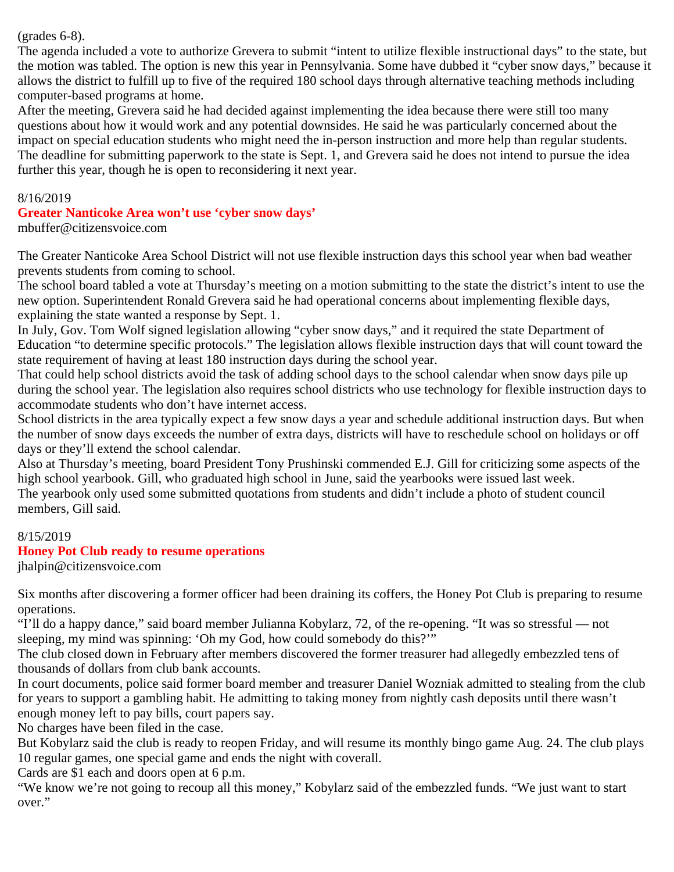(grades 6-8).

The agenda included a vote to authorize Grevera to submit "intent to utilize flexible instructional days" to the state, but the motion was tabled. The option is new this year in Pennsylvania. Some have dubbed it "cyber snow days," because it allows the district to fulfill up to five of the required 180 school days through alternative teaching methods including computer-based programs at home.

After the meeting, Grevera said he had decided against implementing the idea because there were still too many questions about how it would work and any potential downsides. He said he was particularly concerned about the impact on special education students who might need the in-person instruction and more help than regular students. The deadline for submitting paperwork to the state is Sept. 1, and Grevera said he does not intend to pursue the idea further this year, though he is open to reconsidering it next year.

#### 8/16/2019

**Greater Nanticoke Area won't use 'cyber snow days'**

mbuffer@citizensvoice.com

The Greater Nanticoke Area School District will not use flexible instruction days this school year when bad weather prevents students from coming to school.

The school board tabled a vote at Thursday's meeting on a motion submitting to the state the district's intent to use the new option. Superintendent Ronald Grevera said he had operational concerns about implementing flexible days, explaining the state wanted a response by Sept. 1.

In July, Gov. Tom Wolf signed legislation allowing "cyber snow days," and it required the state Department of Education "to determine specific protocols." The legislation allows flexible instruction days that will count toward the state requirement of having at least 180 instruction days during the school year.

That could help school districts avoid the task of adding school days to the school calendar when snow days pile up during the school year. The legislation also requires school districts who use technology for flexible instruction days to accommodate students who don't have internet access.

School districts in the area typically expect a few snow days a year and schedule additional instruction days. But when the number of snow days exceeds the number of extra days, districts will have to reschedule school on holidays or off days or they'll extend the school calendar.

Also at Thursday's meeting, board President Tony Prushinski commended E.J. Gill for criticizing some aspects of the high school yearbook. Gill, who graduated high school in June, said the yearbooks were issued last week. The yearbook only used some submitted quotations from students and didn't include a photo of student council

members, Gill said.

### 8/15/2019

### **Honey Pot Club ready to resume operations**

jhalpin@citizensvoice.com

Six months after discovering a former officer had been draining its coffers, the Honey Pot Club is preparing to resume operations.

"I'll do a happy dance," said board member Julianna Kobylarz, 72, of the re-opening. "It was so stressful — not sleeping, my mind was spinning: 'Oh my God, how could somebody do this?'"

The club closed down in February after members discovered the former treasurer had allegedly embezzled tens of thousands of dollars from club bank accounts.

In court documents, police said former board member and treasurer Daniel Wozniak admitted to stealing from the club for years to support a gambling habit. He admitting to taking money from nightly cash deposits until there wasn't enough money left to pay bills, court papers say.

No charges have been filed in the case.

But Kobylarz said the club is ready to reopen Friday, and will resume its monthly bingo game Aug. 24. The club plays 10 regular games, one special game and ends the night with coverall.

Cards are \$1 each and doors open at 6 p.m.

"We know we're not going to recoup all this money," Kobylarz said of the embezzled funds. "We just want to start over."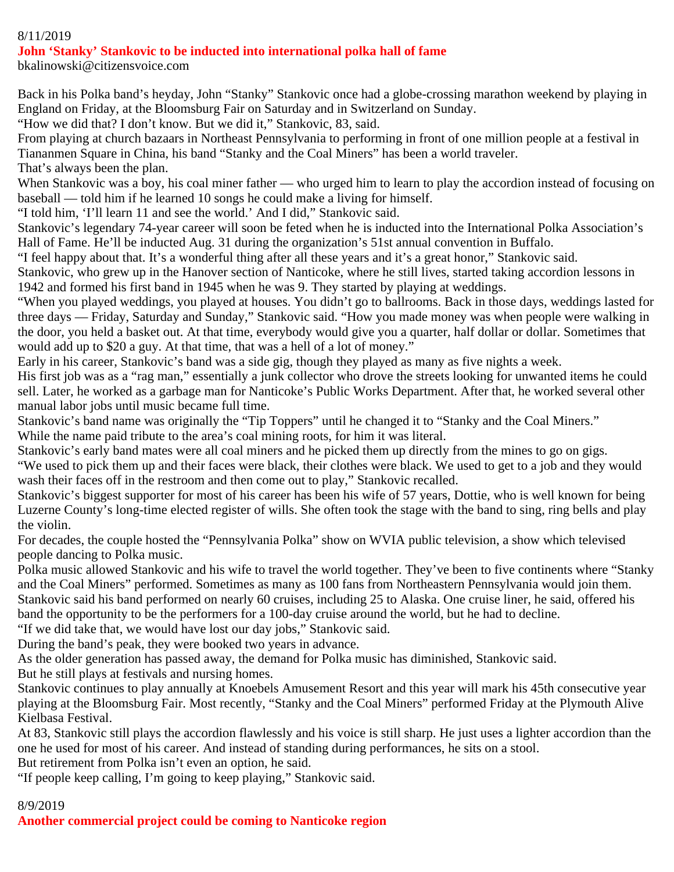### 8/11/2019

#### **John 'Stanky' Stankovic to be inducted into international polka hall of fame**

bkalinowski@citizensvoice.com

Back in his Polka band's heyday, John "Stanky" Stankovic once had a globe-crossing marathon weekend by playing in England on Friday, at the Bloomsburg Fair on Saturday and in Switzerland on Sunday.

"How we did that? I don't know. But we did it," Stankovic, 83, said.

From playing at church bazaars in Northeast Pennsylvania to performing in front of one million people at a festival in Tiananmen Square in China, his band "Stanky and the Coal Miners" has been a world traveler. That's always been the plan.

When Stankovic was a boy, his coal miner father — who urged him to learn to play the accordion instead of focusing on baseball — told him if he learned 10 songs he could make a living for himself.

"I told him, 'I'll learn 11 and see the world.' And I did," Stankovic said.

Stankovic's legendary 74-year career will soon be feted when he is inducted into the International Polka Association's Hall of Fame. He'll be inducted Aug. 31 during the organization's 51st annual convention in Buffalo.

"I feel happy about that. It's a wonderful thing after all these years and it's a great honor," Stankovic said.

Stankovic, who grew up in the Hanover section of Nanticoke, where he still lives, started taking accordion lessons in 1942 and formed his first band in 1945 when he was 9. They started by playing at weddings.

"When you played weddings, you played at houses. You didn't go to ballrooms. Back in those days, weddings lasted for three days — Friday, Saturday and Sunday," Stankovic said. "How you made money was when people were walking in the door, you held a basket out. At that time, everybody would give you a quarter, half dollar or dollar. Sometimes that would add up to \$20 a guy. At that time, that was a hell of a lot of money."

Early in his career, Stankovic's band was a side gig, though they played as many as five nights a week.

His first job was as a "rag man," essentially a junk collector who drove the streets looking for unwanted items he could sell. Later, he worked as a garbage man for Nanticoke's Public Works Department. After that, he worked several other manual labor jobs until music became full time.

Stankovic's band name was originally the "Tip Toppers" until he changed it to "Stanky and the Coal Miners." While the name paid tribute to the area's coal mining roots, for him it was literal.

Stankovic's early band mates were all coal miners and he picked them up directly from the mines to go on gigs.

"We used to pick them up and their faces were black, their clothes were black. We used to get to a job and they would wash their faces off in the restroom and then come out to play," Stankovic recalled.

Stankovic's biggest supporter for most of his career has been his wife of 57 years, Dottie, who is well known for being Luzerne County's long-time elected register of wills. She often took the stage with the band to sing, ring bells and play the violin.

For decades, the couple hosted the "Pennsylvania Polka" show on WVIA public television, a show which televised people dancing to Polka music.

Polka music allowed Stankovic and his wife to travel the world together. They've been to five continents where "Stanky and the Coal Miners" performed. Sometimes as many as 100 fans from Northeastern Pennsylvania would join them. Stankovic said his band performed on nearly 60 cruises, including 25 to Alaska. One cruise liner, he said, offered his band the opportunity to be the performers for a 100-day cruise around the world, but he had to decline.

"If we did take that, we would have lost our day jobs," Stankovic said.

During the band's peak, they were booked two years in advance.

As the older generation has passed away, the demand for Polka music has diminished, Stankovic said. But he still plays at festivals and nursing homes.

Stankovic continues to play annually at Knoebels Amusement Resort and this year will mark his 45th consecutive year playing at the Bloomsburg Fair. Most recently, "Stanky and the Coal Miners" performed Friday at the Plymouth Alive Kielbasa Festival.

At 83, Stankovic still plays the accordion flawlessly and his voice is still sharp. He just uses a lighter accordion than the one he used for most of his career. And instead of standing during performances, he sits on a stool.

But retirement from Polka isn't even an option, he said.

"If people keep calling, I'm going to keep playing," Stankovic said.

### 8/9/2019

**Another commercial project could be coming to Nanticoke region**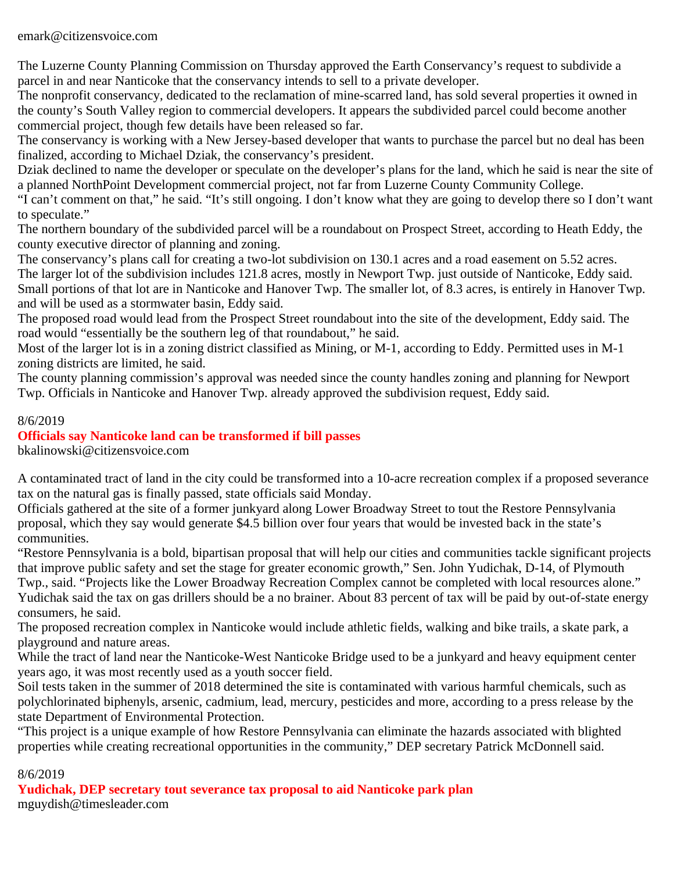emark@citizensvoice.com

The Luzerne County Planning Commission on Thursday approved the Earth Conservancy's request to subdivide a parcel in and near Nanticoke that the conservancy intends to sell to a private developer.

The nonprofit conservancy, dedicated to the reclamation of mine-scarred land, has sold several properties it owned in the county's South Valley region to commercial developers. It appears the subdivided parcel could become another commercial project, though few details have been released so far.

The conservancy is working with a New Jersey-based developer that wants to purchase the parcel but no deal has been finalized, according to Michael Dziak, the conservancy's president.

Dziak declined to name the developer or speculate on the developer's plans for the land, which he said is near the site of a planned NorthPoint Development commercial project, not far from Luzerne County Community College.

"I can't comment on that," he said. "It's still ongoing. I don't know what they are going to develop there so I don't want to speculate."

The northern boundary of the subdivided parcel will be a roundabout on Prospect Street, according to Heath Eddy, the county executive director of planning and zoning.

The conservancy's plans call for creating a two-lot subdivision on 130.1 acres and a road easement on 5.52 acres. The larger lot of the subdivision includes 121.8 acres, mostly in Newport Twp. just outside of Nanticoke, Eddy said. Small portions of that lot are in Nanticoke and Hanover Twp. The smaller lot, of 8.3 acres, is entirely in Hanover Twp. and will be used as a stormwater basin, Eddy said.

The proposed road would lead from the Prospect Street roundabout into the site of the development, Eddy said. The road would "essentially be the southern leg of that roundabout," he said.

Most of the larger lot is in a zoning district classified as Mining, or M-1, according to Eddy. Permitted uses in M-1 zoning districts are limited, he said.

The county planning commission's approval was needed since the county handles zoning and planning for Newport Twp. Officials in Nanticoke and Hanover Twp. already approved the subdivision request, Eddy said.

### 8/6/2019

### **Officials say Nanticoke land can be transformed if bill passes**

bkalinowski@citizensvoice.com

A contaminated tract of land in the city could be transformed into a 10-acre recreation complex if a proposed severance tax on the natural gas is finally passed, state officials said Monday.

Officials gathered at the site of a former junkyard along Lower Broadway Street to tout the Restore Pennsylvania proposal, which they say would generate \$4.5 billion over four years that would be invested back in the state's communities.

"Restore Pennsylvania is a bold, bipartisan proposal that will help our cities and communities tackle significant projects that improve public safety and set the stage for greater economic growth," Sen. John Yudichak, D-14, of Plymouth Twp., said. "Projects like the Lower Broadway Recreation Complex cannot be completed with local resources alone." Yudichak said the tax on gas drillers should be a no brainer. About 83 percent of tax will be paid by out-of-state energy consumers, he said.

The proposed recreation complex in Nanticoke would include athletic fields, walking and bike trails, a skate park, a playground and nature areas.

While the tract of land near the Nanticoke-West Nanticoke Bridge used to be a junkyard and heavy equipment center years ago, it was most recently used as a youth soccer field.

Soil tests taken in the summer of 2018 determined the site is contaminated with various harmful chemicals, such as polychlorinated biphenyls, arsenic, cadmium, lead, mercury, pesticides and more, according to a press release by the state Department of Environmental Protection.

"This project is a unique example of how Restore Pennsylvania can eliminate the hazards associated with blighted properties while creating recreational opportunities in the community," DEP secretary Patrick McDonnell said.

### 8/6/2019

**Yudichak, DEP secretary tout severance tax proposal to aid Nanticoke park plan** mguydish@timesleader.com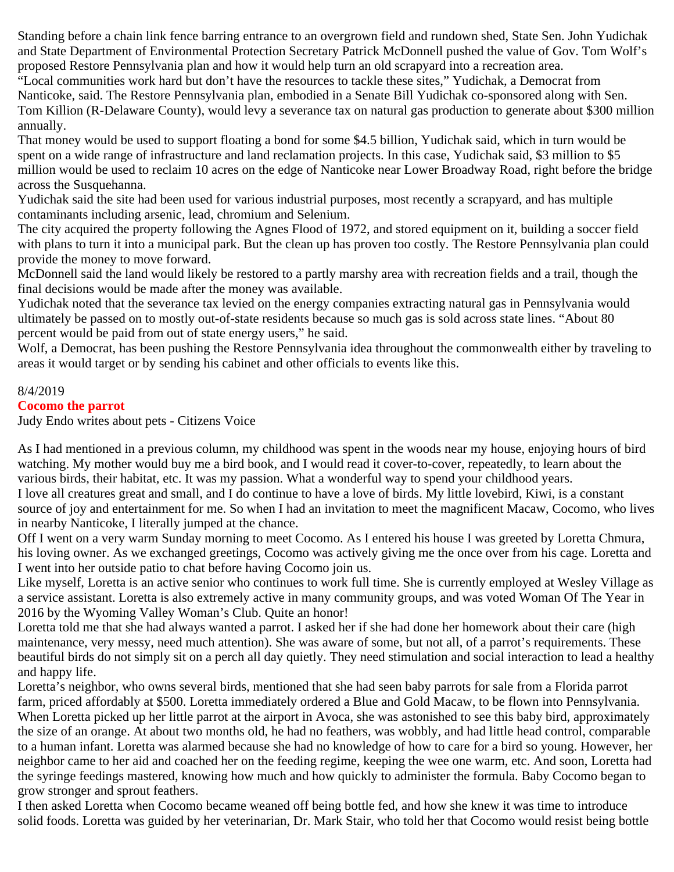Standing before a chain link fence barring entrance to an overgrown field and rundown shed, State Sen. John Yudichak and State Department of Environmental Protection Secretary Patrick McDonnell pushed the value of Gov. Tom Wolf's proposed Restore Pennsylvania plan and how it would help turn an old scrapyard into a recreation area.

"Local communities work hard but don't have the resources to tackle these sites," Yudichak, a Democrat from Nanticoke, said. The Restore Pennsylvania plan, embodied in a Senate Bill Yudichak co-sponsored along with Sen. Tom Killion (R-Delaware County), would levy a severance tax on natural gas production to generate about \$300 million annually.

That money would be used to support floating a bond for some \$4.5 billion, Yudichak said, which in turn would be spent on a wide range of infrastructure and land reclamation projects. In this case, Yudichak said, \$3 million to \$5 million would be used to reclaim 10 acres on the edge of Nanticoke near Lower Broadway Road, right before the bridge across the Susquehanna.

Yudichak said the site had been used for various industrial purposes, most recently a scrapyard, and has multiple contaminants including arsenic, lead, chromium and Selenium.

The city acquired the property following the Agnes Flood of 1972, and stored equipment on it, building a soccer field with plans to turn it into a municipal park. But the clean up has proven too costly. The Restore Pennsylvania plan could provide the money to move forward.

McDonnell said the land would likely be restored to a partly marshy area with recreation fields and a trail, though the final decisions would be made after the money was available.

Yudichak noted that the severance tax levied on the energy companies extracting natural gas in Pennsylvania would ultimately be passed on to mostly out-of-state residents because so much gas is sold across state lines. "About 80 percent would be paid from out of state energy users," he said.

Wolf, a Democrat, has been pushing the Restore Pennsylvania idea throughout the commonwealth either by traveling to areas it would target or by sending his cabinet and other officials to events like this.

#### 8/4/2019

#### **Cocomo the parrot**

Judy Endo writes about pets - Citizens Voice

As I had mentioned in a previous column, my childhood was spent in the woods near my house, enjoying hours of bird watching. My mother would buy me a bird book, and I would read it cover-to-cover, repeatedly, to learn about the various birds, their habitat, etc. It was my passion. What a wonderful way to spend your childhood years. I love all creatures great and small, and I do continue to have a love of birds. My little lovebird, Kiwi, is a constant source of joy and entertainment for me. So when I had an invitation to meet the magnificent Macaw, Cocomo, who lives

in nearby Nanticoke, I literally jumped at the chance.

Off I went on a very warm Sunday morning to meet Cocomo. As I entered his house I was greeted by Loretta Chmura, his loving owner. As we exchanged greetings, Cocomo was actively giving me the once over from his cage. Loretta and I went into her outside patio to chat before having Cocomo join us.

Like myself, Loretta is an active senior who continues to work full time. She is currently employed at Wesley Village as a service assistant. Loretta is also extremely active in many community groups, and was voted Woman Of The Year in 2016 by the Wyoming Valley Woman's Club. Quite an honor!

Loretta told me that she had always wanted a parrot. I asked her if she had done her homework about their care (high maintenance, very messy, need much attention). She was aware of some, but not all, of a parrot's requirements. These beautiful birds do not simply sit on a perch all day quietly. They need stimulation and social interaction to lead a healthy and happy life.

Loretta's neighbor, who owns several birds, mentioned that she had seen baby parrots for sale from a Florida parrot farm, priced affordably at \$500. Loretta immediately ordered a Blue and Gold Macaw, to be flown into Pennsylvania. When Loretta picked up her little parrot at the airport in Avoca, she was astonished to see this baby bird, approximately the size of an orange. At about two months old, he had no feathers, was wobbly, and had little head control, comparable to a human infant. Loretta was alarmed because she had no knowledge of how to care for a bird so young. However, her neighbor came to her aid and coached her on the feeding regime, keeping the wee one warm, etc. And soon, Loretta had the syringe feedings mastered, knowing how much and how quickly to administer the formula. Baby Cocomo began to grow stronger and sprout feathers.

I then asked Loretta when Cocomo became weaned off being bottle fed, and how she knew it was time to introduce solid foods. Loretta was guided by her veterinarian, Dr. Mark Stair, who told her that Cocomo would resist being bottle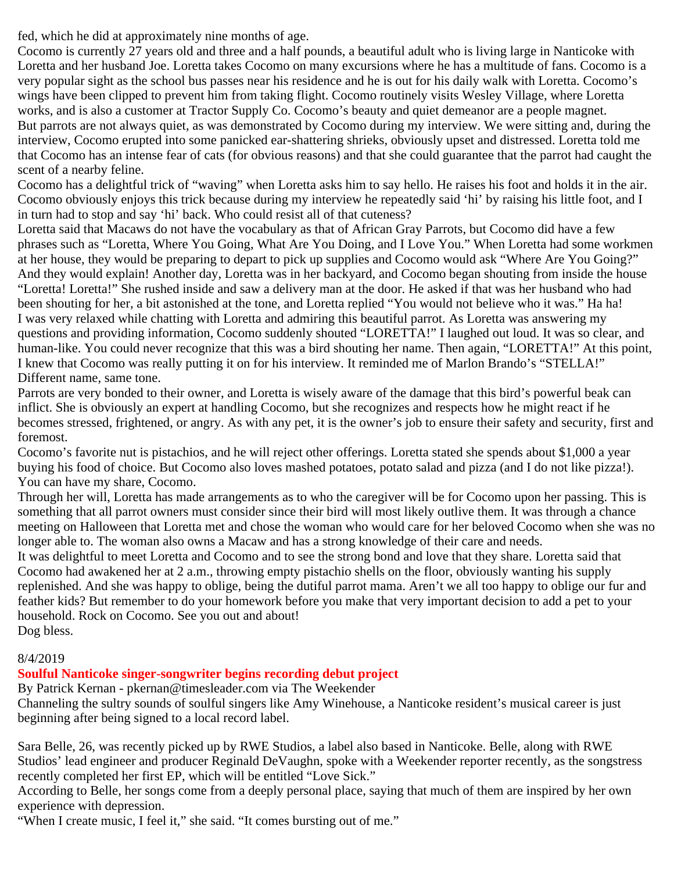fed, which he did at approximately nine months of age.

Cocomo is currently 27 years old and three and a half pounds, a beautiful adult who is living large in Nanticoke with Loretta and her husband Joe. Loretta takes Cocomo on many excursions where he has a multitude of fans. Cocomo is a very popular sight as the school bus passes near his residence and he is out for his daily walk with Loretta. Cocomo's wings have been clipped to prevent him from taking flight. Cocomo routinely visits Wesley Village, where Loretta works, and is also a customer at Tractor Supply Co. Cocomo's beauty and quiet demeanor are a people magnet. But parrots are not always quiet, as was demonstrated by Cocomo during my interview. We were sitting and, during the interview, Cocomo erupted into some panicked ear-shattering shrieks, obviously upset and distressed. Loretta told me that Cocomo has an intense fear of cats (for obvious reasons) and that she could guarantee that the parrot had caught the scent of a nearby feline.

Cocomo has a delightful trick of "waving" when Loretta asks him to say hello. He raises his foot and holds it in the air. Cocomo obviously enjoys this trick because during my interview he repeatedly said 'hi' by raising his little foot, and I in turn had to stop and say 'hi' back. Who could resist all of that cuteness?

Loretta said that Macaws do not have the vocabulary as that of African Gray Parrots, but Cocomo did have a few phrases such as "Loretta, Where You Going, What Are You Doing, and I Love You." When Loretta had some workmen at her house, they would be preparing to depart to pick up supplies and Cocomo would ask "Where Are You Going?" And they would explain! Another day, Loretta was in her backyard, and Cocomo began shouting from inside the house "Loretta! Loretta!" She rushed inside and saw a delivery man at the door. He asked if that was her husband who had been shouting for her, a bit astonished at the tone, and Loretta replied "You would not believe who it was." Ha ha! I was very relaxed while chatting with Loretta and admiring this beautiful parrot. As Loretta was answering my questions and providing information, Cocomo suddenly shouted "LORETTA!" I laughed out loud. It was so clear, and human-like. You could never recognize that this was a bird shouting her name. Then again, "LORETTA!" At this point, I knew that Cocomo was really putting it on for his interview. It reminded me of Marlon Brando's "STELLA!" Different name, same tone.

Parrots are very bonded to their owner, and Loretta is wisely aware of the damage that this bird's powerful beak can inflict. She is obviously an expert at handling Cocomo, but she recognizes and respects how he might react if he becomes stressed, frightened, or angry. As with any pet, it is the owner's job to ensure their safety and security, first and foremost.

Cocomo's favorite nut is pistachios, and he will reject other offerings. Loretta stated she spends about \$1,000 a year buying his food of choice. But Cocomo also loves mashed potatoes, potato salad and pizza (and I do not like pizza!). You can have my share, Cocomo.

Through her will, Loretta has made arrangements as to who the caregiver will be for Cocomo upon her passing. This is something that all parrot owners must consider since their bird will most likely outlive them. It was through a chance meeting on Halloween that Loretta met and chose the woman who would care for her beloved Cocomo when she was no longer able to. The woman also owns a Macaw and has a strong knowledge of their care and needs.

It was delightful to meet Loretta and Cocomo and to see the strong bond and love that they share. Loretta said that Cocomo had awakened her at 2 a.m., throwing empty pistachio shells on the floor, obviously wanting his supply replenished. And she was happy to oblige, being the dutiful parrot mama. Aren't we all too happy to oblige our fur and feather kids? But remember to do your homework before you make that very important decision to add a pet to your household. Rock on Cocomo. See you out and about! Dog bless.

### 8/4/2019

### **Soulful Nanticoke singer-songwriter begins recording debut project**

By Patrick Kernan - pkernan@timesleader.com via The Weekender

Channeling the sultry sounds of soulful singers like Amy Winehouse, a Nanticoke resident's musical career is just beginning after being signed to a local record label.

Sara Belle, 26, was recently picked up by RWE Studios, a label also based in Nanticoke. Belle, along with RWE Studios' lead engineer and producer Reginald DeVaughn, spoke with a Weekender reporter recently, as the songstress recently completed her first EP, which will be entitled "Love Sick."

According to Belle, her songs come from a deeply personal place, saying that much of them are inspired by her own experience with depression.

"When I create music, I feel it," she said. "It comes bursting out of me."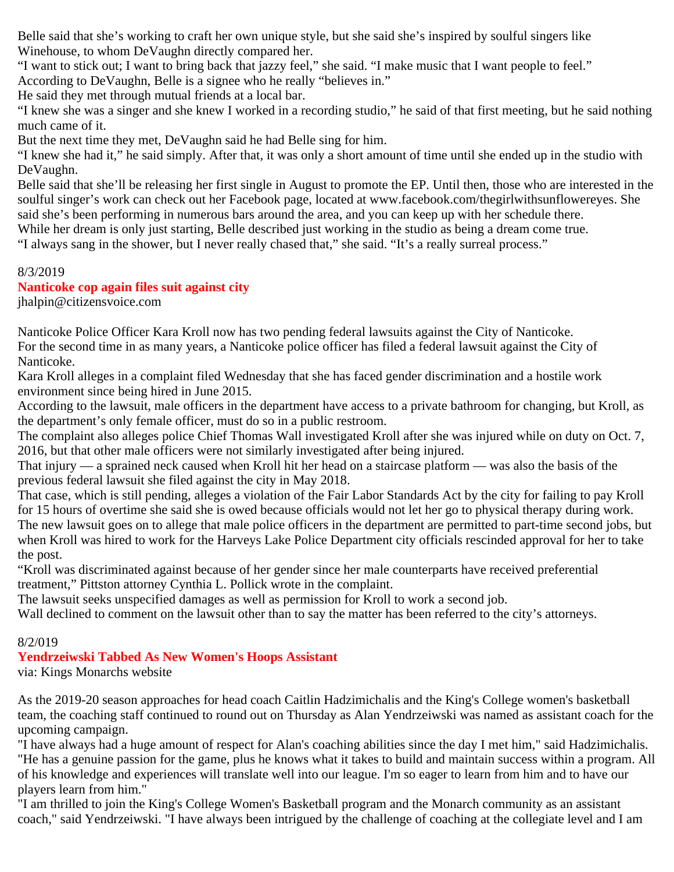Belle said that she's working to craft her own unique style, but she said she's inspired by soulful singers like Winehouse, to whom DeVaughn directly compared her.

"I want to stick out; I want to bring back that jazzy feel," she said. "I make music that I want people to feel." According to DeVaughn, Belle is a signee who he really "believes in."

He said they met through mutual friends at a local bar.

"I knew she was a singer and she knew I worked in a recording studio," he said of that first meeting, but he said nothing much came of it.

But the next time they met, DeVaughn said he had Belle sing for him.

"I knew she had it," he said simply. After that, it was only a short amount of time until she ended up in the studio with DeVaughn.

Belle said that she'll be releasing her first single in August to promote the EP. Until then, those who are interested in the soulful singer's work can check out her Facebook page, located at www.facebook.com/thegirlwithsunflowereyes. She said she's been performing in numerous bars around the area, and you can keep up with her schedule there.

While her dream is only just starting, Belle described just working in the studio as being a dream come true.

"I always sang in the shower, but I never really chased that," she said. "It's a really surreal process."

### 8/3/2019

### **Nanticoke cop again files suit against city**

jhalpin@citizensvoice.com

Nanticoke Police Officer Kara Kroll now has two pending federal lawsuits against the City of Nanticoke. For the second time in as many years, a Nanticoke police officer has filed a federal lawsuit against the City of Nanticoke.

Kara Kroll alleges in a complaint filed Wednesday that she has faced gender discrimination and a hostile work environment since being hired in June 2015.

According to the lawsuit, male officers in the department have access to a private bathroom for changing, but Kroll, as the department's only female officer, must do so in a public restroom.

The complaint also alleges police Chief Thomas Wall investigated Kroll after she was injured while on duty on Oct. 7, 2016, but that other male officers were not similarly investigated after being injured.

That injury — a sprained neck caused when Kroll hit her head on a staircase platform — was also the basis of the previous federal lawsuit she filed against the city in May 2018.

That case, which is still pending, alleges a violation of the Fair Labor Standards Act by the city for failing to pay Kroll for 15 hours of overtime she said she is owed because officials would not let her go to physical therapy during work. The new lawsuit goes on to allege that male police officers in the department are permitted to part-time second jobs, but when Kroll was hired to work for the Harveys Lake Police Department city officials rescinded approval for her to take the post.

"Kroll was discriminated against because of her gender since her male counterparts have received preferential treatment," Pittston attorney Cynthia L. Pollick wrote in the complaint.

The lawsuit seeks unspecified damages as well as permission for Kroll to work a second job.

Wall declined to comment on the lawsuit other than to say the matter has been referred to the city's attorneys.

### 8/2/019

### **Yendrzeiwski Tabbed As New Women's Hoops Assistant**

via: Kings Monarchs website

As the 2019-20 season approaches for head coach Caitlin Hadzimichalis and the King's College women's basketball team, the coaching staff continued to round out on Thursday as Alan Yendrzeiwski was named as assistant coach for the upcoming campaign.

"I have always had a huge amount of respect for Alan's coaching abilities since the day I met him," said Hadzimichalis. "He has a genuine passion for the game, plus he knows what it takes to build and maintain success within a program. All of his knowledge and experiences will translate well into our league. I'm so eager to learn from him and to have our players learn from him."

"I am thrilled to join the King's College Women's Basketball program and the Monarch community as an assistant coach," said Yendrzeiwski. "I have always been intrigued by the challenge of coaching at the collegiate level and I am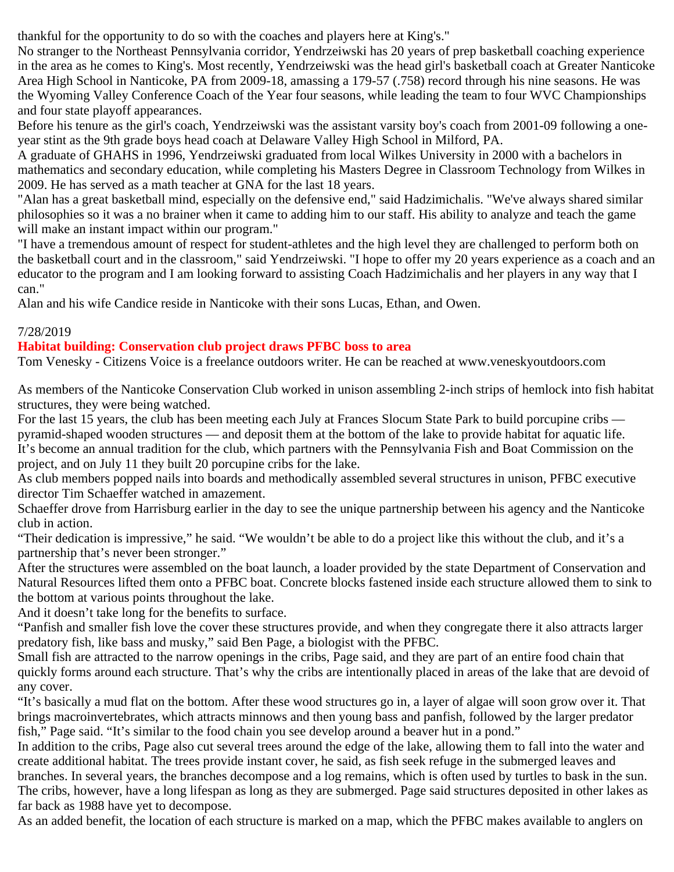thankful for the opportunity to do so with the coaches and players here at King's."

No stranger to the Northeast Pennsylvania corridor, Yendrzeiwski has 20 years of prep basketball coaching experience in the area as he comes to King's. Most recently, Yendrzeiwski was the head girl's basketball coach at Greater Nanticoke Area High School in Nanticoke, PA from 2009-18, amassing a 179-57 (.758) record through his nine seasons. He was the Wyoming Valley Conference Coach of the Year four seasons, while leading the team to four WVC Championships and four state playoff appearances.

Before his tenure as the girl's coach, Yendrzeiwski was the assistant varsity boy's coach from 2001-09 following a oneyear stint as the 9th grade boys head coach at Delaware Valley High School in Milford, PA.

A graduate of GHAHS in 1996, Yendrzeiwski graduated from local Wilkes University in 2000 with a bachelors in mathematics and secondary education, while completing his Masters Degree in Classroom Technology from Wilkes in 2009. He has served as a math teacher at GNA for the last 18 years.

"Alan has a great basketball mind, especially on the defensive end," said Hadzimichalis. "We've always shared similar philosophies so it was a no brainer when it came to adding him to our staff. His ability to analyze and teach the game will make an instant impact within our program."

"I have a tremendous amount of respect for student-athletes and the high level they are challenged to perform both on the basketball court and in the classroom," said Yendrzeiwski. "I hope to offer my 20 years experience as a coach and an educator to the program and I am looking forward to assisting Coach Hadzimichalis and her players in any way that I can."

Alan and his wife Candice reside in Nanticoke with their sons Lucas, Ethan, and Owen.

### 7/28/2019

### **Habitat building: Conservation club project draws PFBC boss to area**

Tom Venesky - Citizens Voice is a freelance outdoors writer. He can be reached at www.veneskyoutdoors.com

As members of the Nanticoke Conservation Club worked in unison assembling 2-inch strips of hemlock into fish habitat structures, they were being watched.

For the last 15 years, the club has been meeting each July at Frances Slocum State Park to build porcupine cribs pyramid-shaped wooden structures — and deposit them at the bottom of the lake to provide habitat for aquatic life. It's become an annual tradition for the club, which partners with the Pennsylvania Fish and Boat Commission on the project, and on July 11 they built 20 porcupine cribs for the lake.

As club members popped nails into boards and methodically assembled several structures in unison, PFBC executive director Tim Schaeffer watched in amazement.

Schaeffer drove from Harrisburg earlier in the day to see the unique partnership between his agency and the Nanticoke club in action.

"Their dedication is impressive," he said. "We wouldn't be able to do a project like this without the club, and it's a partnership that's never been stronger."

After the structures were assembled on the boat launch, a loader provided by the state Department of Conservation and Natural Resources lifted them onto a PFBC boat. Concrete blocks fastened inside each structure allowed them to sink to the bottom at various points throughout the lake.

And it doesn't take long for the benefits to surface.

"Panfish and smaller fish love the cover these structures provide, and when they congregate there it also attracts larger predatory fish, like bass and musky," said Ben Page, a biologist with the PFBC.

Small fish are attracted to the narrow openings in the cribs, Page said, and they are part of an entire food chain that quickly forms around each structure. That's why the cribs are intentionally placed in areas of the lake that are devoid of any cover.

"It's basically a mud flat on the bottom. After these wood structures go in, a layer of algae will soon grow over it. That brings macroinvertebrates, which attracts minnows and then young bass and panfish, followed by the larger predator fish," Page said. "It's similar to the food chain you see develop around a beaver hut in a pond."

In addition to the cribs, Page also cut several trees around the edge of the lake, allowing them to fall into the water and create additional habitat. The trees provide instant cover, he said, as fish seek refuge in the submerged leaves and branches. In several years, the branches decompose and a log remains, which is often used by turtles to bask in the sun. The cribs, however, have a long lifespan as long as they are submerged. Page said structures deposited in other lakes as far back as 1988 have yet to decompose.

As an added benefit, the location of each structure is marked on a map, which the PFBC makes available to anglers on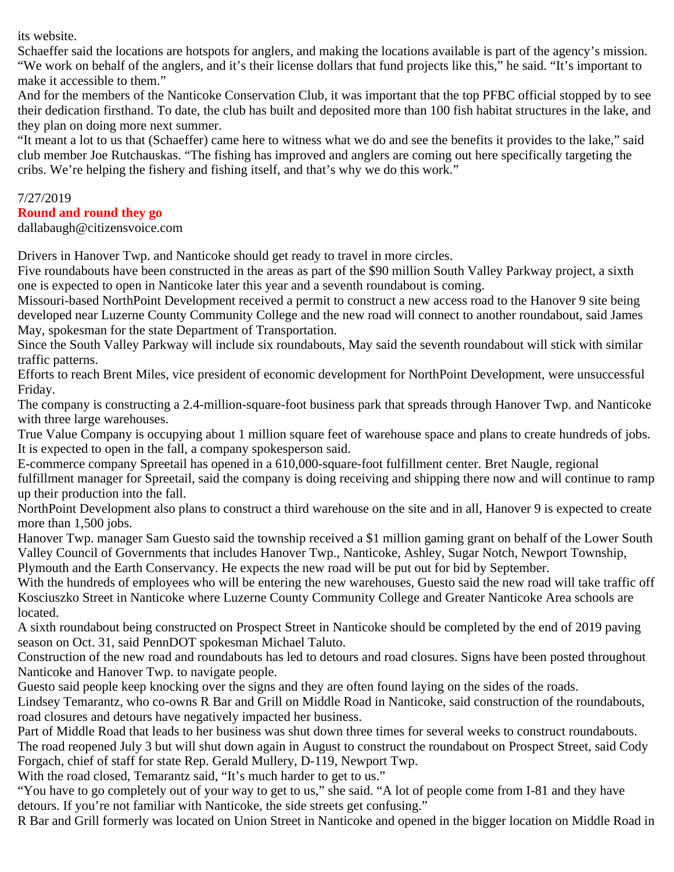its website.

Schaeffer said the locations are hotspots for anglers, and making the locations available is part of the agency's mission. "We work on behalf of the anglers, and it's their license dollars that fund projects like this," he said. "It's important to make it accessible to them."

And for the members of the Nanticoke Conservation Club, it was important that the top PFBC official stopped by to see their dedication firsthand. To date, the club has built and deposited more than 100 fish habitat structures in the lake, and they plan on doing more next summer.

"It meant a lot to us that (Schaeffer) came here to witness what we do and see the benefits it provides to the lake," said club member Joe Rutchauskas. "The fishing has improved and anglers are coming out here specifically targeting the cribs. We're helping the fishery and fishing itself, and that's why we do this work."

### 7/27/2019

### **Round and round they go**

dallabaugh@citizensvoice.com

Drivers in Hanover Twp. and Nanticoke should get ready to travel in more circles.

Five roundabouts have been constructed in the areas as part of the \$90 million South Valley Parkway project, a sixth one is expected to open in Nanticoke later this year and a seventh roundabout is coming.

Missouri-based NorthPoint Development received a permit to construct a new access road to the Hanover 9 site being developed near Luzerne County Community College and the new road will connect to another roundabout, said James May, spokesman for the state Department of Transportation.

Since the South Valley Parkway will include six roundabouts, May said the seventh roundabout will stick with similar traffic patterns.

Efforts to reach Brent Miles, vice president of economic development for NorthPoint Development, were unsuccessful Friday.

The company is constructing a 2.4-million-square-foot business park that spreads through Hanover Twp. and Nanticoke with three large warehouses.

True Value Company is occupying about 1 million square feet of warehouse space and plans to create hundreds of jobs. It is expected to open in the fall, a company spokesperson said.

E-commerce company Spreetail has opened in a 610,000-square-foot fulfillment center. Bret Naugle, regional fulfillment manager for Spreetail, said the company is doing receiving and shipping there now and will continue to ramp up their production into the fall.

NorthPoint Development also plans to construct a third warehouse on the site and in all, Hanover 9 is expected to create more than 1,500 jobs.

Hanover Twp. manager Sam Guesto said the township received a \$1 million gaming grant on behalf of the Lower South Valley Council of Governments that includes Hanover Twp., Nanticoke, Ashley, Sugar Notch, Newport Township, Plymouth and the Earth Conservancy. He expects the new road will be put out for bid by September.

With the hundreds of employees who will be entering the new warehouses, Guesto said the new road will take traffic off Kosciuszko Street in Nanticoke where Luzerne County Community College and Greater Nanticoke Area schools are located.

A sixth roundabout being constructed on Prospect Street in Nanticoke should be completed by the end of 2019 paving season on Oct. 31, said PennDOT spokesman Michael Taluto.

Construction of the new road and roundabouts has led to detours and road closures. Signs have been posted throughout Nanticoke and Hanover Twp. to navigate people.

Guesto said people keep knocking over the signs and they are often found laying on the sides of the roads.

Lindsey Temarantz, who co-owns R Bar and Grill on Middle Road in Nanticoke, said construction of the roundabouts, road closures and detours have negatively impacted her business.

Part of Middle Road that leads to her business was shut down three times for several weeks to construct roundabouts. The road reopened July 3 but will shut down again in August to construct the roundabout on Prospect Street, said Cody Forgach, chief of staff for state Rep. Gerald Mullery, D-119, Newport Twp. With the road closed, Temarantz said, "It's much harder to get to us."

"You have to go completely out of your way to get to us," she said. "A lot of people come from I-81 and they have detours. If you're not familiar with Nanticoke, the side streets get confusing."

R Bar and Grill formerly was located on Union Street in Nanticoke and opened in the bigger location on Middle Road in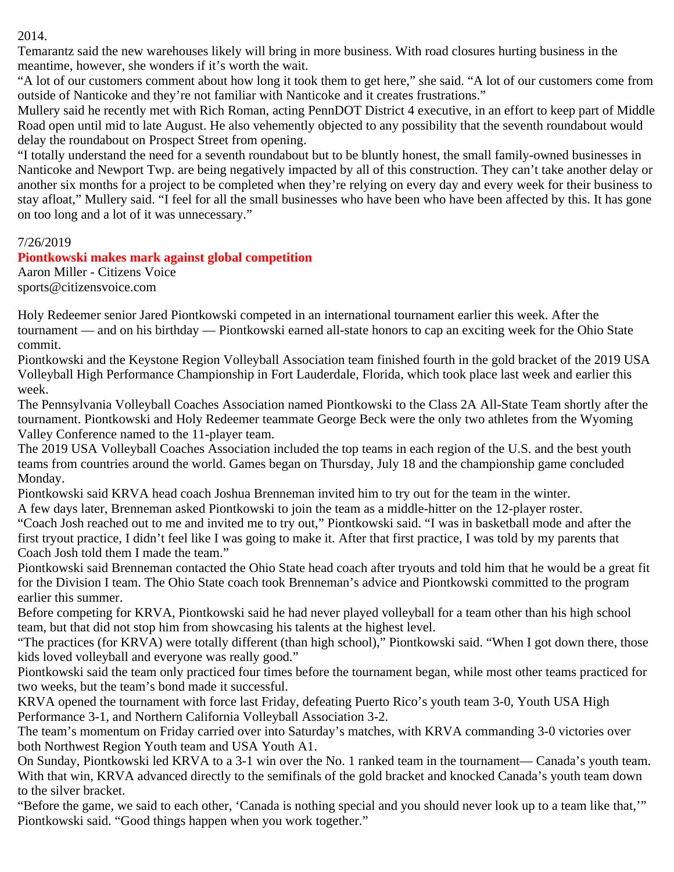### 2014.

Temarantz said the new warehouses likely will bring in more business. With road closures hurting business in the meantime, however, she wonders if it's worth the wait.

"A lot of our customers comment about how long it took them to get here," she said. "A lot of our customers come from outside of Nanticoke and they're not familiar with Nanticoke and it creates frustrations."

Mullery said he recently met with Rich Roman, acting PennDOT District 4 executive, in an effort to keep part of Middle Road open until mid to late August. He also vehemently objected to any possibility that the seventh roundabout would delay the roundabout on Prospect Street from opening.

"I totally understand the need for a seventh roundabout but to be bluntly honest, the small family-owned businesses in Nanticoke and Newport Twp. are being negatively impacted by all of this construction. They can't take another delay or another six months for a project to be completed when they're relying on every day and every week for their business to stay afloat," Mullery said. "I feel for all the small businesses who have been who have been affected by this. It has gone on too long and a lot of it was unnecessary."

### 7/26/2019

### **Piontkowski makes mark against global competition**

Aaron Miller - Citizens Voice sports@citizensvoice.com

Holy Redeemer senior Jared Piontkowski competed in an international tournament earlier this week. After the tournament — and on his birthday — Piontkowski earned all-state honors to cap an exciting week for the Ohio State commit.

Piontkowski and the Keystone Region Volleyball Association team finished fourth in the gold bracket of the 2019 USA Volleyball High Performance Championship in Fort Lauderdale, Florida, which took place last week and earlier this week.

The Pennsylvania Volleyball Coaches Association named Piontkowski to the Class 2A All-State Team shortly after the tournament. Piontkowski and Holy Redeemer teammate George Beck were the only two athletes from the Wyoming Valley Conference named to the 11-player team.

The 2019 USA Volleyball Coaches Association included the top teams in each region of the U.S. and the best youth teams from countries around the world. Games began on Thursday, July 18 and the championship game concluded Monday.

Piontkowski said KRVA head coach Joshua Brenneman invited him to try out for the team in the winter.

A few days later, Brenneman asked Piontkowski to join the team as a middle-hitter on the 12-player roster.

"Coach Josh reached out to me and invited me to try out," Piontkowski said. "I was in basketball mode and after the first tryout practice, I didn't feel like I was going to make it. After that first practice, I was told by my parents that Coach Josh told them I made the team."

Piontkowski said Brenneman contacted the Ohio State head coach after tryouts and told him that he would be a great fit for the Division I team. The Ohio State coach took Brenneman's advice and Piontkowski committed to the program earlier this summer.

Before competing for KRVA, Piontkowski said he had never played volleyball for a team other than his high school team, but that did not stop him from showcasing his talents at the highest level.

"The practices (for KRVA) were totally different (than high school)," Piontkowski said. "When I got down there, those kids loved volleyball and everyone was really good."

Piontkowski said the team only practiced four times before the tournament began, while most other teams practiced for two weeks, but the team's bond made it successful.

KRVA opened the tournament with force last Friday, defeating Puerto Rico's youth team 3-0, Youth USA High Performance 3-1, and Northern California Volleyball Association 3-2.

The team's momentum on Friday carried over into Saturday's matches, with KRVA commanding 3-0 victories over both Northwest Region Youth team and USA Youth A1.

On Sunday, Piontkowski led KRVA to a 3-1 win over the No. 1 ranked team in the tournament— Canada's youth team. With that win, KRVA advanced directly to the semifinals of the gold bracket and knocked Canada's youth team down to the silver bracket.

"Before the game, we said to each other, 'Canada is nothing special and you should never look up to a team like that,'" Piontkowski said. "Good things happen when you work together."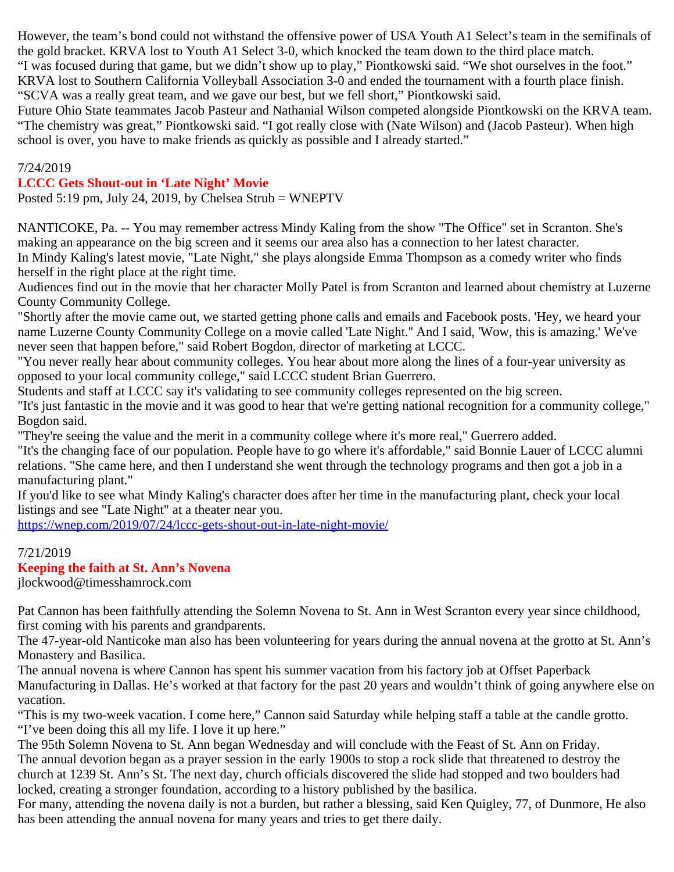However, the team's bond could not withstand the offensive power of USA Youth A1 Select's team in the semifinals of the gold bracket. KRVA lost to Youth A1 Select 3-0, which knocked the team down to the third place match. "I was focused during that game, but we didn't show up to play," Piontkowski said. "We shot ourselves in the foot." KRVA lost to Southern California Volleyball Association 3-0 and ended the tournament with a fourth place finish. "SCVA was a really great team, and we gave our best, but we fell short," Piontkowski said.

Future Ohio State teammates Jacob Pasteur and Nathanial Wilson competed alongside Piontkowski on the KRVA team. "The chemistry was great," Piontkowski said. "I got really close with (Nate Wilson) and (Jacob Pasteur). When high school is over, you have to make friends as quickly as possible and I already started."

#### 7/24/2019

### **LCCC Gets Shout-out in 'Late Night' Movie**

Posted 5:19 pm, July 24, 2019, by Chelsea Strub = WNEPTV

NANTICOKE, Pa. -- You may remember actress Mindy Kaling from the show "The Office" set in Scranton. She's making an appearance on the big screen and it seems our area also has a connection to her latest character. In Mindy Kaling's latest movie, "Late Night," she plays alongside Emma Thompson as a comedy writer who finds herself in the right place at the right time.

Audiences find out in the movie that her character Molly Patel is from Scranton and learned about chemistry at Luzerne County Community College.

"Shortly after the movie came out, we started getting phone calls and emails and Facebook posts. 'Hey, we heard your name Luzerne County Community College on a movie called 'Late Night.'' And I said, 'Wow, this is amazing.' We've never seen that happen before," said Robert Bogdon, director of marketing at LCCC.

"You never really hear about community colleges. You hear about more along the lines of a four-year university as opposed to your local community college," said LCCC student Brian Guerrero.

Students and staff at LCCC say it's validating to see community colleges represented on the big screen.

"It's just fantastic in the movie and it was good to hear that we're getting national recognition for a community college," Bogdon said.

"They're seeing the value and the merit in a community college where it's more real," Guerrero added.

"It's the changing face of our population. People have to go where it's affordable," said Bonnie Lauer of LCCC alumni relations. "She came here, and then I understand she went through the technology programs and then got a job in a manufacturing plant."

If you'd like to see what Mindy Kaling's character does after her time in the manufacturing plant, check your local listings and see "Late Night" at a theater near you.

<https://wnep.com/2019/07/24/lccc-gets-shout-out-in-late-night-movie/>

#### 7/21/2019

### **Keeping the faith at St. Ann's Novena**

jlockwood@timesshamrock.com

Pat Cannon has been faithfully attending the Solemn Novena to St. Ann in West Scranton every year since childhood, first coming with his parents and grandparents.

The 47-year-old Nanticoke man also has been volunteering for years during the annual novena at the grotto at St. Ann's Monastery and Basilica.

The annual novena is where Cannon has spent his summer vacation from his factory job at Offset Paperback Manufacturing in Dallas. He's worked at that factory for the past 20 years and wouldn't think of going anywhere else on vacation.

"This is my two-week vacation. I come here," Cannon said Saturday while helping staff a table at the candle grotto. "I've been doing this all my life. I love it up here."

The 95th Solemn Novena to St. Ann began Wednesday and will conclude with the Feast of St. Ann on Friday. The annual devotion began as a prayer session in the early 1900s to stop a rock slide that threatened to destroy the church at 1239 St. Ann's St. The next day, church officials discovered the slide had stopped and two boulders had locked, creating a stronger foundation, according to a history published by the basilica.

For many, attending the novena daily is not a burden, but rather a blessing, said Ken Quigley, 77, of Dunmore, He also has been attending the annual novena for many years and tries to get there daily.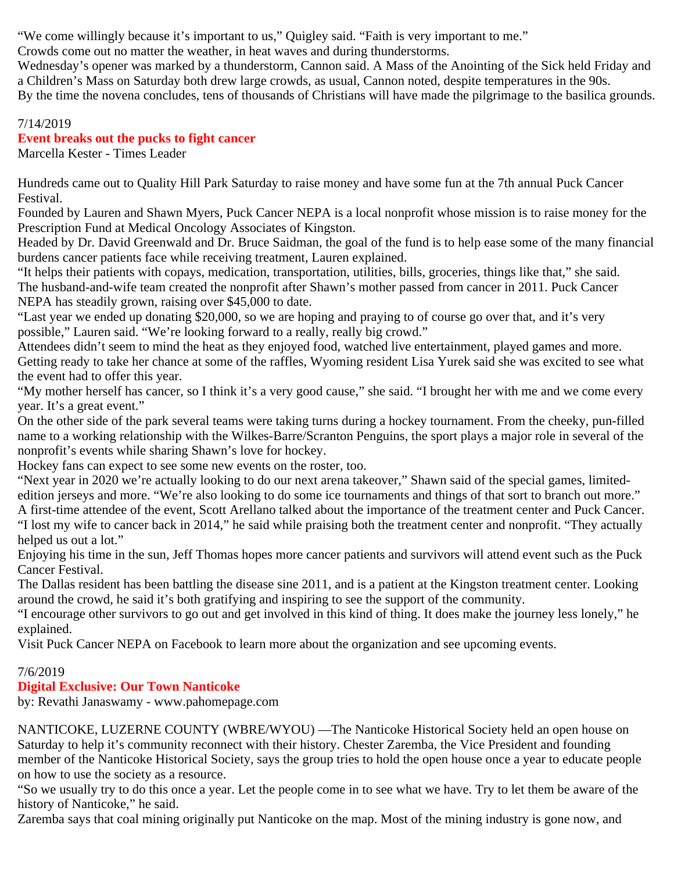"We come willingly because it's important to us," Quigley said. "Faith is very important to me."

Crowds come out no matter the weather, in heat waves and during thunderstorms.

Wednesday's opener was marked by a thunderstorm, Cannon said. A Mass of the Anointing of the Sick held Friday and a Children's Mass on Saturday both drew large crowds, as usual, Cannon noted, despite temperatures in the 90s. By the time the novena concludes, tens of thousands of Christians will have made the pilgrimage to the basilica grounds.

### 7/14/2019

### **Event breaks out the pucks to fight cancer**

Marcella Kester - Times Leader

Hundreds came out to Quality Hill Park Saturday to raise money and have some fun at the 7th annual Puck Cancer Festival.

Founded by Lauren and Shawn Myers, Puck Cancer NEPA is a local nonprofit whose mission is to raise money for the Prescription Fund at Medical Oncology Associates of Kingston.

Headed by Dr. David Greenwald and Dr. Bruce Saidman, the goal of the fund is to help ease some of the many financial burdens cancer patients face while receiving treatment, Lauren explained.

"It helps their patients with copays, medication, transportation, utilities, bills, groceries, things like that," she said. The husband-and-wife team created the nonprofit after Shawn's mother passed from cancer in 2011. Puck Cancer NEPA has steadily grown, raising over \$45,000 to date.

"Last year we ended up donating \$20,000, so we are hoping and praying to of course go over that, and it's very possible," Lauren said. "We're looking forward to a really, really big crowd."

Attendees didn't seem to mind the heat as they enjoyed food, watched live entertainment, played games and more. Getting ready to take her chance at some of the raffles, Wyoming resident Lisa Yurek said she was excited to see what the event had to offer this year.

"My mother herself has cancer, so I think it's a very good cause," she said. "I brought her with me and we come every year. It's a great event."

On the other side of the park several teams were taking turns during a hockey tournament. From the cheeky, pun-filled name to a working relationship with the Wilkes-Barre/Scranton Penguins, the sport plays a major role in several of the nonprofit's events while sharing Shawn's love for hockey.

Hockey fans can expect to see some new events on the roster, too.

"Next year in 2020 we're actually looking to do our next arena takeover," Shawn said of the special games, limited-

edition jerseys and more. "We're also looking to do some ice tournaments and things of that sort to branch out more." A first-time attendee of the event, Scott Arellano talked about the importance of the treatment center and Puck Cancer. "I lost my wife to cancer back in 2014," he said while praising both the treatment center and nonprofit. "They actually

helped us out a lot." Enjoying his time in the sun, Jeff Thomas hopes more cancer patients and survivors will attend event such as the Puck Cancer Festival.

The Dallas resident has been battling the disease sine 2011, and is a patient at the Kingston treatment center. Looking around the crowd, he said it's both gratifying and inspiring to see the support of the community.

"I encourage other survivors to go out and get involved in this kind of thing. It does make the journey less lonely," he explained.

Visit Puck Cancer NEPA on Facebook to learn more about the organization and see upcoming events.

### 7/6/2019

## **Digital Exclusive: Our Town Nanticoke**

by: Revathi Janaswamy - www.pahomepage.com

NANTICOKE, LUZERNE COUNTY (WBRE/WYOU) —The Nanticoke Historical Society held an open house on Saturday to help it's community reconnect with their history. Chester Zaremba, the Vice President and founding member of the Nanticoke Historical Society, says the group tries to hold the open house once a year to educate people on how to use the society as a resource.

"So we usually try to do this once a year. Let the people come in to see what we have. Try to let them be aware of the history of Nanticoke," he said.

Zaremba says that coal mining originally put Nanticoke on the map. Most of the mining industry is gone now, and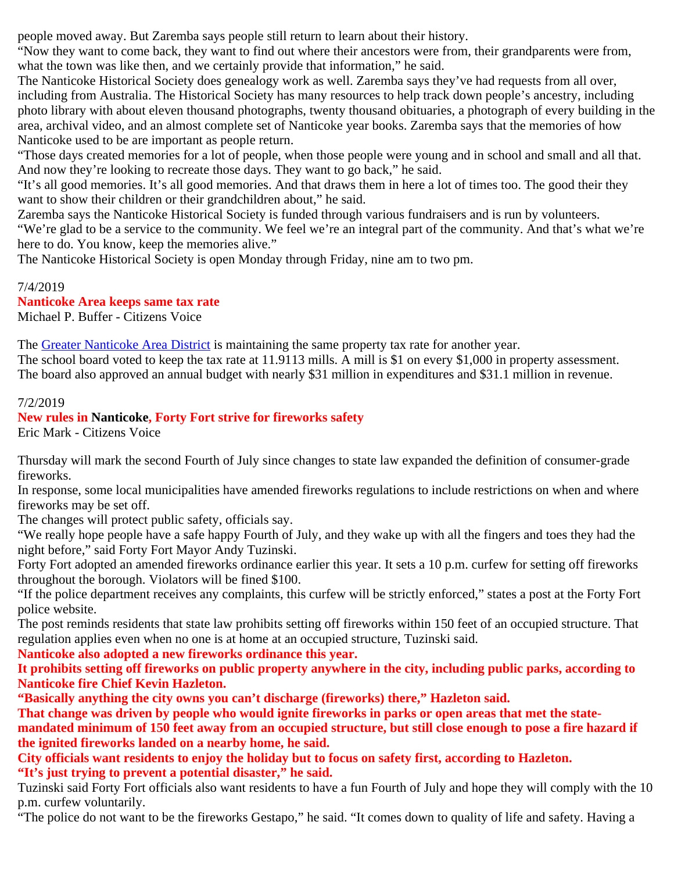people moved away. But Zaremba says people still return to learn about their history.

"Now they want to come back, they want to find out where their ancestors were from, their grandparents were from, what the town was like then, and we certainly provide that information," he said.

The Nanticoke Historical Society does genealogy work as well. Zaremba says they've had requests from all over, including from Australia. The Historical Society has many resources to help track down people's ancestry, including photo library with about eleven thousand photographs, twenty thousand obituaries, a photograph of every building in the area, archival video, and an almost complete set of Nanticoke year books. Zaremba says that the memories of how Nanticoke used to be are important as people return.

"Those days created memories for a lot of people, when those people were young and in school and small and all that. And now they're looking to recreate those days. They want to go back," he said.

"It's all good memories. It's all good memories. And that draws them in here a lot of times too. The good their they want to show their children or their grandchildren about," he said.

Zaremba says the Nanticoke Historical Society is funded through various fundraisers and is run by volunteers. "We're glad to be a service to the community. We feel we're an integral part of the community. And that's what we're here to do. You know, keep the memories alive."

The Nanticoke Historical Society is open Monday through Friday, nine am to two pm.

### 7/4/2019

### **Nanticoke Area keeps same tax rate**

Michael P. Buffer - Citizens Voice

The [Greater Nanticoke Area District](http://www.gnasd.com/) is maintaining the same property tax rate for another year. The school board voted to keep the tax rate at 11.9113 mills. A mill is \$1 on every \$1,000 in property assessment. The board also approved an annual budget with nearly \$31 million in expenditures and \$31.1 million in revenue.

### 7/2/2019

### **New rules in Nanticoke, Forty Fort strive for fireworks safety**

Eric Mark - Citizens Voice

Thursday will mark the second Fourth of July since changes to state law expanded the definition of consumer-grade fireworks.

In response, some local municipalities have amended fireworks regulations to include restrictions on when and where fireworks may be set off.

The changes will protect public safety, officials say.

"We really hope people have a safe happy Fourth of July, and they wake up with all the fingers and toes they had the night before," said Forty Fort Mayor Andy Tuzinski.

Forty Fort adopted an amended fireworks ordinance earlier this year. It sets a 10 p.m. curfew for setting off fireworks throughout the borough. Violators will be fined \$100.

"If the police department receives any complaints, this curfew will be strictly enforced," states a post at the Forty Fort police website.

The post reminds residents that state law prohibits setting off fireworks within 150 feet of an occupied structure. That regulation applies even when no one is at home at an occupied structure, Tuzinski said.

**Nanticoke also adopted a new fireworks ordinance this year.**

**It prohibits setting off fireworks on public property anywhere in the city, including public parks, according to Nanticoke fire Chief Kevin Hazleton.**

**"Basically anything the city owns you can't discharge (fireworks) there," Hazleton said.**

**That change was driven by people who would ignite fireworks in parks or open areas that met the statemandated minimum of 150 feet away from an occupied structure, but still close enough to pose a fire hazard if the ignited fireworks landed on a nearby home, he said.**

**City officials want residents to enjoy the holiday but to focus on safety first, according to Hazleton. "It's just trying to prevent a potential disaster," he said.**

Tuzinski said Forty Fort officials also want residents to have a fun Fourth of July and hope they will comply with the 10 p.m. curfew voluntarily.

"The police do not want to be the fireworks Gestapo," he said. "It comes down to quality of life and safety. Having a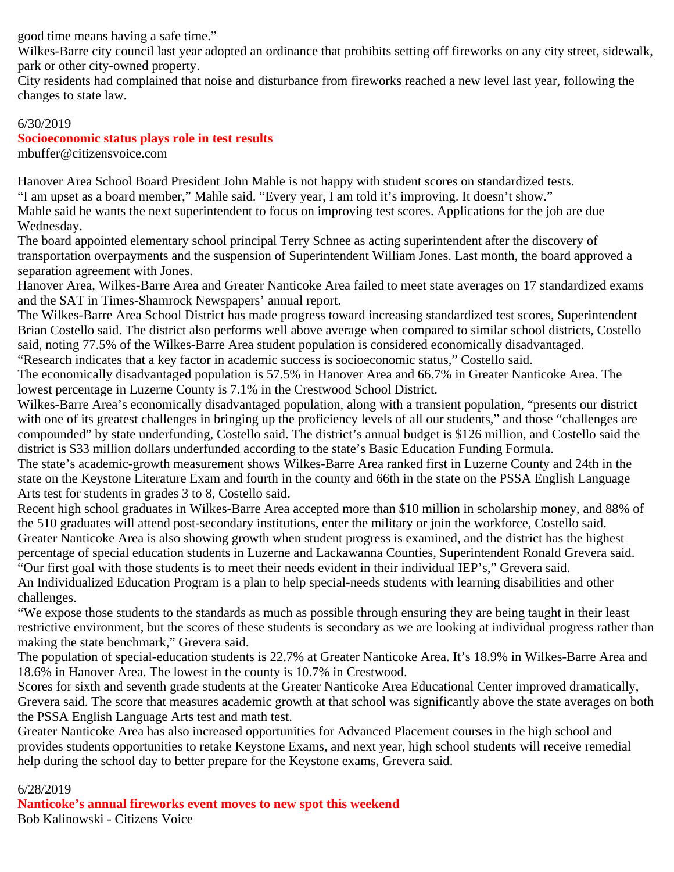good time means having a safe time."

Wilkes-Barre city council last year adopted an ordinance that prohibits setting off fireworks on any city street, sidewalk, park or other city-owned property.

City residents had complained that noise and disturbance from fireworks reached a new level last year, following the changes to state law.

#### 6/30/2019

## **Socioeconomic status plays role in test results**

mbuffer@citizensvoice.com

Hanover Area School Board President John Mahle is not happy with student scores on standardized tests. "I am upset as a board member," Mahle said. "Every year, I am told it's improving. It doesn't show." Mahle said he wants the next superintendent to focus on improving test scores. Applications for the job are due Wednesday.

The board appointed elementary school principal Terry Schnee as acting superintendent after the discovery of transportation overpayments and the suspension of Superintendent William Jones. Last month, the board approved a separation agreement with Jones.

Hanover Area, Wilkes-Barre Area and Greater Nanticoke Area failed to meet state averages on 17 standardized exams and the SAT in Times-Shamrock Newspapers' annual report.

The Wilkes-Barre Area School District has made progress toward increasing standardized test scores, Superintendent Brian Costello said. The district also performs well above average when compared to similar school districts, Costello said, noting 77.5% of the Wilkes-Barre Area student population is considered economically disadvantaged. "Research indicates that a key factor in academic success is socioeconomic status," Costello said.

The economically disadvantaged population is 57.5% in Hanover Area and 66.7% in Greater Nanticoke Area. The lowest percentage in Luzerne County is 7.1% in the Crestwood School District.

Wilkes-Barre Area's economically disadvantaged population, along with a transient population, "presents our district with one of its greatest challenges in bringing up the proficiency levels of all our students," and those "challenges are compounded" by state underfunding, Costello said. The district's annual budget is \$126 million, and Costello said the district is \$33 million dollars underfunded according to the state's Basic Education Funding Formula.

The state's academic-growth measurement shows Wilkes-Barre Area ranked first in Luzerne County and 24th in the state on the Keystone Literature Exam and fourth in the county and 66th in the state on the PSSA English Language Arts test for students in grades 3 to 8, Costello said.

Recent high school graduates in Wilkes-Barre Area accepted more than \$10 million in scholarship money, and 88% of the 510 graduates will attend post-secondary institutions, enter the military or join the workforce, Costello said. Greater Nanticoke Area is also showing growth when student progress is examined, and the district has the highest percentage of special education students in Luzerne and Lackawanna Counties, Superintendent Ronald Grevera said. "Our first goal with those students is to meet their needs evident in their individual IEP's," Grevera said.

An Individualized Education Program is a plan to help special-needs students with learning disabilities and other challenges.

"We expose those students to the standards as much as possible through ensuring they are being taught in their least restrictive environment, but the scores of these students is secondary as we are looking at individual progress rather than making the state benchmark," Grevera said.

The population of special-education students is 22.7% at Greater Nanticoke Area. It's 18.9% in Wilkes-Barre Area and 18.6% in Hanover Area. The lowest in the county is 10.7% in Crestwood.

Scores for sixth and seventh grade students at the Greater Nanticoke Area Educational Center improved dramatically, Grevera said. The score that measures academic growth at that school was significantly above the state averages on both the PSSA English Language Arts test and math test.

Greater Nanticoke Area has also increased opportunities for Advanced Placement courses in the high school and provides students opportunities to retake Keystone Exams, and next year, high school students will receive remedial help during the school day to better prepare for the Keystone exams, Grevera said.

#### 6/28/2019

**Nanticoke's annual fireworks event moves to new spot this weekend** Bob Kalinowski - Citizens Voice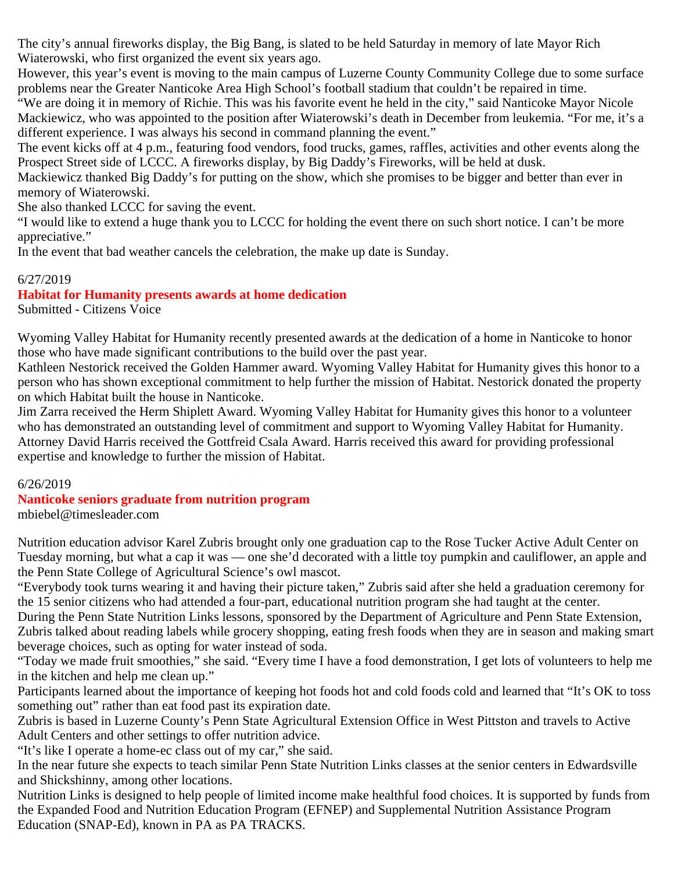The city's annual fireworks display, the Big Bang, is slated to be held Saturday in memory of late Mayor Rich Wiaterowski, who first organized the event six years ago.

However, this year's event is moving to the main campus of Luzerne County Community College due to some surface problems near the Greater Nanticoke Area High School's football stadium that couldn't be repaired in time.

"We are doing it in memory of Richie. This was his favorite event he held in the city," said Nanticoke Mayor Nicole Mackiewicz, who was appointed to the position after Wiaterowski's death in December from leukemia. "For me, it's a different experience. I was always his second in command planning the event."

The event kicks off at 4 p.m., featuring food vendors, food trucks, games, raffles, activities and other events along the Prospect Street side of LCCC. A fireworks display, by Big Daddy's Fireworks, will be held at dusk.

Mackiewicz thanked Big Daddy's for putting on the show, which she promises to be bigger and better than ever in memory of Wiaterowski.

She also thanked LCCC for saving the event.

"I would like to extend a huge thank you to LCCC for holding the event there on such short notice. I can't be more appreciative."

In the event that bad weather cancels the celebration, the make up date is Sunday.

### 6/27/2019

### **Habitat for Humanity presents awards at home dedication**

Submitted - Citizens Voice

Wyoming Valley Habitat for Humanity recently presented awards at the dedication of a home in Nanticoke to honor those who have made significant contributions to the build over the past year.

Kathleen Nestorick received the Golden Hammer award. Wyoming Valley Habitat for Humanity gives this honor to a person who has shown exceptional commitment to help further the mission of Habitat. Nestorick donated the property on which Habitat built the house in Nanticoke.

Jim Zarra received the Herm Shiplett Award. Wyoming Valley Habitat for Humanity gives this honor to a volunteer who has demonstrated an outstanding level of commitment and support to Wyoming Valley Habitat for Humanity. Attorney David Harris received the Gottfreid Csala Award. Harris received this award for providing professional expertise and knowledge to further the mission of Habitat.

### 6/26/2019

#### **Nanticoke seniors graduate from nutrition program** mbiebel@timesleader.com

Nutrition education advisor Karel Zubris brought only one graduation cap to the Rose Tucker Active Adult Center on Tuesday morning, but what a cap it was — one she'd decorated with a little toy pumpkin and cauliflower, an apple and the Penn State College of Agricultural Science's owl mascot.

"Everybody took turns wearing it and having their picture taken," Zubris said after she held a graduation ceremony for the 15 senior citizens who had attended a four-part, educational nutrition program she had taught at the center.

During the Penn State Nutrition Links lessons, sponsored by the Department of Agriculture and Penn State Extension, Zubris talked about reading labels while grocery shopping, eating fresh foods when they are in season and making smart beverage choices, such as opting for water instead of soda.

"Today we made fruit smoothies," she said. "Every time I have a food demonstration, I get lots of volunteers to help me in the kitchen and help me clean up."

Participants learned about the importance of keeping hot foods hot and cold foods cold and learned that "It's OK to toss something out" rather than eat food past its expiration date.

Zubris is based in Luzerne County's Penn State Agricultural Extension Office in West Pittston and travels to Active Adult Centers and other settings to offer nutrition advice.

"It's like I operate a home-ec class out of my car," she said.

In the near future she expects to teach similar Penn State Nutrition Links classes at the senior centers in Edwardsville and Shickshinny, among other locations.

Nutrition Links is designed to help people of limited income make healthful food choices. It is supported by funds from the Expanded Food and Nutrition Education Program (EFNEP) and Supplemental Nutrition Assistance Program Education (SNAP-Ed), known in PA as PA TRACKS.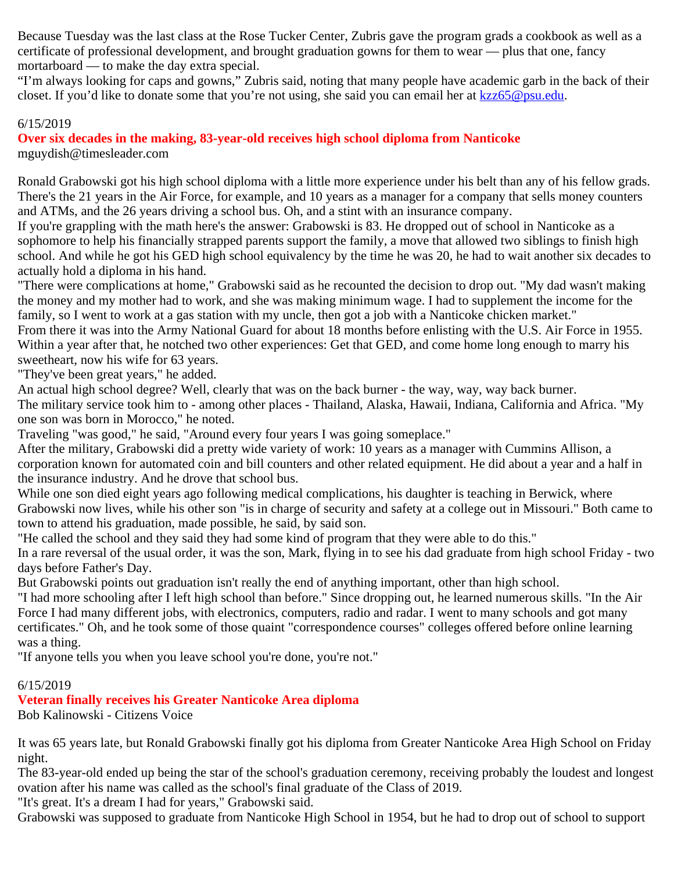Because Tuesday was the last class at the Rose Tucker Center, Zubris gave the program grads a cookbook as well as a certificate of professional development, and brought graduation gowns for them to wear — plus that one, fancy mortarboard — to make the day extra special.

"I'm always looking for caps and gowns," Zubris said, noting that many people have academic garb in the back of their closet. If you'd like to donate some that you're not using, she said you can email her at [kzz65@psu.edu](mailto:kzz65@psu.edu).

### 6/15/2019

**Over six decades in the making, 83-year-old receives high school diploma from Nanticoke** mguydish@timesleader.com

Ronald Grabowski got his high school diploma with a little more experience under his belt than any of his fellow grads. There's the 21 years in the Air Force, for example, and 10 years as a manager for a company that sells money counters and ATMs, and the 26 years driving a school bus. Oh, and a stint with an insurance company.

If you're grappling with the math here's the answer: Grabowski is 83. He dropped out of school in Nanticoke as a sophomore to help his financially strapped parents support the family, a move that allowed two siblings to finish high school. And while he got his GED high school equivalency by the time he was 20, he had to wait another six decades to actually hold a diploma in his hand.

"There were complications at home," Grabowski said as he recounted the decision to drop out. "My dad wasn't making the money and my mother had to work, and she was making minimum wage. I had to supplement the income for the family, so I went to work at a gas station with my uncle, then got a job with a Nanticoke chicken market."

From there it was into the Army National Guard for about 18 months before enlisting with the U.S. Air Force in 1955. Within a year after that, he notched two other experiences: Get that GED, and come home long enough to marry his sweetheart, now his wife for 63 years.

"They've been great years," he added.

An actual high school degree? Well, clearly that was on the back burner - the way, way, way back burner.

The military service took him to - among other places - Thailand, Alaska, Hawaii, Indiana, California and Africa. "My one son was born in Morocco," he noted.

Traveling "was good," he said, "Around every four years I was going someplace."

After the military, Grabowski did a pretty wide variety of work: 10 years as a manager with Cummins Allison, a corporation known for automated coin and bill counters and other related equipment. He did about a year and a half in the insurance industry. And he drove that school bus.

While one son died eight years ago following medical complications, his daughter is teaching in Berwick, where Grabowski now lives, while his other son "is in charge of security and safety at a college out in Missouri." Both came to town to attend his graduation, made possible, he said, by said son.

"He called the school and they said they had some kind of program that they were able to do this."

In a rare reversal of the usual order, it was the son, Mark, flying in to see his dad graduate from high school Friday - two days before Father's Day.

But Grabowski points out graduation isn't really the end of anything important, other than high school.

"I had more schooling after I left high school than before." Since dropping out, he learned numerous skills. "In the Air Force I had many different jobs, with electronics, computers, radio and radar. I went to many schools and got many certificates." Oh, and he took some of those quaint "correspondence courses" colleges offered before online learning was a thing.

"If anyone tells you when you leave school you're done, you're not."

### 6/15/2019

### **Veteran finally receives his Greater Nanticoke Area diploma**

Bob Kalinowski - Citizens Voice

It was 65 years late, but Ronald Grabowski finally got his diploma from Greater Nanticoke Area High School on Friday night.

The 83-year-old ended up being the star of the school's graduation ceremony, receiving probably the loudest and longest ovation after his name was called as the school's final graduate of the Class of 2019.

"It's great. It's a dream I had for years," Grabowski said.

Grabowski was supposed to graduate from Nanticoke High School in 1954, but he had to drop out of school to support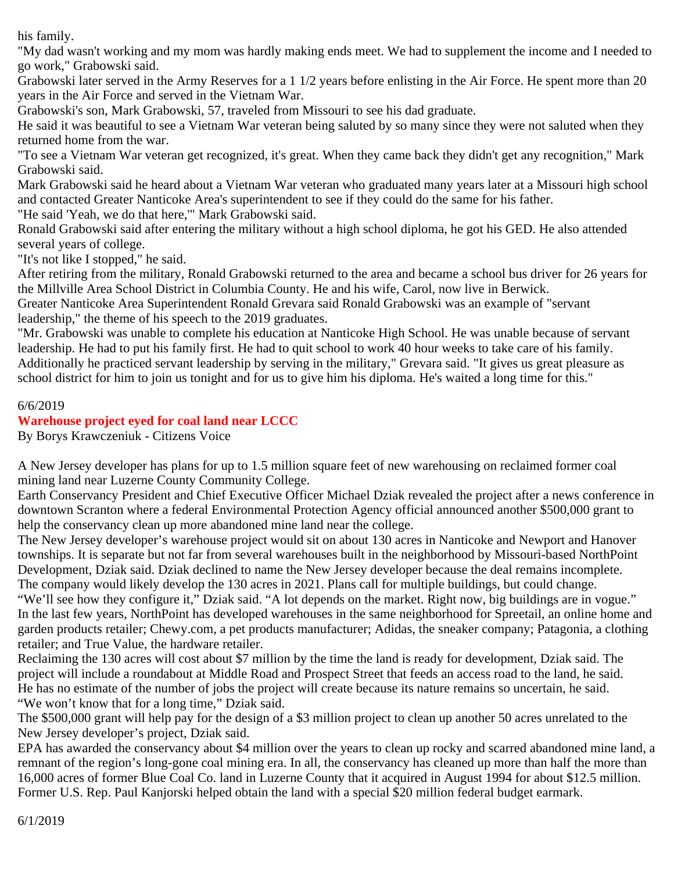his family.

"My dad wasn't working and my mom was hardly making ends meet. We had to supplement the income and I needed to go work," Grabowski said.

Grabowski later served in the Army Reserves for a 1 1/2 years before enlisting in the Air Force. He spent more than 20 years in the Air Force and served in the Vietnam War.

Grabowski's son, Mark Grabowski, 57, traveled from Missouri to see his dad graduate.

He said it was beautiful to see a Vietnam War veteran being saluted by so many since they were not saluted when they returned home from the war.

"To see a Vietnam War veteran get recognized, it's great. When they came back they didn't get any recognition," Mark Grabowski said.

Mark Grabowski said he heard about a Vietnam War veteran who graduated many years later at a Missouri high school and contacted Greater Nanticoke Area's superintendent to see if they could do the same for his father.

"He said 'Yeah, we do that here,'" Mark Grabowski said.

Ronald Grabowski said after entering the military without a high school diploma, he got his GED. He also attended several years of college.

"It's not like I stopped," he said.

After retiring from the military, Ronald Grabowski returned to the area and became a school bus driver for 26 years for the Millville Area School District in Columbia County. He and his wife, Carol, now live in Berwick.

Greater Nanticoke Area Superintendent Ronald Grevara said Ronald Grabowski was an example of "servant leadership," the theme of his speech to the 2019 graduates.

"Mr. Grabowski was unable to complete his education at Nanticoke High School. He was unable because of servant leadership. He had to put his family first. He had to quit school to work 40 hour weeks to take care of his family. Additionally he practiced servant leadership by serving in the military," Grevara said. "It gives us great pleasure as school district for him to join us tonight and for us to give him his diploma. He's waited a long time for this."

### 6/6/2019

### **Warehouse project eyed for coal land near LCCC**

By Borys Krawczeniuk - Citizens Voice

A New Jersey developer has plans for up to 1.5 million square feet of new warehousing on reclaimed former coal mining land near Luzerne County Community College.

Earth Conservancy President and Chief Executive Officer Michael Dziak revealed the project after a news conference in downtown Scranton where a federal Environmental Protection Agency official announced another \$500,000 grant to help the conservancy clean up more abandoned mine land near the college.

The New Jersey developer's warehouse project would sit on about 130 acres in Nanticoke and Newport and Hanover townships. It is separate but not far from several warehouses built in the neighborhood by Missouri-based NorthPoint Development, Dziak said. Dziak declined to name the New Jersey developer because the deal remains incomplete. The company would likely develop the 130 acres in 2021. Plans call for multiple buildings, but could change.

"We'll see how they configure it," Dziak said. "A lot depends on the market. Right now, big buildings are in vogue." In the last few years, NorthPoint has developed warehouses in the same neighborhood for Spreetail, an online home and garden products retailer; Chewy.com, a pet products manufacturer; Adidas, the sneaker company; Patagonia, a clothing retailer; and True Value, the hardware retailer.

Reclaiming the 130 acres will cost about \$7 million by the time the land is ready for development, Dziak said. The project will include a roundabout at Middle Road and Prospect Street that feeds an access road to the land, he said. He has no estimate of the number of jobs the project will create because its nature remains so uncertain, he said. "We won't know that for a long time," Dziak said.

The \$500,000 grant will help pay for the design of a \$3 million project to clean up another 50 acres unrelated to the New Jersey developer's project, Dziak said.

EPA has awarded the conservancy about \$4 million over the years to clean up rocky and scarred abandoned mine land, a remnant of the region's long-gone coal mining era. In all, the conservancy has cleaned up more than half the more than 16,000 acres of former Blue Coal Co. land in Luzerne County that it acquired in August 1994 for about \$12.5 million. Former U.S. Rep. Paul Kanjorski helped obtain the land with a special \$20 million federal budget earmark.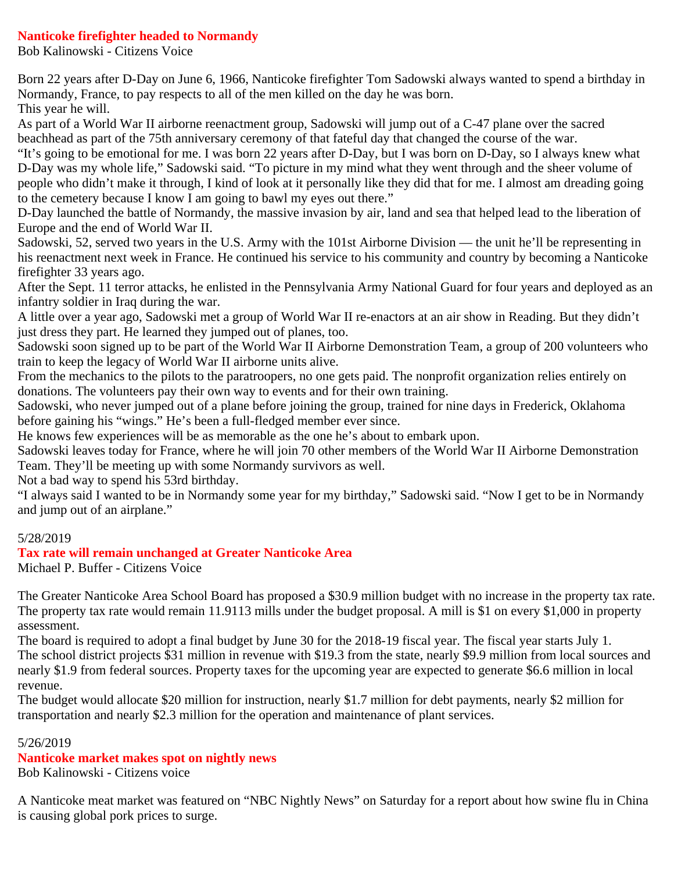### **Nanticoke firefighter headed to Normandy**

Bob Kalinowski - Citizens Voice

Born 22 years after D-Day on June 6, 1966, Nanticoke firefighter Tom Sadowski always wanted to spend a birthday in Normandy, France, to pay respects to all of the men killed on the day he was born. This year he will.

As part of a World War II airborne reenactment group, Sadowski will jump out of a C-47 plane over the sacred beachhead as part of the 75th anniversary ceremony of that fateful day that changed the course of the war.

"It's going to be emotional for me. I was born 22 years after D-Day, but I was born on D-Day, so I always knew what D-Day was my whole life," Sadowski said. "To picture in my mind what they went through and the sheer volume of people who didn't make it through, I kind of look at it personally like they did that for me. I almost am dreading going to the cemetery because I know I am going to bawl my eyes out there."

D-Day launched the battle of Normandy, the massive invasion by air, land and sea that helped lead to the liberation of Europe and the end of World War II.

Sadowski, 52, served two years in the U.S. Army with the 101st Airborne Division — the unit he'll be representing in his reenactment next week in France. He continued his service to his community and country by becoming a Nanticoke firefighter 33 years ago.

After the Sept. 11 terror attacks, he enlisted in the Pennsylvania Army National Guard for four years and deployed as an infantry soldier in Iraq during the war.

A little over a year ago, Sadowski met a group of World War II re-enactors at an air show in Reading. But they didn't just dress they part. He learned they jumped out of planes, too.

Sadowski soon signed up to be part of the World War II Airborne Demonstration Team, a group of 200 volunteers who train to keep the legacy of World War II airborne units alive.

From the mechanics to the pilots to the paratroopers, no one gets paid. The nonprofit organization relies entirely on donations. The volunteers pay their own way to events and for their own training.

Sadowski, who never jumped out of a plane before joining the group, trained for nine days in Frederick, Oklahoma before gaining his "wings." He's been a full-fledged member ever since.

He knows few experiences will be as memorable as the one he's about to embark upon.

Sadowski leaves today for France, where he will join 70 other members of the World War II Airborne Demonstration Team. They'll be meeting up with some Normandy survivors as well.

Not a bad way to spend his 53rd birthday.

"I always said I wanted to be in Normandy some year for my birthday," Sadowski said. "Now I get to be in Normandy and jump out of an airplane."

### 5/28/2019

#### **Tax rate will remain unchanged at Greater Nanticoke Area**

Michael P. Buffer - Citizens Voice

The Greater Nanticoke Area School Board has proposed a \$30.9 million budget with no increase in the property tax rate. The property tax rate would remain 11.9113 mills under the budget proposal. A mill is \$1 on every \$1,000 in property assessment.

The board is required to adopt a final budget by June 30 for the 2018-19 fiscal year. The fiscal year starts July 1. The school district projects \$31 million in revenue with \$19.3 from the state, nearly \$9.9 million from local sources and nearly \$1.9 from federal sources. Property taxes for the upcoming year are expected to generate \$6.6 million in local revenue.

The budget would allocate \$20 million for instruction, nearly \$1.7 million for debt payments, nearly \$2 million for transportation and nearly \$2.3 million for the operation and maintenance of plant services.

#### 5/26/2019

### **Nanticoke market makes spot on nightly news**

Bob Kalinowski - Citizens voice

A Nanticoke meat market was featured on "NBC Nightly News" on Saturday for a report about how swine flu in China is causing global pork prices to surge.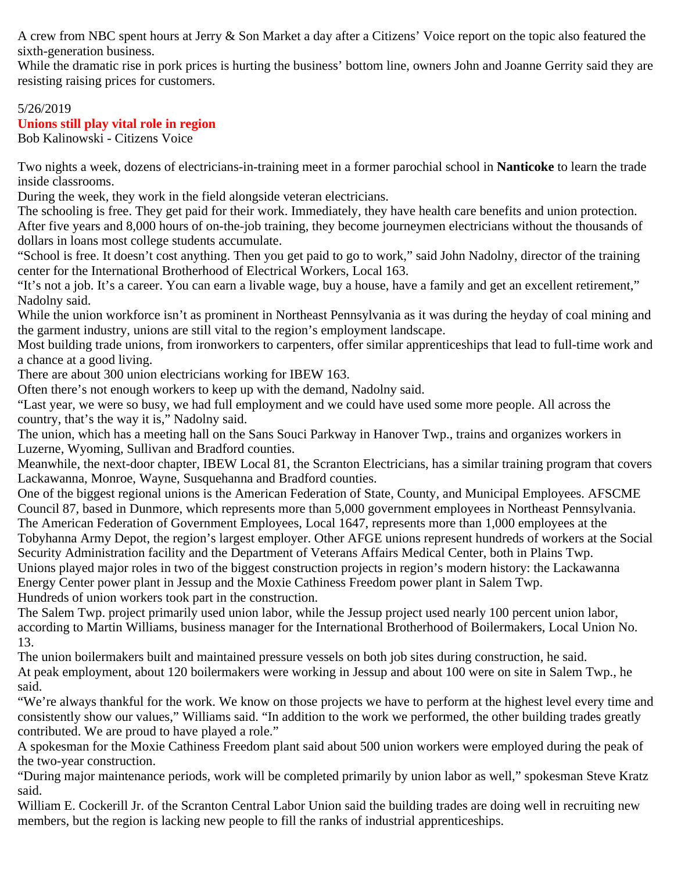A crew from NBC spent hours at Jerry & Son Market a day after a Citizens' Voice report on the topic also featured the sixth-generation business.

While the dramatic rise in pork prices is hurting the business' bottom line, owners John and Joanne Gerrity said they are resisting raising prices for customers.

## 5/26/2019 **Unions still play vital role in region**

Bob Kalinowski - Citizens Voice

Two nights a week, dozens of electricians-in-training meet in a former parochial school in **Nanticoke** to learn the trade inside classrooms.

During the week, they work in the field alongside veteran electricians.

The schooling is free. They get paid for their work. Immediately, they have health care benefits and union protection. After five years and 8,000 hours of on-the-job training, they become journeymen electricians without the thousands of dollars in loans most college students accumulate.

"School is free. It doesn't cost anything. Then you get paid to go to work," said John Nadolny, director of the training center for the International Brotherhood of Electrical Workers, Local 163.

"It's not a job. It's a career. You can earn a livable wage, buy a house, have a family and get an excellent retirement," Nadolny said.

While the union workforce isn't as prominent in Northeast Pennsylvania as it was during the heyday of coal mining and the garment industry, unions are still vital to the region's employment landscape.

Most building trade unions, from ironworkers to carpenters, offer similar apprenticeships that lead to full-time work and a chance at a good living.

There are about 300 union electricians working for IBEW 163.

Often there's not enough workers to keep up with the demand, Nadolny said.

"Last year, we were so busy, we had full employment and we could have used some more people. All across the country, that's the way it is," Nadolny said.

The union, which has a meeting hall on the Sans Souci Parkway in Hanover Twp., trains and organizes workers in Luzerne, Wyoming, Sullivan and Bradford counties.

Meanwhile, the next-door chapter, IBEW Local 81, the Scranton Electricians, has a similar training program that covers Lackawanna, Monroe, Wayne, Susquehanna and Bradford counties.

One of the biggest regional unions is the American Federation of State, County, and Municipal Employees. AFSCME Council 87, based in Dunmore, which represents more than 5,000 government employees in Northeast Pennsylvania. The American Federation of Government Employees, Local 1647, represents more than 1,000 employees at the Tobyhanna Army Depot, the region's largest employer. Other AFGE unions represent hundreds of workers at the Social Security Administration facility and the Department of Veterans Affairs Medical Center, both in Plains Twp. Unions played major roles in two of the biggest construction projects in region's modern history: the Lackawanna Energy Center power plant in Jessup and the Moxie Cathiness Freedom power plant in Salem Twp. Hundreds of union workers took part in the construction.

The Salem Twp. project primarily used union labor, while the Jessup project used nearly 100 percent union labor, according to Martin Williams, business manager for the International Brotherhood of Boilermakers, Local Union No. 13.

The union boilermakers built and maintained pressure vessels on both job sites during construction, he said. At peak employment, about 120 boilermakers were working in Jessup and about 100 were on site in Salem Twp., he said.

"We're always thankful for the work. We know on those projects we have to perform at the highest level every time and consistently show our values," Williams said. "In addition to the work we performed, the other building trades greatly contributed. We are proud to have played a role."

A spokesman for the Moxie Cathiness Freedom plant said about 500 union workers were employed during the peak of the two-year construction.

"During major maintenance periods, work will be completed primarily by union labor as well," spokesman Steve Kratz said.

William E. Cockerill Jr. of the Scranton Central Labor Union said the building trades are doing well in recruiting new members, but the region is lacking new people to fill the ranks of industrial apprenticeships.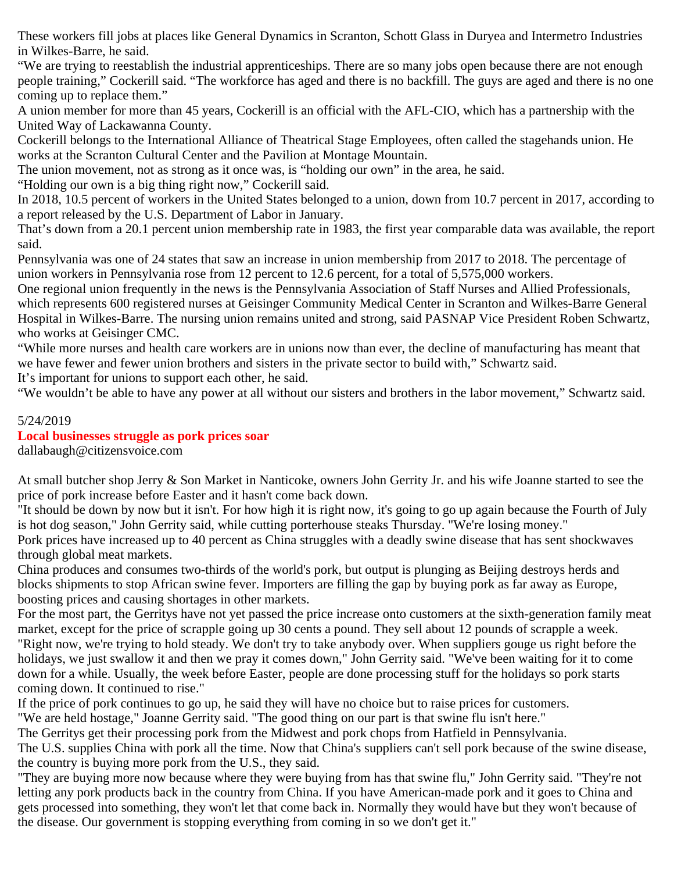These workers fill jobs at places like General Dynamics in Scranton, Schott Glass in Duryea and Intermetro Industries in Wilkes-Barre, he said.

"We are trying to reestablish the industrial apprenticeships. There are so many jobs open because there are not enough people training," Cockerill said. "The workforce has aged and there is no backfill. The guys are aged and there is no one coming up to replace them."

A union member for more than 45 years, Cockerill is an official with the AFL-CIO, which has a partnership with the United Way of Lackawanna County.

Cockerill belongs to the International Alliance of Theatrical Stage Employees, often called the stagehands union. He works at the Scranton Cultural Center and the Pavilion at Montage Mountain.

The union movement, not as strong as it once was, is "holding our own" in the area, he said.

"Holding our own is a big thing right now," Cockerill said.

In 2018, 10.5 percent of workers in the United States belonged to a union, down from 10.7 percent in 2017, according to a report released by the U.S. Department of Labor in January.

That's down from a 20.1 percent union membership rate in 1983, the first year comparable data was available, the report said.

Pennsylvania was one of 24 states that saw an increase in union membership from 2017 to 2018. The percentage of union workers in Pennsylvania rose from 12 percent to 12.6 percent, for a total of 5,575,000 workers.

One regional union frequently in the news is the Pennsylvania Association of Staff Nurses and Allied Professionals, which represents 600 registered nurses at Geisinger Community Medical Center in Scranton and Wilkes-Barre General Hospital in Wilkes-Barre. The nursing union remains united and strong, said PASNAP Vice President Roben Schwartz, who works at Geisinger CMC.

"While more nurses and health care workers are in unions now than ever, the decline of manufacturing has meant that we have fewer and fewer union brothers and sisters in the private sector to build with," Schwartz said.

It's important for unions to support each other, he said.

"We wouldn't be able to have any power at all without our sisters and brothers in the labor movement," Schwartz said.

### 5/24/2019

### **Local businesses struggle as pork prices soar**

dallabaugh@citizensvoice.com

At small butcher shop Jerry & Son Market in Nanticoke, owners John Gerrity Jr. and his wife Joanne started to see the price of pork increase before Easter and it hasn't come back down.

"It should be down by now but it isn't. For how high it is right now, it's going to go up again because the Fourth of July is hot dog season," John Gerrity said, while cutting porterhouse steaks Thursday. "We're losing money."

Pork prices have increased up to 40 percent as China struggles with a deadly swine disease that has sent shockwaves through global meat markets.

China produces and consumes two-thirds of the world's pork, but output is plunging as Beijing destroys herds and blocks shipments to stop African swine fever. Importers are filling the gap by buying pork as far away as Europe, boosting prices and causing shortages in other markets.

For the most part, the Gerritys have not yet passed the price increase onto customers at the sixth-generation family meat market, except for the price of scrapple going up 30 cents a pound. They sell about 12 pounds of scrapple a week. "Right now, we're trying to hold steady. We don't try to take anybody over. When suppliers gouge us right before the holidays, we just swallow it and then we pray it comes down," John Gerrity said. "We've been waiting for it to come down for a while. Usually, the week before Easter, people are done processing stuff for the holidays so pork starts coming down. It continued to rise."

If the price of pork continues to go up, he said they will have no choice but to raise prices for customers.

"We are held hostage," Joanne Gerrity said. "The good thing on our part is that swine flu isn't here."

The Gerritys get their processing pork from the Midwest and pork chops from Hatfield in Pennsylvania.

The U.S. supplies China with pork all the time. Now that China's suppliers can't sell pork because of the swine disease, the country is buying more pork from the U.S., they said.

"They are buying more now because where they were buying from has that swine flu," John Gerrity said. "They're not letting any pork products back in the country from China. If you have American-made pork and it goes to China and gets processed into something, they won't let that come back in. Normally they would have but they won't because of the disease. Our government is stopping everything from coming in so we don't get it."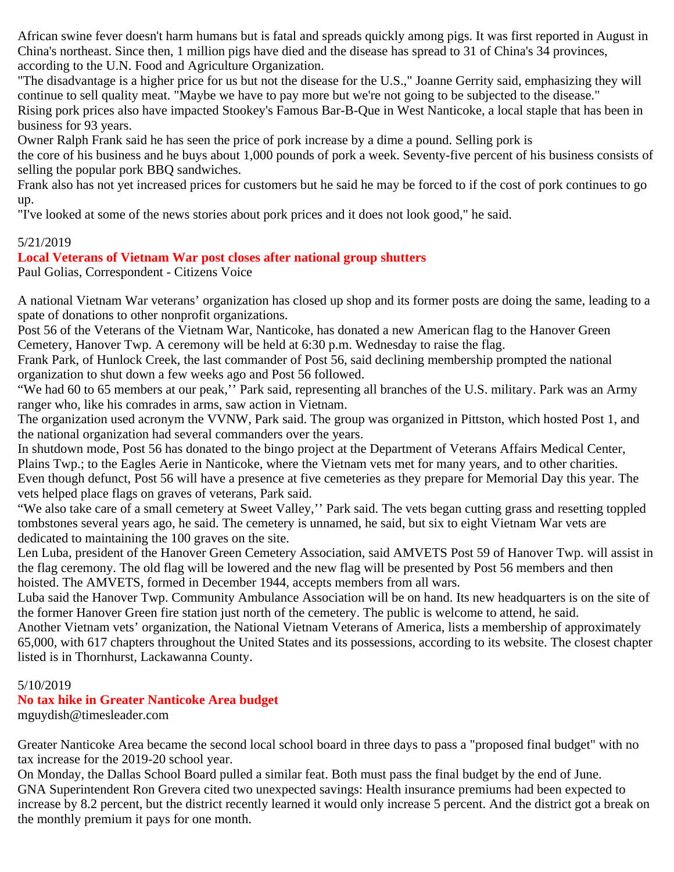African swine fever doesn't harm humans but is fatal and spreads quickly among pigs. It was first reported in August in China's northeast. Since then, 1 million pigs have died and the disease has spread to 31 of China's 34 provinces, according to the U.N. Food and Agriculture Organization.

"The disadvantage is a higher price for us but not the disease for the U.S.," Joanne Gerrity said, emphasizing they will continue to sell quality meat. "Maybe we have to pay more but we're not going to be subjected to the disease." Rising pork prices also have impacted Stookey's Famous Bar-B-Que in West Nanticoke, a local staple that has been in

business for 93 years.

Owner Ralph Frank said he has seen the price of pork increase by a dime a pound. Selling pork is

the core of his business and he buys about 1,000 pounds of pork a week. Seventy-five percent of his business consists of selling the popular pork BBQ sandwiches.

Frank also has not yet increased prices for customers but he said he may be forced to if the cost of pork continues to go up.

"I've looked at some of the news stories about pork prices and it does not look good," he said.

#### 5/21/2019

### **Local Veterans of Vietnam War post closes after national group shutters**

Paul Golias, Correspondent - Citizens Voice

A national Vietnam War veterans' organization has closed up shop and its former posts are doing the same, leading to a spate of donations to other nonprofit organizations.

Post 56 of the Veterans of the Vietnam War, Nanticoke, has donated a new American flag to the Hanover Green Cemetery, Hanover Twp. A ceremony will be held at 6:30 p.m. Wednesday to raise the flag.

Frank Park, of Hunlock Creek, the last commander of Post 56, said declining membership prompted the national organization to shut down a few weeks ago and Post 56 followed.

"We had 60 to 65 members at our peak," Park said, representing all branches of the U.S. military. Park was an Army ranger who, like his comrades in arms, saw action in Vietnam.

The organization used acronym the VVNW, Park said. The group was organized in Pittston, which hosted Post 1, and the national organization had several commanders over the years.

In shutdown mode, Post 56 has donated to the bingo project at the Department of Veterans Affairs Medical Center, Plains Twp.; to the Eagles Aerie in Nanticoke, where the Vietnam vets met for many years, and to other charities. Even though defunct, Post 56 will have a presence at five cemeteries as they prepare for Memorial Day this year. The vets helped place flags on graves of veterans, Park said.

"We also take care of a small cemetery at Sweet Valley,'' Park said. The vets began cutting grass and resetting toppled tombstones several years ago, he said. The cemetery is unnamed, he said, but six to eight Vietnam War vets are dedicated to maintaining the 100 graves on the site.

Len Luba, president of the Hanover Green Cemetery Association, said AMVETS Post 59 of Hanover Twp. will assist in the flag ceremony. The old flag will be lowered and the new flag will be presented by Post 56 members and then hoisted. The AMVETS, formed in December 1944, accepts members from all wars.

Luba said the Hanover Twp. Community Ambulance Association will be on hand. Its new headquarters is on the site of the former Hanover Green fire station just north of the cemetery. The public is welcome to attend, he said.

Another Vietnam vets' organization, the National Vietnam Veterans of America, lists a membership of approximately 65,000, with 617 chapters throughout the United States and its possessions, according to its website. The closest chapter listed is in Thornhurst, Lackawanna County.

#### 5/10/2019

### **No tax hike in Greater Nanticoke Area budget**

mguydish@timesleader.com

Greater Nanticoke Area became the second local school board in three days to pass a "proposed final budget" with no tax increase for the 2019-20 school year.

On Monday, the Dallas School Board pulled a similar feat. Both must pass the final budget by the end of June. GNA Superintendent Ron Grevera cited two unexpected savings: Health insurance premiums had been expected to increase by 8.2 percent, but the district recently learned it would only increase 5 percent. And the district got a break on the monthly premium it pays for one month.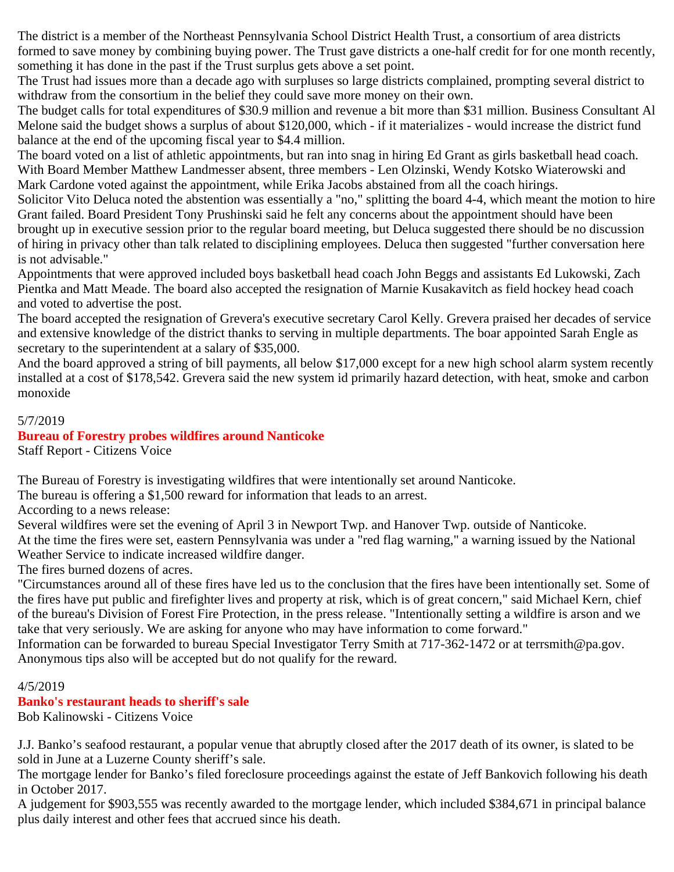The district is a member of the Northeast Pennsylvania School District Health Trust, a consortium of area districts formed to save money by combining buying power. The Trust gave districts a one-half credit for for one month recently, something it has done in the past if the Trust surplus gets above a set point.

The Trust had issues more than a decade ago with surpluses so large districts complained, prompting several district to withdraw from the consortium in the belief they could save more money on their own.

The budget calls for total expenditures of \$30.9 million and revenue a bit more than \$31 million. Business Consultant Al Melone said the budget shows a surplus of about \$120,000, which - if it materializes - would increase the district fund balance at the end of the upcoming fiscal year to \$4.4 million.

The board voted on a list of athletic appointments, but ran into snag in hiring Ed Grant as girls basketball head coach. With Board Member Matthew Landmesser absent, three members - Len Olzinski, Wendy Kotsko Wiaterowski and Mark Cardone voted against the appointment, while Erika Jacobs abstained from all the coach hirings.

Solicitor Vito Deluca noted the abstention was essentially a "no," splitting the board 4-4, which meant the motion to hire Grant failed. Board President Tony Prushinski said he felt any concerns about the appointment should have been brought up in executive session prior to the regular board meeting, but Deluca suggested there should be no discussion of hiring in privacy other than talk related to disciplining employees. Deluca then suggested "further conversation here is not advisable."

Appointments that were approved included boys basketball head coach John Beggs and assistants Ed Lukowski, Zach Pientka and Matt Meade. The board also accepted the resignation of Marnie Kusakavitch as field hockey head coach and voted to advertise the post.

The board accepted the resignation of Grevera's executive secretary Carol Kelly. Grevera praised her decades of service and extensive knowledge of the district thanks to serving in multiple departments. The boar appointed Sarah Engle as secretary to the superintendent at a salary of \$35,000.

And the board approved a string of bill payments, all below \$17,000 except for a new high school alarm system recently installed at a cost of \$178,542. Grevera said the new system id primarily hazard detection, with heat, smoke and carbon monoxide

### 5/7/2019

### **Bureau of Forestry probes wildfires around Nanticoke**

Staff Report - Citizens Voice

The Bureau of Forestry is investigating wildfires that were intentionally set around Nanticoke.

The bureau is offering a \$1,500 reward for information that leads to an arrest.

According to a news release:

Several wildfires were set the evening of April 3 in Newport Twp. and Hanover Twp. outside of Nanticoke. At the time the fires were set, eastern Pennsylvania was under a "red flag warning," a warning issued by the National Weather Service to indicate increased wildfire danger.

The fires burned dozens of acres.

"Circumstances around all of these fires have led us to the conclusion that the fires have been intentionally set. Some of the fires have put public and firefighter lives and property at risk, which is of great concern," said Michael Kern, chief of the bureau's Division of Forest Fire Protection, in the press release. "Intentionally setting a wildfire is arson and we take that very seriously. We are asking for anyone who may have information to come forward."

Information can be forwarded to bureau Special Investigator Terry Smith at 717-362-1472 or at terrsmith@pa.gov. Anonymous tips also will be accepted but do not qualify for the reward.

### 4/5/2019

### **Banko's restaurant heads to sheriff's sale**

Bob Kalinowski - Citizens Voice

J.J. Banko's seafood restaurant, a popular venue that abruptly closed after the 2017 death of its owner, is slated to be sold in June at a Luzerne County sheriff's sale.

The mortgage lender for Banko's filed foreclosure proceedings against the estate of Jeff Bankovich following his death in October 2017.

A judgement for \$903,555 was recently awarded to the mortgage lender, which included \$384,671 in principal balance plus daily interest and other fees that accrued since his death.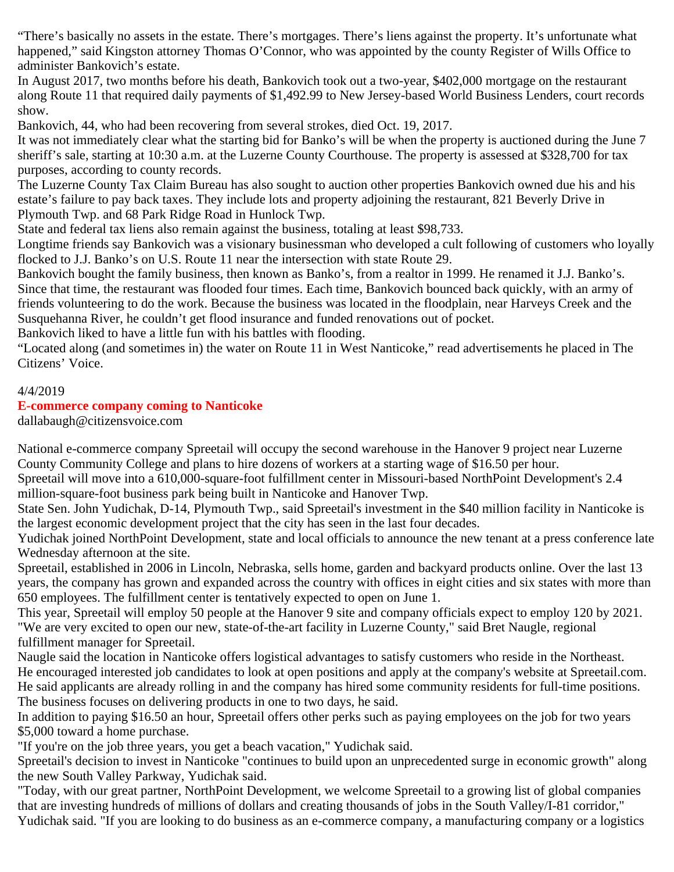"There's basically no assets in the estate. There's mortgages. There's liens against the property. It's unfortunate what happened," said Kingston attorney Thomas O'Connor, who was appointed by the county Register of Wills Office to administer Bankovich's estate.

In August 2017, two months before his death, Bankovich took out a two-year, \$402,000 mortgage on the restaurant along Route 11 that required daily payments of \$1,492.99 to New Jersey-based World Business Lenders, court records show.

Bankovich, 44, who had been recovering from several strokes, died Oct. 19, 2017.

It was not immediately clear what the starting bid for Banko's will be when the property is auctioned during the June 7 sheriff's sale, starting at 10:30 a.m. at the Luzerne County Courthouse. The property is assessed at \$328,700 for tax purposes, according to county records.

The Luzerne County Tax Claim Bureau has also sought to auction other properties Bankovich owned due his and his estate's failure to pay back taxes. They include lots and property adjoining the restaurant, 821 Beverly Drive in Plymouth Twp. and 68 Park Ridge Road in Hunlock Twp.

State and federal tax liens also remain against the business, totaling at least \$98,733.

Longtime friends say Bankovich was a visionary businessman who developed a cult following of customers who loyally flocked to J.J. Banko's on U.S. Route 11 near the intersection with state Route 29.

Bankovich bought the family business, then known as Banko's, from a realtor in 1999. He renamed it J.J. Banko's. Since that time, the restaurant was flooded four times. Each time, Bankovich bounced back quickly, with an army of friends volunteering to do the work. Because the business was located in the floodplain, near Harveys Creek and the Susquehanna River, he couldn't get flood insurance and funded renovations out of pocket.

Bankovich liked to have a little fun with his battles with flooding.

"Located along (and sometimes in) the water on Route 11 in West Nanticoke," read advertisements he placed in The Citizens' Voice.

### 4/4/2019

### **E-commerce company coming to Nanticoke**

dallabaugh@citizensvoice.com

National e-commerce company Spreetail will occupy the second warehouse in the Hanover 9 project near Luzerne County Community College and plans to hire dozens of workers at a starting wage of \$16.50 per hour.

Spreetail will move into a 610,000-square-foot fulfillment center in Missouri-based NorthPoint Development's 2.4 million-square-foot business park being built in Nanticoke and Hanover Twp.

State Sen. John Yudichak, D-14, Plymouth Twp., said Spreetail's investment in the \$40 million facility in Nanticoke is the largest economic development project that the city has seen in the last four decades.

Yudichak joined NorthPoint Development, state and local officials to announce the new tenant at a press conference late Wednesday afternoon at the site.

Spreetail, established in 2006 in Lincoln, Nebraska, sells home, garden and backyard products online. Over the last 13 years, the company has grown and expanded across the country with offices in eight cities and six states with more than 650 employees. The fulfillment center is tentatively expected to open on June 1.

This year, Spreetail will employ 50 people at the Hanover 9 site and company officials expect to employ 120 by 2021. "We are very excited to open our new, state-of-the-art facility in Luzerne County," said Bret Naugle, regional fulfillment manager for Spreetail.

Naugle said the location in Nanticoke offers logistical advantages to satisfy customers who reside in the Northeast. He encouraged interested job candidates to look at open positions and apply at the company's website at Spreetail.com. He said applicants are already rolling in and the company has hired some community residents for full-time positions. The business focuses on delivering products in one to two days, he said.

In addition to paying \$16.50 an hour, Spreetail offers other perks such as paying employees on the job for two years \$5,000 toward a home purchase.

"If you're on the job three years, you get a beach vacation," Yudichak said.

Spreetail's decision to invest in Nanticoke "continues to build upon an unprecedented surge in economic growth" along the new South Valley Parkway, Yudichak said.

"Today, with our great partner, NorthPoint Development, we welcome Spreetail to a growing list of global companies that are investing hundreds of millions of dollars and creating thousands of jobs in the South Valley/I-81 corridor," Yudichak said. "If you are looking to do business as an e-commerce company, a manufacturing company or a logistics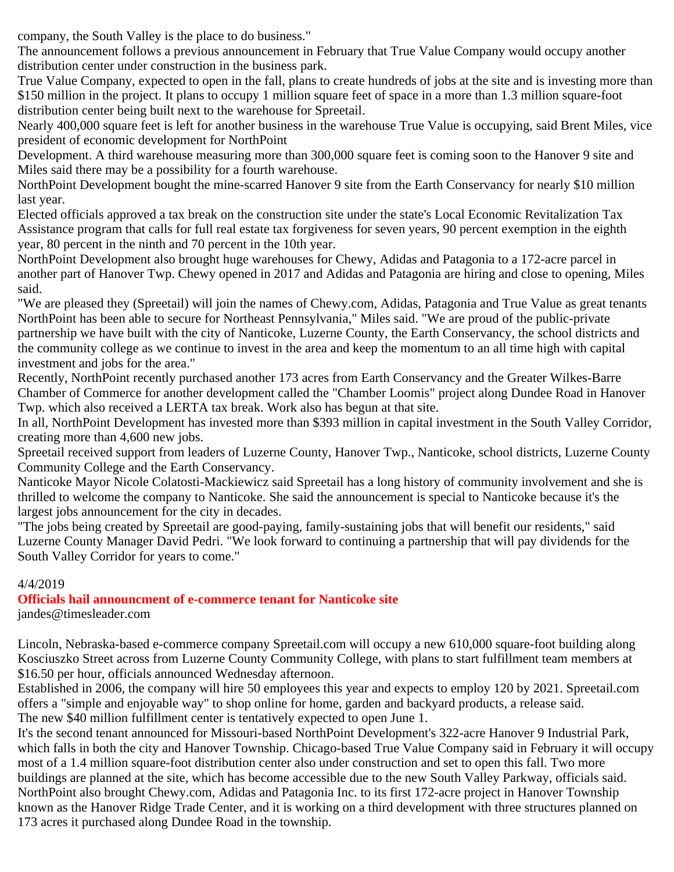company, the South Valley is the place to do business."

The announcement follows a previous announcement in February that True Value Company would occupy another distribution center under construction in the business park.

True Value Company, expected to open in the fall, plans to create hundreds of jobs at the site and is investing more than \$150 million in the project. It plans to occupy 1 million square feet of space in a more than 1.3 million square-foot distribution center being built next to the warehouse for Spreetail.

Nearly 400,000 square feet is left for another business in the warehouse True Value is occupying, said Brent Miles, vice president of economic development for NorthPoint

Development. A third warehouse measuring more than 300,000 square feet is coming soon to the Hanover 9 site and Miles said there may be a possibility for a fourth warehouse.

NorthPoint Development bought the mine-scarred Hanover 9 site from the Earth Conservancy for nearly \$10 million last year.

Elected officials approved a tax break on the construction site under the state's Local Economic Revitalization Tax Assistance program that calls for full real estate tax forgiveness for seven years, 90 percent exemption in the eighth year, 80 percent in the ninth and 70 percent in the 10th year.

NorthPoint Development also brought huge warehouses for Chewy, Adidas and Patagonia to a 172-acre parcel in another part of Hanover Twp. Chewy opened in 2017 and Adidas and Patagonia are hiring and close to opening, Miles said.

"We are pleased they (Spreetail) will join the names of Chewy.com, Adidas, Patagonia and True Value as great tenants NorthPoint has been able to secure for Northeast Pennsylvania," Miles said. "We are proud of the public-private partnership we have built with the city of Nanticoke, Luzerne County, the Earth Conservancy, the school districts and the community college as we continue to invest in the area and keep the momentum to an all time high with capital investment and jobs for the area."

Recently, NorthPoint recently purchased another 173 acres from Earth Conservancy and the Greater Wilkes-Barre Chamber of Commerce for another development called the "Chamber Loomis" project along Dundee Road in Hanover Twp. which also received a LERTA tax break. Work also has begun at that site.

In all, NorthPoint Development has invested more than \$393 million in capital investment in the South Valley Corridor, creating more than 4,600 new jobs.

Spreetail received support from leaders of Luzerne County, Hanover Twp., Nanticoke, school districts, Luzerne County Community College and the Earth Conservancy.

Nanticoke Mayor Nicole Colatosti-Mackiewicz said Spreetail has a long history of community involvement and she is thrilled to welcome the company to Nanticoke. She said the announcement is special to Nanticoke because it's the largest jobs announcement for the city in decades.

"The jobs being created by Spreetail are good-paying, family-sustaining jobs that will benefit our residents," said Luzerne County Manager David Pedri. "We look forward to continuing a partnership that will pay dividends for the South Valley Corridor for years to come."

### 4/4/2019

### **Officials hail announcment of e-commerce tenant for Nanticoke site**

jandes@timesleader.com

Lincoln, Nebraska-based e-commerce company Spreetail.com will occupy a new 610,000 square-foot building along Kosciuszko Street across from Luzerne County Community College, with plans to start fulfillment team members at \$16.50 per hour, officials announced Wednesday afternoon.

Established in 2006, the company will hire 50 employees this year and expects to employ 120 by 2021. Spreetail.com offers a "simple and enjoyable way" to shop online for home, garden and backyard products, a release said. The new \$40 million fulfillment center is tentatively expected to open June 1.

It's the second tenant announced for Missouri-based NorthPoint Development's 322-acre Hanover 9 Industrial Park, which falls in both the city and Hanover Township. Chicago-based True Value Company said in February it will occupy most of a 1.4 million square-foot distribution center also under construction and set to open this fall. Two more buildings are planned at the site, which has become accessible due to the new South Valley Parkway, officials said. NorthPoint also brought Chewy.com, Adidas and Patagonia Inc. to its first 172-acre project in Hanover Township known as the Hanover Ridge Trade Center, and it is working on a third development with three structures planned on 173 acres it purchased along Dundee Road in the township.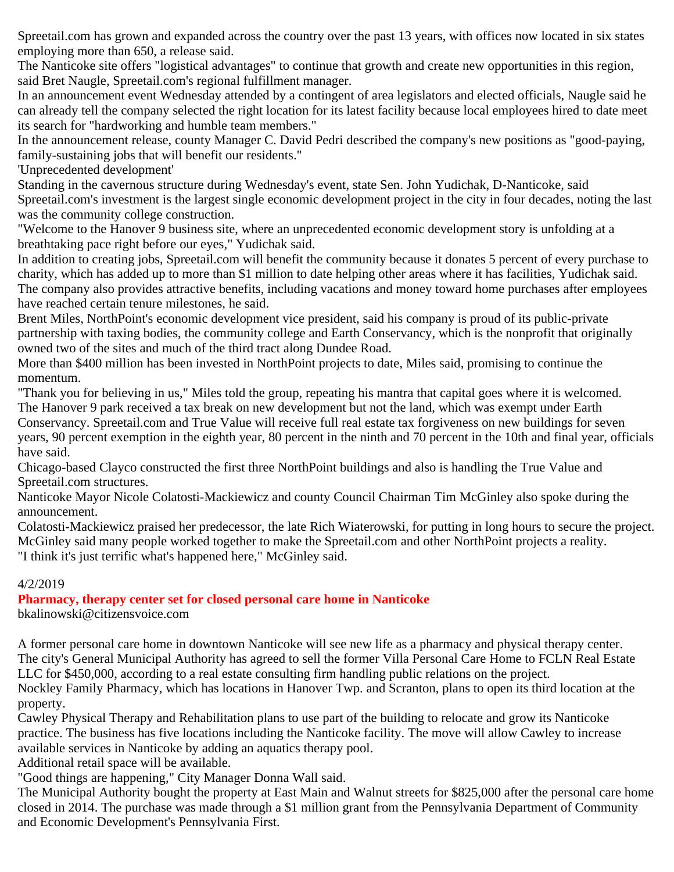Spreetail.com has grown and expanded across the country over the past 13 years, with offices now located in six states employing more than 650, a release said.

The Nanticoke site offers "logistical advantages" to continue that growth and create new opportunities in this region, said Bret Naugle, Spreetail.com's regional fulfillment manager.

In an announcement event Wednesday attended by a contingent of area legislators and elected officials, Naugle said he can already tell the company selected the right location for its latest facility because local employees hired to date meet its search for "hardworking and humble team members."

In the announcement release, county Manager C. David Pedri described the company's new positions as "good-paying, family-sustaining jobs that will benefit our residents."

'Unprecedented development'

Standing in the cavernous structure during Wednesday's event, state Sen. John Yudichak, D-Nanticoke, said Spreetail.com's investment is the largest single economic development project in the city in four decades, noting the last was the community college construction.

"Welcome to the Hanover 9 business site, where an unprecedented economic development story is unfolding at a breathtaking pace right before our eyes," Yudichak said.

In addition to creating jobs, Spreetail.com will benefit the community because it donates 5 percent of every purchase to charity, which has added up to more than \$1 million to date helping other areas where it has facilities, Yudichak said. The company also provides attractive benefits, including vacations and money toward home purchases after employees have reached certain tenure milestones, he said.

Brent Miles, NorthPoint's economic development vice president, said his company is proud of its public-private partnership with taxing bodies, the community college and Earth Conservancy, which is the nonprofit that originally owned two of the sites and much of the third tract along Dundee Road.

More than \$400 million has been invested in NorthPoint projects to date, Miles said, promising to continue the momentum.

"Thank you for believing in us," Miles told the group, repeating his mantra that capital goes where it is welcomed. The Hanover 9 park received a tax break on new development but not the land, which was exempt under Earth Conservancy. Spreetail.com and True Value will receive full real estate tax forgiveness on new buildings for seven years, 90 percent exemption in the eighth year, 80 percent in the ninth and 70 percent in the 10th and final year, officials have said.

Chicago-based Clayco constructed the first three NorthPoint buildings and also is handling the True Value and Spreetail.com structures.

Nanticoke Mayor Nicole Colatosti-Mackiewicz and county Council Chairman Tim McGinley also spoke during the announcement.

Colatosti-Mackiewicz praised her predecessor, the late Rich Wiaterowski, for putting in long hours to secure the project. McGinley said many people worked together to make the Spreetail.com and other NorthPoint projects a reality. "I think it's just terrific what's happened here," McGinley said.

4/2/2019

**Pharmacy, therapy center set for closed personal care home in Nanticoke**

bkalinowski@citizensvoice.com

A former personal care home in downtown Nanticoke will see new life as a pharmacy and physical therapy center. The city's General Municipal Authority has agreed to sell the former Villa Personal Care Home to FCLN Real Estate LLC for \$450,000, according to a real estate consulting firm handling public relations on the project.

Nockley Family Pharmacy, which has locations in Hanover Twp. and Scranton, plans to open its third location at the property.

Cawley Physical Therapy and Rehabilitation plans to use part of the building to relocate and grow its Nanticoke practice. The business has five locations including the Nanticoke facility. The move will allow Cawley to increase available services in Nanticoke by adding an aquatics therapy pool.

Additional retail space will be available.

"Good things are happening," City Manager Donna Wall said.

The Municipal Authority bought the property at East Main and Walnut streets for \$825,000 after the personal care home closed in 2014. The purchase was made through a \$1 million grant from the Pennsylvania Department of Community and Economic Development's Pennsylvania First.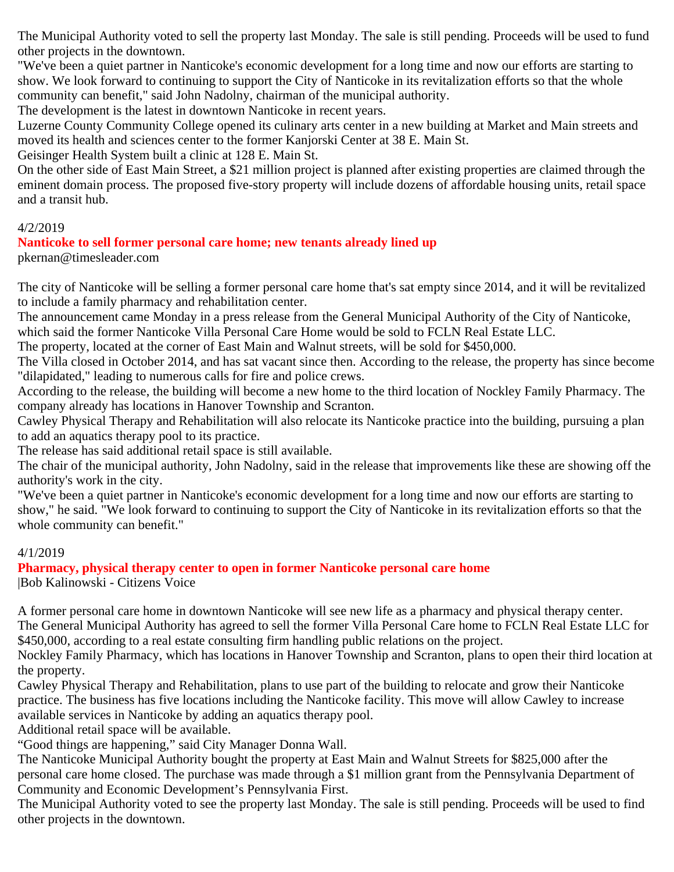The Municipal Authority voted to sell the property last Monday. The sale is still pending. Proceeds will be used to fund other projects in the downtown.

"We've been a quiet partner in Nanticoke's economic development for a long time and now our efforts are starting to show. We look forward to continuing to support the City of Nanticoke in its revitalization efforts so that the whole community can benefit," said John Nadolny, chairman of the municipal authority.

The development is the latest in downtown Nanticoke in recent years.

Luzerne County Community College opened its culinary arts center in a new building at Market and Main streets and moved its health and sciences center to the former Kanjorski Center at 38 E. Main St.

Geisinger Health System built a clinic at 128 E. Main St.

On the other side of East Main Street, a \$21 million project is planned after existing properties are claimed through the eminent domain process. The proposed five-story property will include dozens of affordable housing units, retail space and a transit hub.

### 4/2/2019

### **Nanticoke to sell former personal care home; new tenants already lined up**

pkernan@timesleader.com

The city of Nanticoke will be selling a former personal care home that's sat empty since 2014, and it will be revitalized to include a family pharmacy and rehabilitation center.

The announcement came Monday in a press release from the General Municipal Authority of the City of Nanticoke, which said the former Nanticoke Villa Personal Care Home would be sold to FCLN Real Estate LLC.

The property, located at the corner of East Main and Walnut streets, will be sold for \$450,000.

The Villa closed in October 2014, and has sat vacant since then. According to the release, the property has since become "dilapidated," leading to numerous calls for fire and police crews.

According to the release, the building will become a new home to the third location of Nockley Family Pharmacy. The company already has locations in Hanover Township and Scranton.

Cawley Physical Therapy and Rehabilitation will also relocate its Nanticoke practice into the building, pursuing a plan to add an aquatics therapy pool to its practice.

The release has said additional retail space is still available.

The chair of the municipal authority, John Nadolny, said in the release that improvements like these are showing off the authority's work in the city.

"We've been a quiet partner in Nanticoke's economic development for a long time and now our efforts are starting to show," he said. "We look forward to continuing to support the City of Nanticoke in its revitalization efforts so that the whole community can benefit."

### 4/1/2019

**Pharmacy, physical therapy center to open in former Nanticoke personal care home** |Bob Kalinowski - Citizens Voice

A former personal care home in downtown Nanticoke will see new life as a pharmacy and physical therapy center. The General Municipal Authority has agreed to sell the former Villa Personal Care home to FCLN Real Estate LLC for \$450,000, according to a real estate consulting firm handling public relations on the project.

Nockley Family Pharmacy, which has locations in Hanover Township and Scranton, plans to open their third location at the property.

Cawley Physical Therapy and Rehabilitation, plans to use part of the building to relocate and grow their Nanticoke practice. The business has five locations including the Nanticoke facility. This move will allow Cawley to increase available services in Nanticoke by adding an aquatics therapy pool.

Additional retail space will be available.

"Good things are happening," said City Manager Donna Wall.

The Nanticoke Municipal Authority bought the property at East Main and Walnut Streets for \$825,000 after the personal care home closed. The purchase was made through a \$1 million grant from the Pennsylvania Department of Community and Economic Development's Pennsylvania First.

The Municipal Authority voted to see the property last Monday. The sale is still pending. Proceeds will be used to find other projects in the downtown.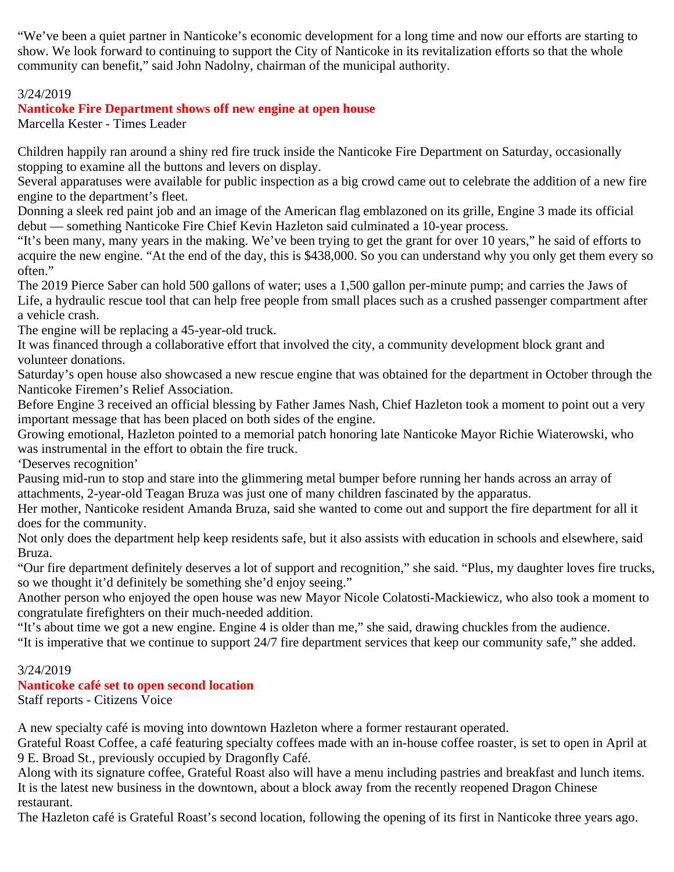"We've been a quiet partner in Nanticoke's economic development for a long time and now our efforts are starting to show. We look forward to continuing to support the City of Nanticoke in its revitalization efforts so that the whole community can benefit," said John Nadolny, chairman of the municipal authority.

### 3/24/2019

### **Nanticoke Fire Department shows off new engine at open house**

Marcella Kester - Times Leader

Children happily ran around a shiny red fire truck inside the Nanticoke Fire Department on Saturday, occasionally stopping to examine all the buttons and levers on display.

Several apparatuses were available for public inspection as a big crowd came out to celebrate the addition of a new fire engine to the department's fleet.

Donning a sleek red paint job and an image of the American flag emblazoned on its grille, Engine 3 made its official debut — something Nanticoke Fire Chief Kevin Hazleton said culminated a 10-year process.

"It's been many, many years in the making. We've been trying to get the grant for over 10 years," he said of efforts to acquire the new engine. "At the end of the day, this is \$438,000. So you can understand why you only get them every so often."

The 2019 Pierce Saber can hold 500 gallons of water; uses a 1,500 gallon per-minute pump; and carries the Jaws of Life, a hydraulic rescue tool that can help free people from small places such as a crushed passenger compartment after a vehicle crash.

The engine will be replacing a 45-year-old truck.

It was financed through a collaborative effort that involved the city, a community development block grant and volunteer donations.

Saturday's open house also showcased a new rescue engine that was obtained for the department in October through the Nanticoke Firemen's Relief Association.

Before Engine 3 received an official blessing by Father James Nash, Chief Hazleton took a moment to point out a very important message that has been placed on both sides of the engine.

Growing emotional, Hazleton pointed to a memorial patch honoring late Nanticoke Mayor Richie Wiaterowski, who was instrumental in the effort to obtain the fire truck.

'Deserves recognition'

Pausing mid-run to stop and stare into the glimmering metal bumper before running her hands across an array of attachments, 2-year-old Teagan Bruza was just one of many children fascinated by the apparatus.

Her mother, Nanticoke resident Amanda Bruza, said she wanted to come out and support the fire department for all it does for the community.

Not only does the department help keep residents safe, but it also assists with education in schools and elsewhere, said Bruza.

"Our fire department definitely deserves a lot of support and recognition," she said. "Plus, my daughter loves fire trucks, so we thought it'd definitely be something she'd enjoy seeing."

Another person who enjoyed the open house was new Mayor Nicole Colatosti-Mackiewicz, who also took a moment to congratulate firefighters on their much-needed addition.

"It's about time we got a new engine. Engine 4 is older than me," she said, drawing chuckles from the audience.

"It is imperative that we continue to support 24/7 fire department services that keep our community safe," she added.

### 3/24/2019

### **Nanticoke café set to open second location**

Staff reports - Citizens Voice

A new specialty café is moving into downtown Hazleton where a former restaurant operated.

Grateful Roast Coffee, a café featuring specialty coffees made with an in-house coffee roaster, is set to open in April at 9 E. Broad St., previously occupied by Dragonfly Café.

Along with its signature coffee, Grateful Roast also will have a menu including pastries and breakfast and lunch items. It is the latest new business in the downtown, about a block away from the recently reopened Dragon Chinese restaurant.

The Hazleton café is Grateful Roast's second location, following the opening of its first in Nanticoke three years ago.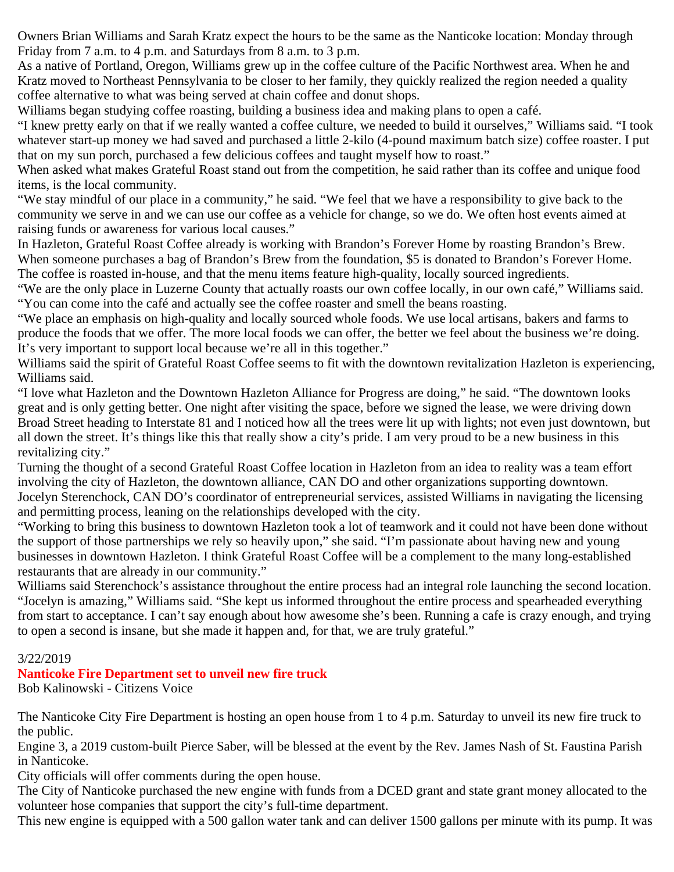Owners Brian Williams and Sarah Kratz expect the hours to be the same as the Nanticoke location: Monday through Friday from 7 a.m. to 4 p.m. and Saturdays from 8 a.m. to 3 p.m.

As a native of Portland, Oregon, Williams grew up in the coffee culture of the Pacific Northwest area. When he and Kratz moved to Northeast Pennsylvania to be closer to her family, they quickly realized the region needed a quality coffee alternative to what was being served at chain coffee and donut shops.

Williams began studying coffee roasting, building a business idea and making plans to open a café.

"I knew pretty early on that if we really wanted a coffee culture, we needed to build it ourselves," Williams said. "I took whatever start-up money we had saved and purchased a little 2-kilo (4-pound maximum batch size) coffee roaster. I put that on my sun porch, purchased a few delicious coffees and taught myself how to roast."

When asked what makes Grateful Roast stand out from the competition, he said rather than its coffee and unique food items, is the local community.

"We stay mindful of our place in a community," he said. "We feel that we have a responsibility to give back to the community we serve in and we can use our coffee as a vehicle for change, so we do. We often host events aimed at raising funds or awareness for various local causes."

In Hazleton, Grateful Roast Coffee already is working with Brandon's Forever Home by roasting Brandon's Brew. When someone purchases a bag of Brandon's Brew from the foundation, \$5 is donated to Brandon's Forever Home. The coffee is roasted in-house, and that the menu items feature high-quality, locally sourced ingredients.

"We are the only place in Luzerne County that actually roasts our own coffee locally, in our own café," Williams said. "You can come into the café and actually see the coffee roaster and smell the beans roasting.

"We place an emphasis on high-quality and locally sourced whole foods. We use local artisans, bakers and farms to produce the foods that we offer. The more local foods we can offer, the better we feel about the business we're doing. It's very important to support local because we're all in this together."

Williams said the spirit of Grateful Roast Coffee seems to fit with the downtown revitalization Hazleton is experiencing, Williams said.

"I love what Hazleton and the Downtown Hazleton Alliance for Progress are doing," he said. "The downtown looks great and is only getting better. One night after visiting the space, before we signed the lease, we were driving down Broad Street heading to Interstate 81 and I noticed how all the trees were lit up with lights; not even just downtown, but all down the street. It's things like this that really show a city's pride. I am very proud to be a new business in this revitalizing city."

Turning the thought of a second Grateful Roast Coffee location in Hazleton from an idea to reality was a team effort involving the city of Hazleton, the downtown alliance, CAN DO and other organizations supporting downtown. Jocelyn Sterenchock, CAN DO's coordinator of entrepreneurial services, assisted Williams in navigating the licensing and permitting process, leaning on the relationships developed with the city.

"Working to bring this business to downtown Hazleton took a lot of teamwork and it could not have been done without the support of those partnerships we rely so heavily upon," she said. "I'm passionate about having new and young businesses in downtown Hazleton. I think Grateful Roast Coffee will be a complement to the many long-established restaurants that are already in our community."

Williams said Sterenchock's assistance throughout the entire process had an integral role launching the second location. "Jocelyn is amazing," Williams said. "She kept us informed throughout the entire process and spearheaded everything from start to acceptance. I can't say enough about how awesome she's been. Running a cafe is crazy enough, and trying to open a second is insane, but she made it happen and, for that, we are truly grateful."

### 3/22/2019

### **Nanticoke Fire Department set to unveil new fire truck**

Bob Kalinowski - Citizens Voice

The Nanticoke City Fire Department is hosting an open house from 1 to 4 p.m. Saturday to unveil its new fire truck to the public.

Engine 3, a 2019 custom-built Pierce Saber, will be blessed at the event by the Rev. James Nash of St. Faustina Parish in Nanticoke.

City officials will offer comments during the open house.

The City of Nanticoke purchased the new engine with funds from a DCED grant and state grant money allocated to the volunteer hose companies that support the city's full-time department.

This new engine is equipped with a 500 gallon water tank and can deliver 1500 gallons per minute with its pump. It was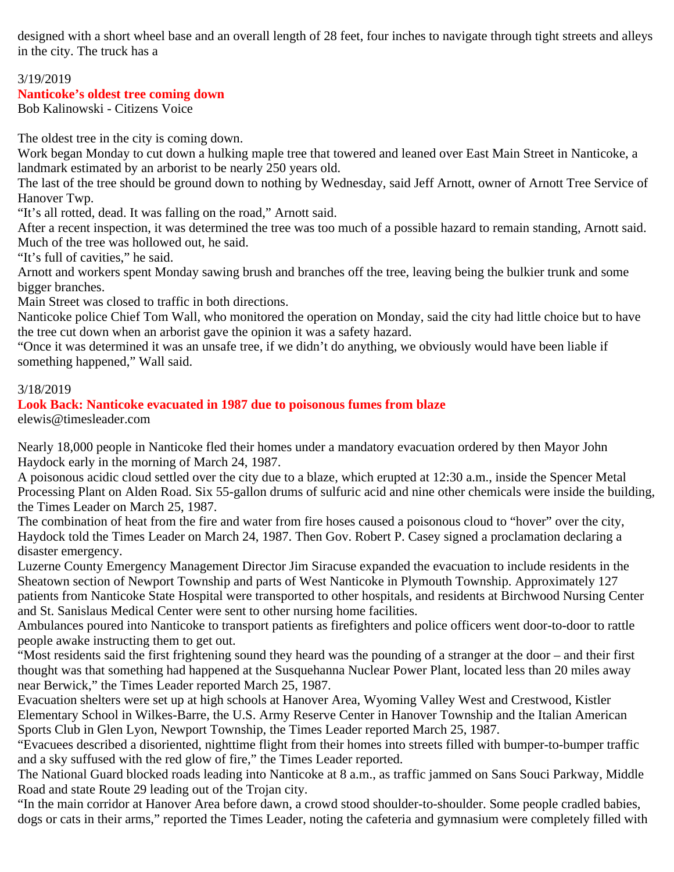designed with a short wheel base and an overall length of 28 feet, four inches to navigate through tight streets and alleys in the city. The truck has a

### 3/19/2019

#### **Nanticoke's oldest tree coming down**

Bob Kalinowski - Citizens Voice

The oldest tree in the city is coming down.

Work began Monday to cut down a hulking maple tree that towered and leaned over East Main Street in Nanticoke, a landmark estimated by an arborist to be nearly 250 years old.

The last of the tree should be ground down to nothing by Wednesday, said Jeff Arnott, owner of Arnott Tree Service of Hanover Twp.

"It's all rotted, dead. It was falling on the road," Arnott said.

After a recent inspection, it was determined the tree was too much of a possible hazard to remain standing, Arnott said. Much of the tree was hollowed out, he said.

"It's full of cavities," he said.

Arnott and workers spent Monday sawing brush and branches off the tree, leaving being the bulkier trunk and some bigger branches.

Main Street was closed to traffic in both directions.

Nanticoke police Chief Tom Wall, who monitored the operation on Monday, said the city had little choice but to have the tree cut down when an arborist gave the opinion it was a safety hazard.

"Once it was determined it was an unsafe tree, if we didn't do anything, we obviously would have been liable if something happened," Wall said.

#### 3/18/2019

#### **Look Back: Nanticoke evacuated in 1987 due to poisonous fumes from blaze** elewis@timesleader.com

Nearly 18,000 people in Nanticoke fled their homes under a mandatory evacuation ordered by then Mayor John Haydock early in the morning of March 24, 1987.

A poisonous acidic cloud settled over the city due to a blaze, which erupted at 12:30 a.m., inside the Spencer Metal Processing Plant on Alden Road. Six 55-gallon drums of sulfuric acid and nine other chemicals were inside the building, the Times Leader on March 25, 1987.

The combination of heat from the fire and water from fire hoses caused a poisonous cloud to "hover" over the city, Haydock told the Times Leader on March 24, 1987. Then Gov. Robert P. Casey signed a proclamation declaring a disaster emergency.

Luzerne County Emergency Management Director Jim Siracuse expanded the evacuation to include residents in the Sheatown section of Newport Township and parts of West Nanticoke in Plymouth Township. Approximately 127 patients from Nanticoke State Hospital were transported to other hospitals, and residents at Birchwood Nursing Center and St. Sanislaus Medical Center were sent to other nursing home facilities.

Ambulances poured into Nanticoke to transport patients as firefighters and police officers went door-to-door to rattle people awake instructing them to get out.

"Most residents said the first frightening sound they heard was the pounding of a stranger at the door – and their first thought was that something had happened at the Susquehanna Nuclear Power Plant, located less than 20 miles away near Berwick," the Times Leader reported March 25, 1987.

Evacuation shelters were set up at high schools at Hanover Area, Wyoming Valley West and Crestwood, Kistler Elementary School in Wilkes-Barre, the U.S. Army Reserve Center in Hanover Township and the Italian American Sports Club in Glen Lyon, Newport Township, the Times Leader reported March 25, 1987.

"Evacuees described a disoriented, nighttime flight from their homes into streets filled with bumper-to-bumper traffic and a sky suffused with the red glow of fire," the Times Leader reported.

The National Guard blocked roads leading into Nanticoke at 8 a.m., as traffic jammed on Sans Souci Parkway, Middle Road and state Route 29 leading out of the Trojan city.

"In the main corridor at Hanover Area before dawn, a crowd stood shoulder-to-shoulder. Some people cradled babies, dogs or cats in their arms," reported the Times Leader, noting the cafeteria and gymnasium were completely filled with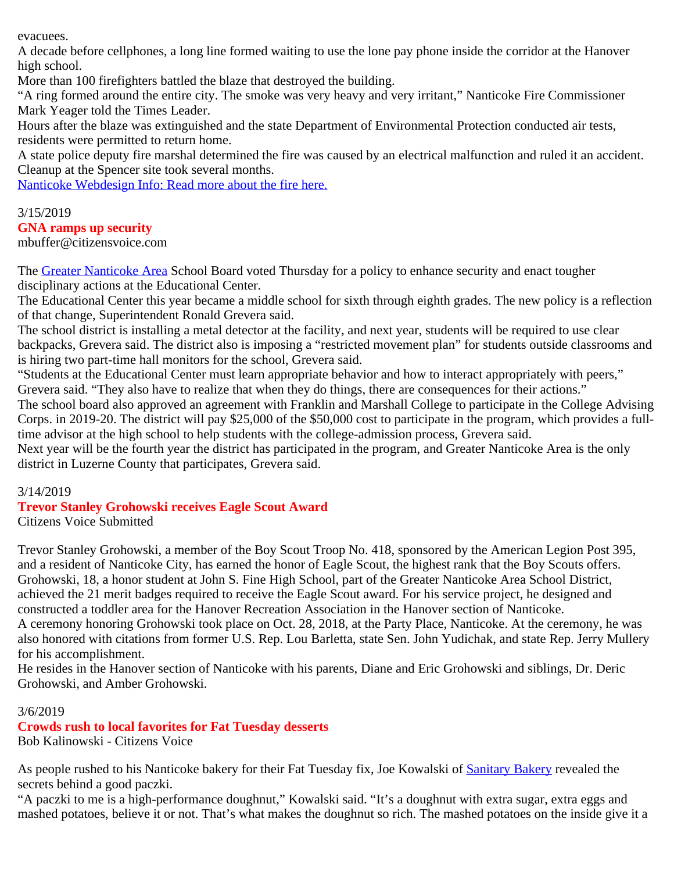evacuees.

A decade before cellphones, a long line formed waiting to use the lone pay phone inside the corridor at the Hanover high school.

More than 100 firefighters battled the blaze that destroyed the building.

"A ring formed around the entire city. The smoke was very heavy and very irritant," Nanticoke Fire Commissioner Mark Yeager told the Times Leader.

Hours after the blaze was extinguished and the state Department of Environmental Protection conducted air tests, residents were permitted to return home.

A state police deputy fire marshal determined the fire was caused by an electrical malfunction and ruled it an accident. Cleanup at the Spencer site took several months.

[Nanticoke Webdesign Info: Read more about the fire here.](http://nanticokecity.com/spencer%20fire.pdf)

### 3/15/2019

### **GNA ramps up security**

mbuffer@citizensvoice.com

The [Greater Nanticoke Area](http://www.gnasd.com/) School Board voted Thursday for a policy to enhance security and enact tougher disciplinary actions at the Educational Center.

The Educational Center this year became a middle school for sixth through eighth grades. The new policy is a reflection of that change, Superintendent Ronald Grevera said.

The school district is installing a metal detector at the facility, and next year, students will be required to use clear backpacks, Grevera said. The district also is imposing a "restricted movement plan" for students outside classrooms and is hiring two part-time hall monitors for the school, Grevera said.

"Students at the Educational Center must learn appropriate behavior and how to interact appropriately with peers,"

Grevera said. "They also have to realize that when they do things, there are consequences for their actions."

The school board also approved an agreement with Franklin and Marshall College to participate in the College Advising Corps. in 2019-20. The district will pay \$25,000 of the \$50,000 cost to participate in the program, which provides a fulltime advisor at the high school to help students with the college-admission process, Grevera said.

Next year will be the fourth year the district has participated in the program, and Greater Nanticoke Area is the only district in Luzerne County that participates, Grevera said.

3/14/2019

### **Trevor Stanley Grohowski receives Eagle Scout Award**

Citizens Voice Submitted

Trevor Stanley Grohowski, a member of the Boy Scout Troop No. 418, sponsored by the American Legion Post 395, and a resident of Nanticoke City, has earned the honor of Eagle Scout, the highest rank that the Boy Scouts offers. Grohowski, 18, a honor student at John S. Fine High School, part of the Greater Nanticoke Area School District, achieved the 21 merit badges required to receive the Eagle Scout award. For his service project, he designed and constructed a toddler area for the Hanover Recreation Association in the Hanover section of Nanticoke. A ceremony honoring Grohowski took place on Oct. 28, 2018, at the Party Place, Nanticoke. At the ceremony, he was also honored with citations from former U.S. Rep. Lou Barletta, state Sen. John Yudichak, and state Rep. Jerry Mullery for his accomplishment.

He resides in the Hanover section of Nanticoke with his parents, Diane and Eric Grohowski and siblings, Dr. Deric Grohowski, and Amber Grohowski.

3/6/2019

**Crowds rush to local favorites for Fat Tuesday desserts**

Bob Kalinowski - Citizens Voice

As people rushed to his Nanticoke bakery for their Fat Tuesday fix, Joe Kowalski of [Sanitary Bakery](http://www.sanitarybakery.com/) revealed the secrets behind a good paczki.

"A paczki to me is a high-performance doughnut," Kowalski said. "It's a doughnut with extra sugar, extra eggs and mashed potatoes, believe it or not. That's what makes the doughnut so rich. The mashed potatoes on the inside give it a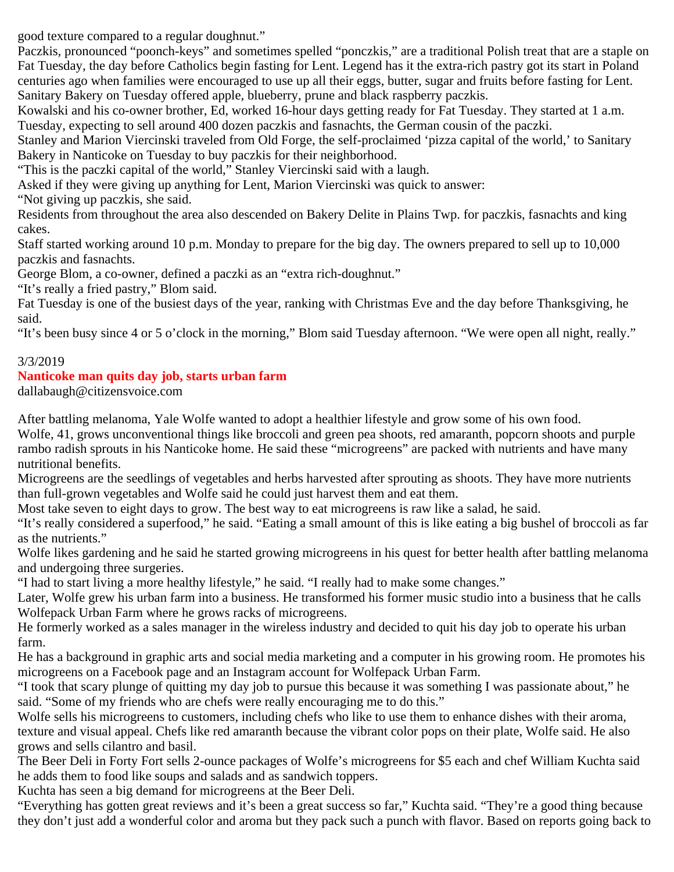good texture compared to a regular doughnut."

Paczkis, pronounced "poonch-keys" and sometimes spelled "ponczkis," are a traditional Polish treat that are a staple on Fat Tuesday, the day before Catholics begin fasting for Lent. Legend has it the extra-rich pastry got its start in Poland centuries ago when families were encouraged to use up all their eggs, butter, sugar and fruits before fasting for Lent. Sanitary Bakery on Tuesday offered apple, blueberry, prune and black raspberry paczkis.

Kowalski and his co-owner brother, Ed, worked 16-hour days getting ready for Fat Tuesday. They started at 1 a.m. Tuesday, expecting to sell around 400 dozen paczkis and fasnachts, the German cousin of the paczki.

Stanley and Marion Viercinski traveled from Old Forge, the self-proclaimed 'pizza capital of the world,' to Sanitary Bakery in Nanticoke on Tuesday to buy paczkis for their neighborhood.

"This is the paczki capital of the world," Stanley Viercinski said with a laugh.

Asked if they were giving up anything for Lent, Marion Viercinski was quick to answer:

"Not giving up paczkis, she said.

Residents from throughout the area also descended on Bakery Delite in Plains Twp. for paczkis, fasnachts and king cakes.

Staff started working around 10 p.m. Monday to prepare for the big day. The owners prepared to sell up to 10,000 paczkis and fasnachts.

George Blom, a co-owner, defined a paczki as an "extra rich-doughnut."

"It's really a fried pastry," Blom said.

Fat Tuesday is one of the busiest days of the year, ranking with Christmas Eve and the day before Thanksgiving, he said.

"It's been busy since 4 or 5 o'clock in the morning," Blom said Tuesday afternoon. "We were open all night, really."

### 3/3/2019

### **Nanticoke man quits day job, starts urban farm**

dallabaugh@citizensvoice.com

After battling melanoma, Yale Wolfe wanted to adopt a healthier lifestyle and grow some of his own food.

Wolfe, 41, grows unconventional things like broccoli and green pea shoots, red amaranth, popcorn shoots and purple rambo radish sprouts in his Nanticoke home. He said these "microgreens" are packed with nutrients and have many nutritional benefits.

Microgreens are the seedlings of vegetables and herbs harvested after sprouting as shoots. They have more nutrients than full-grown vegetables and Wolfe said he could just harvest them and eat them.

Most take seven to eight days to grow. The best way to eat microgreens is raw like a salad, he said.

"It's really considered a superfood," he said. "Eating a small amount of this is like eating a big bushel of broccoli as far as the nutrients."

Wolfe likes gardening and he said he started growing microgreens in his quest for better health after battling melanoma and undergoing three surgeries.

"I had to start living a more healthy lifestyle," he said. "I really had to make some changes."

Later, Wolfe grew his urban farm into a business. He transformed his former music studio into a business that he calls Wolfepack Urban Farm where he grows racks of microgreens.

He formerly worked as a sales manager in the wireless industry and decided to quit his day job to operate his urban farm.

He has a background in graphic arts and social media marketing and a computer in his growing room. He promotes his microgreens on a Facebook page and an Instagram account for Wolfepack Urban Farm.

"I took that scary plunge of quitting my day job to pursue this because it was something I was passionate about," he said. "Some of my friends who are chefs were really encouraging me to do this."

Wolfe sells his microgreens to customers, including chefs who like to use them to enhance dishes with their aroma, texture and visual appeal. Chefs like red amaranth because the vibrant color pops on their plate, Wolfe said. He also grows and sells cilantro and basil.

The Beer Deli in Forty Fort sells 2-ounce packages of Wolfe's microgreens for \$5 each and chef William Kuchta said he adds them to food like soups and salads and as sandwich toppers.

Kuchta has seen a big demand for microgreens at the Beer Deli.

"Everything has gotten great reviews and it's been a great success so far," Kuchta said. "They're a good thing because they don't just add a wonderful color and aroma but they pack such a punch with flavor. Based on reports going back to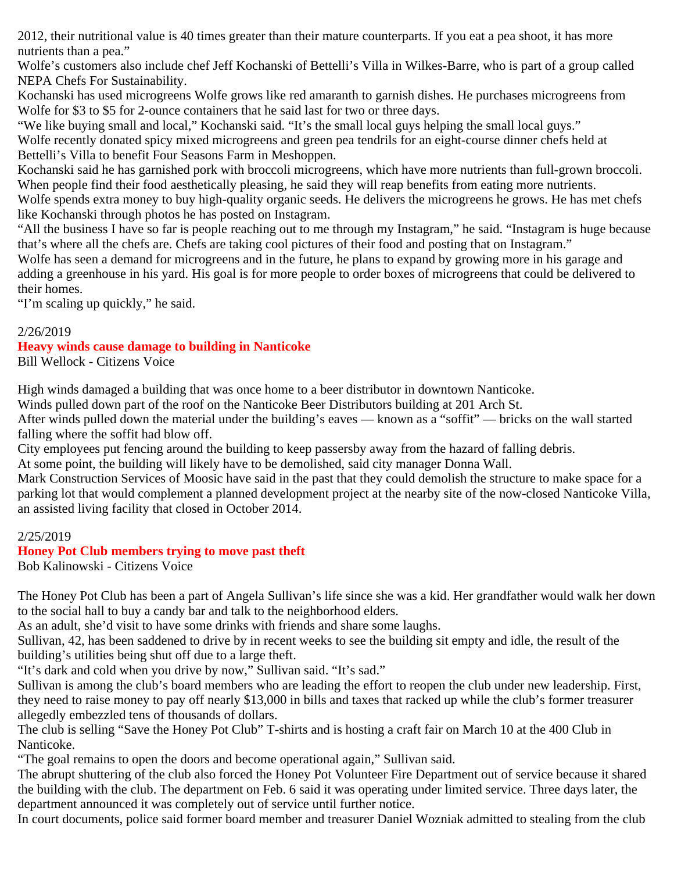2012, their nutritional value is 40 times greater than their mature counterparts. If you eat a pea shoot, it has more nutrients than a pea."

Wolfe's customers also include chef Jeff Kochanski of Bettelli's Villa in Wilkes-Barre, who is part of a group called NEPA Chefs For Sustainability.

Kochanski has used microgreens Wolfe grows like red amaranth to garnish dishes. He purchases microgreens from Wolfe for \$3 to \$5 for 2-ounce containers that he said last for two or three days.

"We like buying small and local," Kochanski said. "It's the small local guys helping the small local guys." Wolfe recently donated spicy mixed microgreens and green pea tendrils for an eight-course dinner chefs held at Bettelli's Villa to benefit Four Seasons Farm in Meshoppen.

Kochanski said he has garnished pork with broccoli microgreens, which have more nutrients than full-grown broccoli. When people find their food aesthetically pleasing, he said they will reap benefits from eating more nutrients.

Wolfe spends extra money to buy high-quality organic seeds. He delivers the microgreens he grows. He has met chefs like Kochanski through photos he has posted on Instagram.

"All the business I have so far is people reaching out to me through my Instagram," he said. "Instagram is huge because that's where all the chefs are. Chefs are taking cool pictures of their food and posting that on Instagram."

Wolfe has seen a demand for microgreens and in the future, he plans to expand by growing more in his garage and adding a greenhouse in his yard. His goal is for more people to order boxes of microgreens that could be delivered to their homes.

"I'm scaling up quickly," he said.

#### 2/26/2019

# **Heavy winds cause damage to building in Nanticoke**

Bill Wellock - Citizens Voice

High winds damaged a building that was once home to a beer distributor in downtown Nanticoke.

Winds pulled down part of the roof on the Nanticoke Beer Distributors building at 201 Arch St.

After winds pulled down the material under the building's eaves — known as a "soffit" — bricks on the wall started falling where the soffit had blow off.

City employees put fencing around the building to keep passersby away from the hazard of falling debris.

At some point, the building will likely have to be demolished, said city manager Donna Wall.

Mark Construction Services of Moosic have said in the past that they could demolish the structure to make space for a parking lot that would complement a planned development project at the nearby site of the now-closed Nanticoke Villa, an assisted living facility that closed in October 2014.

### 2/25/2019

### **Honey Pot Club members trying to move past theft**

Bob Kalinowski - Citizens Voice

The Honey Pot Club has been a part of Angela Sullivan's life since she was a kid. Her grandfather would walk her down to the social hall to buy a candy bar and talk to the neighborhood elders.

As an adult, she'd visit to have some drinks with friends and share some laughs.

Sullivan, 42, has been saddened to drive by in recent weeks to see the building sit empty and idle, the result of the building's utilities being shut off due to a large theft.

"It's dark and cold when you drive by now," Sullivan said. "It's sad."

Sullivan is among the club's board members who are leading the effort to reopen the club under new leadership. First, they need to raise money to pay off nearly \$13,000 in bills and taxes that racked up while the club's former treasurer allegedly embezzled tens of thousands of dollars.

The club is selling "Save the Honey Pot Club" T-shirts and is hosting a craft fair on March 10 at the 400 Club in Nanticoke.

"The goal remains to open the doors and become operational again," Sullivan said.

The abrupt shuttering of the club also forced the Honey Pot Volunteer Fire Department out of service because it shared the building with the club. The department on Feb. 6 said it was operating under limited service. Three days later, the department announced it was completely out of service until further notice.

In court documents, police said former board member and treasurer Daniel Wozniak admitted to stealing from the club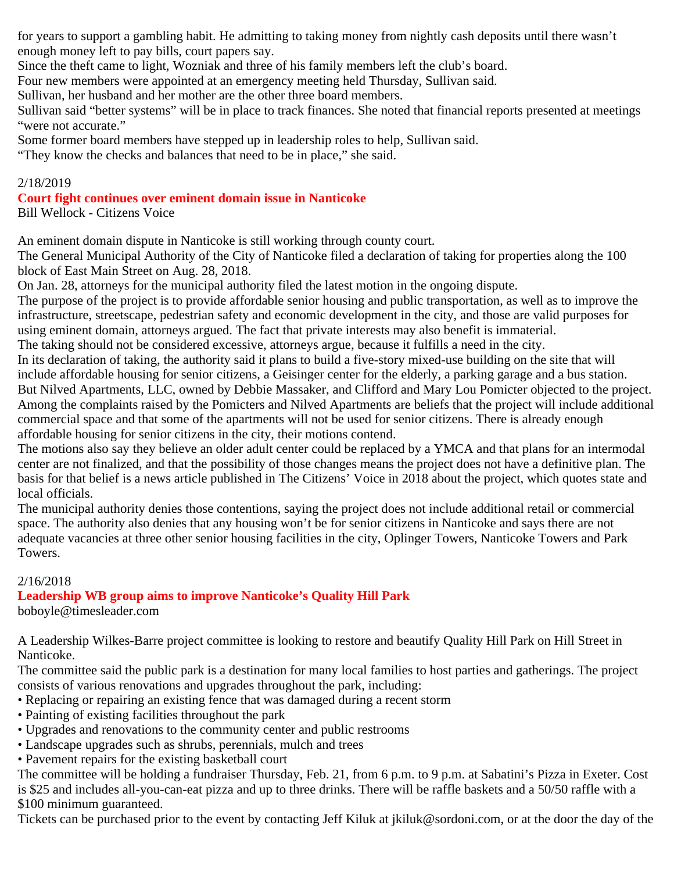for years to support a gambling habit. He admitting to taking money from nightly cash deposits until there wasn't enough money left to pay bills, court papers say.

Since the theft came to light, Wozniak and three of his family members left the club's board.

Four new members were appointed at an emergency meeting held Thursday, Sullivan said.

Sullivan, her husband and her mother are the other three board members.

Sullivan said "better systems" will be in place to track finances. She noted that financial reports presented at meetings "were not accurate."

Some former board members have stepped up in leadership roles to help, Sullivan said.

"They know the checks and balances that need to be in place," she said.

### 2/18/2019

### **Court fight continues over eminent domain issue in Nanticoke**

Bill Wellock - Citizens Voice

An eminent domain dispute in Nanticoke is still working through county court.

The General Municipal Authority of the City of Nanticoke filed a declaration of taking for properties along the 100 block of East Main Street on Aug. 28, 2018.

On Jan. 28, attorneys for the municipal authority filed the latest motion in the ongoing dispute.

The purpose of the project is to provide affordable senior housing and public transportation, as well as to improve the infrastructure, streetscape, pedestrian safety and economic development in the city, and those are valid purposes for using eminent domain, attorneys argued. The fact that private interests may also benefit is immaterial.

The taking should not be considered excessive, attorneys argue, because it fulfills a need in the city.

In its declaration of taking, the authority said it plans to build a five-story mixed-use building on the site that will include affordable housing for senior citizens, a Geisinger center for the elderly, a parking garage and a bus station. But Nilved Apartments, LLC, owned by Debbie Massaker, and Clifford and Mary Lou Pomicter objected to the project. Among the complaints raised by the Pomicters and Nilved Apartments are beliefs that the project will include additional commercial space and that some of the apartments will not be used for senior citizens. There is already enough affordable housing for senior citizens in the city, their motions contend.

The motions also say they believe an older adult center could be replaced by a YMCA and that plans for an intermodal center are not finalized, and that the possibility of those changes means the project does not have a definitive plan. The basis for that belief is a news article published in The Citizens' Voice in 2018 about the project, which quotes state and local officials.

The municipal authority denies those contentions, saying the project does not include additional retail or commercial space. The authority also denies that any housing won't be for senior citizens in Nanticoke and says there are not adequate vacancies at three other senior housing facilities in the city, Oplinger Towers, Nanticoke Towers and Park Towers.

### 2/16/2018

### **Leadership WB group aims to improve Nanticoke's Quality Hill Park**

boboyle@timesleader.com

A Leadership Wilkes-Barre project committee is looking to restore and beautify Quality Hill Park on Hill Street in Nanticoke.

The committee said the public park is a destination for many local families to host parties and gatherings. The project consists of various renovations and upgrades throughout the park, including:

- Replacing or repairing an existing fence that was damaged during a recent storm
- Painting of existing facilities throughout the park
- Upgrades and renovations to the community center and public restrooms
- Landscape upgrades such as shrubs, perennials, mulch and trees
- Pavement repairs for the existing basketball court

The committee will be holding a fundraiser Thursday, Feb. 21, from 6 p.m. to 9 p.m. at Sabatini's Pizza in Exeter. Cost is \$25 and includes all-you-can-eat pizza and up to three drinks. There will be raffle baskets and a 50/50 raffle with a \$100 minimum guaranteed.

Tickets can be purchased prior to the event by contacting Jeff Kiluk at jkiluk@sordoni.com, or at the door the day of the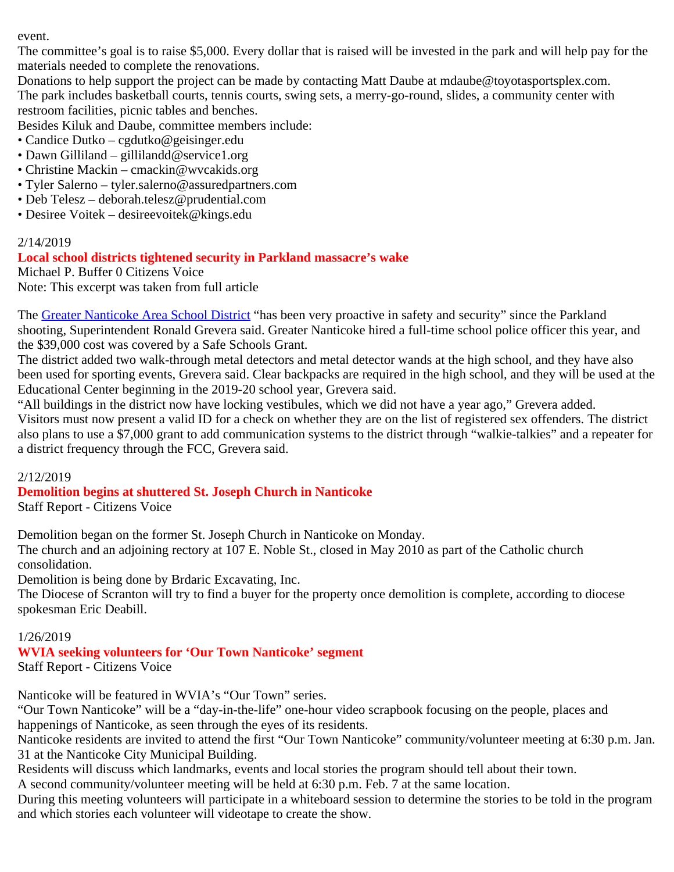event.

The committee's goal is to raise \$5,000. Every dollar that is raised will be invested in the park and will help pay for the materials needed to complete the renovations.

Donations to help support the project can be made by contacting Matt Daube at mdaube@toyotasportsplex.com. The park includes basketball courts, tennis courts, swing sets, a merry-go-round, slides, a community center with restroom facilities, picnic tables and benches.

Besides Kiluk and Daube, committee members include:

- Candice Dutko cgdutko@geisinger.edu
- Dawn Gilliland gillilandd@service1.org
- Christine Mackin cmackin@wvcakids.org
- Tyler Salerno tyler.salerno@assuredpartners.com
- Deb Telesz deborah.telesz@prudential.com
- Desiree Voitek desireevoitek@kings.edu

### 2/14/2019

### **Local school districts tightened security in Parkland massacre's wake**

Michael P. Buffer 0 Citizens Voice Note: This excerpt was taken from full article

The [Greater Nanticoke Area School District](http://www.gnasd.com/) "has been very proactive in safety and security" since the Parkland shooting, Superintendent Ronald Grevera said. Greater Nanticoke hired a full-time school police officer this year, and the \$39,000 cost was covered by a Safe Schools Grant.

The district added two walk-through metal detectors and metal detector wands at the high school, and they have also been used for sporting events, Grevera said. Clear backpacks are required in the high school, and they will be used at the Educational Center beginning in the 2019-20 school year, Grevera said.

"All buildings in the district now have locking vestibules, which we did not have a year ago," Grevera added. Visitors must now present a valid ID for a check on whether they are on the list of registered sex offenders. The district also plans to use a \$7,000 grant to add communication systems to the district through "walkie-talkies" and a repeater for a district frequency through the FCC, Grevera said.

### 2/12/2019

### **Demolition begins at shuttered St. Joseph Church in Nanticoke**

Staff Report - Citizens Voice

Demolition began on the former St. Joseph Church in Nanticoke on Monday.

The church and an adjoining rectory at 107 E. Noble St., closed in May 2010 as part of the Catholic church consolidation.

Demolition is being done by Brdaric Excavating, Inc.

The Diocese of Scranton will try to find a buyer for the property once demolition is complete, according to diocese spokesman Eric Deabill.

### 1/26/2019

## **WVIA seeking volunteers for 'Our Town Nanticoke' segment**

Staff Report - Citizens Voice

Nanticoke will be featured in WVIA's "Our Town" series.

"Our Town Nanticoke" will be a "day-in-the-life" one-hour video scrapbook focusing on the people, places and happenings of Nanticoke, as seen through the eyes of its residents.

Nanticoke residents are invited to attend the first "Our Town Nanticoke" community/volunteer meeting at 6:30 p.m. Jan. 31 at the Nanticoke City Municipal Building.

Residents will discuss which landmarks, events and local stories the program should tell about their town.

A second community/volunteer meeting will be held at 6:30 p.m. Feb. 7 at the same location.

During this meeting volunteers will participate in a whiteboard session to determine the stories to be told in the program and which stories each volunteer will videotape to create the show.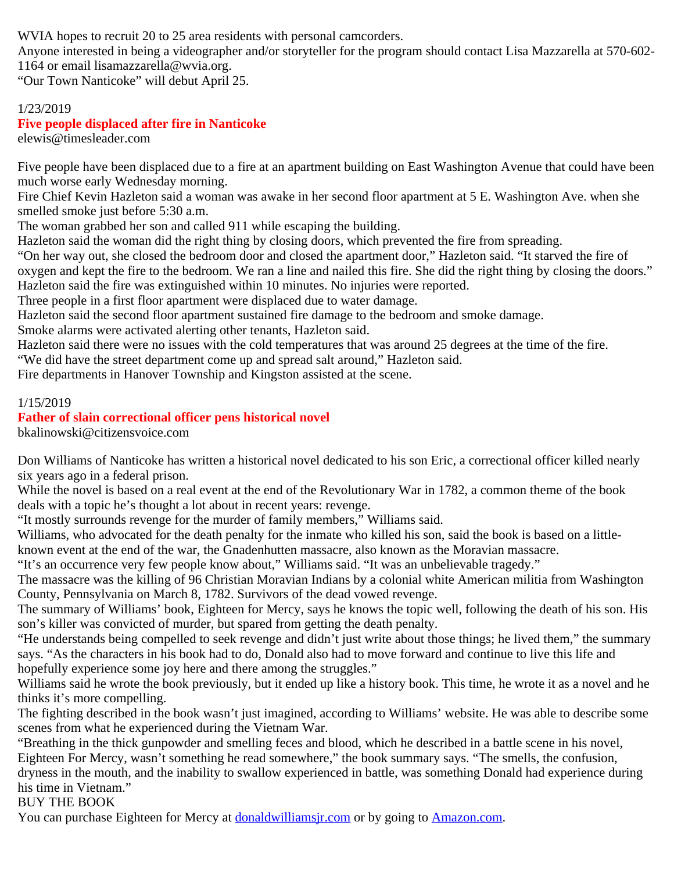WVIA hopes to recruit 20 to 25 area residents with personal camcorders.

Anyone interested in being a videographer and/or storyteller for the program should contact Lisa Mazzarella at 570-602- 1164 or email lisamazzarella@wvia.org.

"Our Town Nanticoke" will debut April 25.

#### 1/23/2019 **Five people displaced after fire in Nanticoke**

elewis@timesleader.com

Five people have been displaced due to a fire at an apartment building on East Washington Avenue that could have been much worse early Wednesday morning.

Fire Chief Kevin Hazleton said a woman was awake in her second floor apartment at 5 E. Washington Ave. when she smelled smoke just before 5:30 a.m.

The woman grabbed her son and called 911 while escaping the building.

Hazleton said the woman did the right thing by closing doors, which prevented the fire from spreading.

"On her way out, she closed the bedroom door and closed the apartment door," Hazleton said. "It starved the fire of oxygen and kept the fire to the bedroom. We ran a line and nailed this fire. She did the right thing by closing the doors." Hazleton said the fire was extinguished within 10 minutes. No injuries were reported.

Three people in a first floor apartment were displaced due to water damage.

Hazleton said the second floor apartment sustained fire damage to the bedroom and smoke damage.

Smoke alarms were activated alerting other tenants, Hazleton said.

Hazleton said there were no issues with the cold temperatures that was around 25 degrees at the time of the fire.

"We did have the street department come up and spread salt around," Hazleton said.

Fire departments in Hanover Township and Kingston assisted at the scene.

### 1/15/2019

### **Father of slain correctional officer pens historical novel**

bkalinowski@citizensvoice.com

Don Williams of Nanticoke has written a historical novel dedicated to his son Eric, a correctional officer killed nearly six years ago in a federal prison.

While the novel is based on a real event at the end of the Revolutionary War in 1782, a common theme of the book deals with a topic he's thought a lot about in recent years: revenge.

"It mostly surrounds revenge for the murder of family members," Williams said.

Williams, who advocated for the death penalty for the inmate who killed his son, said the book is based on a littleknown event at the end of the war, the Gnadenhutten massacre, also known as the Moravian massacre.

"It's an occurrence very few people know about," Williams said. "It was an unbelievable tragedy."

The massacre was the killing of 96 Christian Moravian Indians by a colonial white American militia from Washington County, Pennsylvania on March 8, 1782. Survivors of the dead vowed revenge.

The summary of Williams' book, Eighteen for Mercy, says he knows the topic well, following the death of his son. His son's killer was convicted of murder, but spared from getting the death penalty.

"He understands being compelled to seek revenge and didn't just write about those things; he lived them," the summary says. "As the characters in his book had to do, Donald also had to move forward and continue to live this life and hopefully experience some joy here and there among the struggles."

Williams said he wrote the book previously, but it ended up like a history book. This time, he wrote it as a novel and he thinks it's more compelling.

The fighting described in the book wasn't just imagined, according to Williams' website. He was able to describe some scenes from what he experienced during the Vietnam War.

"Breathing in the thick gunpowder and smelling feces and blood, which he described in a battle scene in his novel, Eighteen For Mercy, wasn't something he read somewhere," the book summary says. "The smells, the confusion, dryness in the mouth, and the inability to swallow experienced in battle, was something Donald had experience during his time in Vietnam."

BUY THE BOOK

You can purchase Eighteen for Mercy at **donaldwilliams** *ir.com* or by going to **Amazon.com**.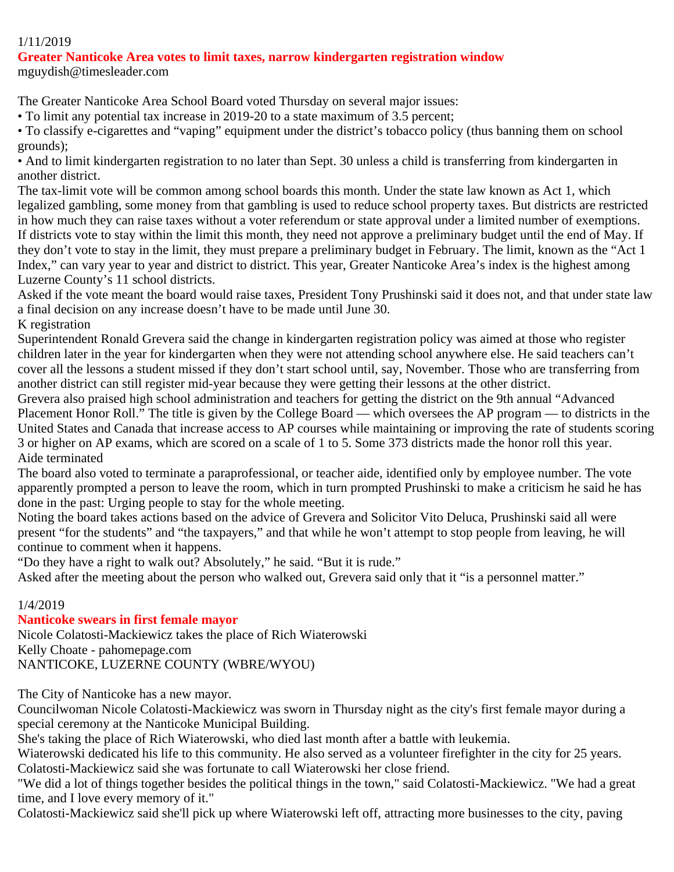#### 1/11/2019

## **Greater Nanticoke Area votes to limit taxes, narrow kindergarten registration window**

mguydish@timesleader.com

The Greater Nanticoke Area School Board voted Thursday on several major issues:

• To limit any potential tax increase in 2019-20 to a state maximum of 3.5 percent;

• To classify e-cigarettes and "vaping" equipment under the district's tobacco policy (thus banning them on school grounds);

• And to limit kindergarten registration to no later than Sept. 30 unless a child is transferring from kindergarten in another district.

The tax-limit vote will be common among school boards this month. Under the state law known as Act 1, which legalized gambling, some money from that gambling is used to reduce school property taxes. But districts are restricted in how much they can raise taxes without a voter referendum or state approval under a limited number of exemptions. If districts vote to stay within the limit this month, they need not approve a preliminary budget until the end of May. If they don't vote to stay in the limit, they must prepare a preliminary budget in February. The limit, known as the "Act 1 Index," can vary year to year and district to district. This year, Greater Nanticoke Area's index is the highest among Luzerne County's 11 school districts.

Asked if the vote meant the board would raise taxes, President Tony Prushinski said it does not, and that under state law a final decision on any increase doesn't have to be made until June 30.

K registration

Superintendent Ronald Grevera said the change in kindergarten registration policy was aimed at those who register children later in the year for kindergarten when they were not attending school anywhere else. He said teachers can't cover all the lessons a student missed if they don't start school until, say, November. Those who are transferring from another district can still register mid-year because they were getting their lessons at the other district.

Grevera also praised high school administration and teachers for getting the district on the 9th annual "Advanced Placement Honor Roll." The title is given by the College Board — which oversees the AP program — to districts in the United States and Canada that increase access to AP courses while maintaining or improving the rate of students scoring 3 or higher on AP exams, which are scored on a scale of 1 to 5. Some 373 districts made the honor roll this year. Aide terminated

The board also voted to terminate a paraprofessional, or teacher aide, identified only by employee number. The vote apparently prompted a person to leave the room, which in turn prompted Prushinski to make a criticism he said he has done in the past: Urging people to stay for the whole meeting.

Noting the board takes actions based on the advice of Grevera and Solicitor Vito Deluca, Prushinski said all were present "for the students" and "the taxpayers," and that while he won't attempt to stop people from leaving, he will continue to comment when it happens.

"Do they have a right to walk out? Absolutely," he said. "But it is rude."

Asked after the meeting about the person who walked out, Grevera said only that it "is a personnel matter."

### 1/4/2019

### **Nanticoke swears in first female mayor**

Nicole Colatosti-Mackiewicz takes the place of Rich Wiaterowski Kelly Choate - pahomepage.com NANTICOKE, LUZERNE COUNTY (WBRE/WYOU)

The City of Nanticoke has a new mayor.

Councilwoman Nicole Colatosti-Mackiewicz was sworn in Thursday night as the city's first female mayor during a special ceremony at the Nanticoke Municipal Building.

She's taking the place of Rich Wiaterowski, who died last month after a battle with leukemia.

Wiaterowski dedicated his life to this community. He also served as a volunteer firefighter in the city for 25 years. Colatosti-Mackiewicz said she was fortunate to call Wiaterowski her close friend.

"We did a lot of things together besides the political things in the town," said Colatosti-Mackiewicz. "We had a great time, and I love every memory of it."

Colatosti-Mackiewicz said she'll pick up where Wiaterowski left off, attracting more businesses to the city, paving